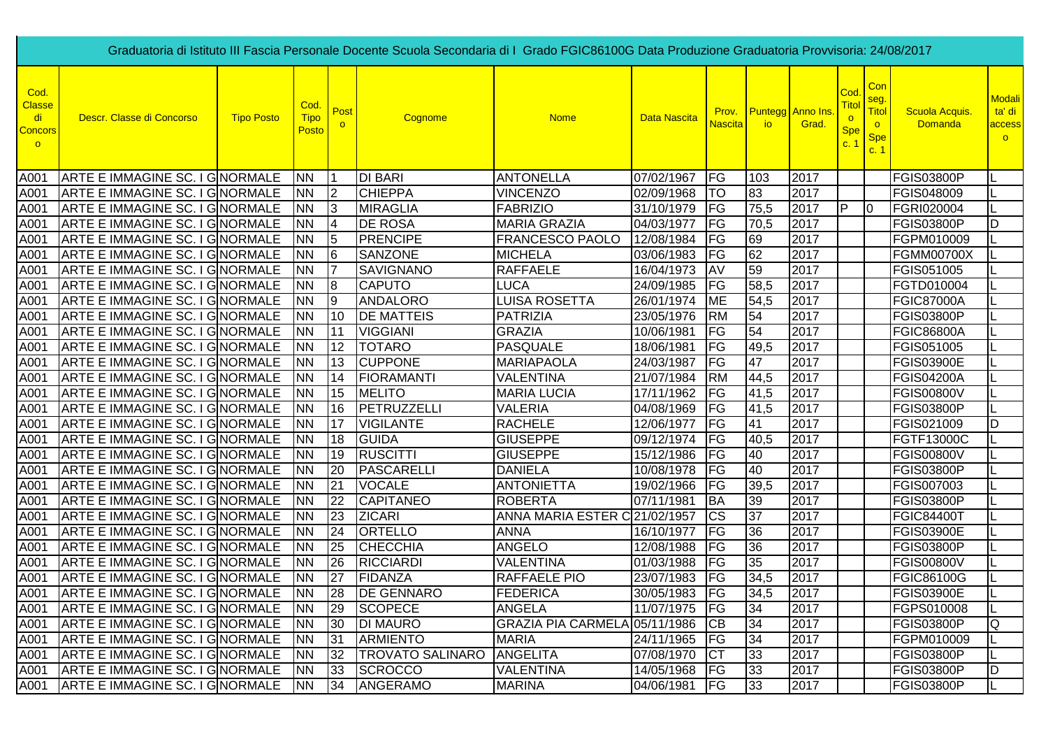|                                                          | Graduatoria di Istituto III Fascia Personale Docente Scuola Secondaria di I Grado FGIC86100G Data Produzione Graduatoria Provvisoria: 24/08/2017 |                   |                              |                |                         |                               |                     |                |                 |                                         |                                                    |                                                             |                                  |                                              |
|----------------------------------------------------------|--------------------------------------------------------------------------------------------------------------------------------------------------|-------------------|------------------------------|----------------|-------------------------|-------------------------------|---------------------|----------------|-----------------|-----------------------------------------|----------------------------------------------------|-------------------------------------------------------------|----------------------------------|----------------------------------------------|
| Cod.<br><b>Classe</b><br>di<br><b>Concors</b><br>$\circ$ | Descr. Classe di Concorso                                                                                                                        | <b>Tipo Posto</b> | Cod.<br><b>Tipo</b><br>Posto | Post           | Cognome                 | <b>Nome</b>                   | <b>Data Nascita</b> | <u>Nascita</u> | io              | <b>Prov.</b> Puntegg Anno Ins.<br>Grad. | Cod<br><u>Tito</u><br>$\circ$<br><b>Spe</b><br>c.1 | Con<br>seg.<br><b>Titol</b><br>$\circ$<br><b>Spe</b><br>c.1 | Scuola Acquis.<br><b>Domanda</b> | <b>Modali</b><br>ta' di<br>access<br>$\circ$ |
| A001                                                     | ARTE E IMMAGINE SC. I GNORMALE                                                                                                                   |                   | <b>NN</b>                    |                | <b>DI BARI</b>          | <b>ANTONELLA</b>              | 07/02/1967          | <b>FG</b>      | 103             | 2017                                    |                                                    |                                                             | <b>FGIS03800P</b>                | IL                                           |
| A001                                                     | ARTE E IMMAGINE SC. I GNORMALE                                                                                                                   |                   | <b>NN</b>                    | $\overline{2}$ | <b>CHIEPPA</b>          | <b>VINCENZO</b>               | 02/09/1968          | TO             | 83              | 2017                                    |                                                    |                                                             | FGIS048009                       | IL                                           |
| A001                                                     | ARTE E IMMAGINE SC. I GNORMALE                                                                                                                   |                   | <b>NN</b>                    | 13             | <b>MIRAGLIA</b>         | <b>FABRIZIO</b>               | 31/10/1979          | <b>FG</b>      | 75,5            | 2017                                    | IP.                                                | 10                                                          | FGRI020004                       | IL                                           |
| A001                                                     | ARTE E IMMAGINE SC. I GNORMALE                                                                                                                   |                   | <b>NN</b>                    | 14             | <b>DE ROSA</b>          | <b>MARIA GRAZIA</b>           | 04/03/1977          | <b>IFG</b>     | 70,5            | 2017                                    |                                                    |                                                             | <b>FGIS03800P</b>                | ID                                           |
| A001                                                     | ARTE E IMMAGINE SC. I GNORMALE                                                                                                                   |                   | <b>NN</b>                    | 5              | <b>PRENCIPE</b>         | FRANCESCO PAOLO               | 12/08/1984          | FG             | 69              | 2017                                    |                                                    |                                                             | FGPM010009                       |                                              |
| A001                                                     | ARTE E IMMAGINE SC. I GNORMALE                                                                                                                   |                   | <b>NN</b>                    | l6             | <b>SANZONE</b>          | <b>MICHELA</b>                | 03/06/1983          | FG             | 62              | 2017                                    |                                                    |                                                             | <b>FGMM00700X</b>                | IL                                           |
| A001                                                     | <b>ARTE E IMMAGINE SC. I G NORMALE</b>                                                                                                           |                   | <b>NN</b>                    | 17             | <b>SAVIGNANO</b>        | <b>RAFFAELE</b>               | 16/04/1973          | AV             | 59              | 2017                                    |                                                    |                                                             | FGIS051005                       |                                              |
| A001                                                     | ARTE E IMMAGINE SC. I GNORMALE                                                                                                                   |                   | <b>NN</b>                    | 18             | <b>CAPUTO</b>           | <b>LUCA</b>                   | 24/09/1985          | <b>FG</b>      | 58,5            | 2017                                    |                                                    |                                                             | FGTD010004                       | IL.                                          |
| A001                                                     | <b>ARTE E IMMAGINE SC. I GINORMALE</b>                                                                                                           |                   | <b>NN</b>                    | 9              | <b>ANDALORO</b>         | <b>LUISA ROSETTA</b>          | 26/01/1974          | <b>ME</b>      | 54,5            | 2017                                    |                                                    |                                                             | <b>FGIC87000A</b>                |                                              |
| A001                                                     | ARTE E IMMAGINE SC. I GNORMALE                                                                                                                   |                   | <b>NN</b>                    | 10             | <b>DE MATTEIS</b>       | PATRIZIA                      | 23/05/1976          | <b>RM</b>      | 54              | 2017                                    |                                                    |                                                             | <b>FGIS03800P</b>                |                                              |
| A001                                                     | <b>ARTE E IMMAGINE SC. I GINORMALE</b>                                                                                                           |                   | <b>NN</b>                    | 11             | <b>VIGGIANI</b>         | <b>GRAZIA</b>                 | 10/06/1981          | <b>IFG</b>     | 54              | 2017                                    |                                                    |                                                             | <b>FGIC86800A</b>                |                                              |
| A001                                                     | ARTE E IMMAGINE SC. I GNORMALE                                                                                                                   |                   | <b>NN</b>                    | 12             | <b>TOTARO</b>           | <b>PASQUALE</b>               | 18/06/1981          | FG             | 49,5            | 2017                                    |                                                    |                                                             | FGIS051005                       |                                              |
| A001                                                     | <b>ARTE E IMMAGINE SC. I GINORMALE</b>                                                                                                           |                   | <b>NN</b>                    | 13             | <b>CUPPONE</b>          | <b>MARIAPAOLA</b>             | 24/03/1987          | FG             | 47              | 2017                                    |                                                    |                                                             | <b>FGIS03900E</b>                |                                              |
| A001                                                     | ARTE E IMMAGINE SC. I GINORMALE                                                                                                                  |                   | <b>NN</b>                    | 14             | <b>FIORAMANTI</b>       | <b>VALENTINA</b>              | 21/07/1984          | <b>RM</b>      | 44,5            | 2017                                    |                                                    |                                                             | <b>FGIS04200A</b>                | ΙL                                           |
| A001                                                     | <b>ARTE E IMMAGINE SC. I GINORMALE</b>                                                                                                           |                   | <b>NN</b>                    | 15             | <b>MELITO</b>           | <b>MARIA LUCIA</b>            | 17/11/1962          | FG             | 41,5            | 2017                                    |                                                    |                                                             | <b>FGIS00800V</b>                | L                                            |
| A001                                                     | ARTE E IMMAGINE SC. I GNORMALE                                                                                                                   |                   | <b>NN</b>                    | 16             | PETRUZZELLI             | <b>VALERIA</b>                | 04/08/1969          | FG             | 41,5            | 2017                                    |                                                    |                                                             | <b>FGIS03800P</b>                | L                                            |
| A001                                                     | ARTE E IMMAGINE SC. I GNORMALE                                                                                                                   |                   | <b>NN</b>                    | 17             | <b>VIGILANTE</b>        | <b>RACHELE</b>                | 12/06/1977          | FG             | 41              | 2017                                    |                                                    |                                                             | FGIS021009                       | lD                                           |
| A001                                                     | ARTE E IMMAGINE SC. I GNORMALE                                                                                                                   |                   | <b>NN</b>                    | 18             | <b>GUIDA</b>            | <b>GIUSEPPE</b>               | 09/12/1974          | FG             | 40,5            | 2017                                    |                                                    |                                                             | FGTF13000C                       | L                                            |
| A001                                                     | ARTE E IMMAGINE SC. I GNORMALE                                                                                                                   |                   | <b>NN</b>                    | 19             | <b>RUSCITTI</b>         | <b>GIUSEPPE</b>               | 15/12/1986          | FG             | 40              | 2017                                    |                                                    |                                                             | <b>FGIS00800V</b>                | IL                                           |
| A001                                                     | ARTE E IMMAGINE SC. I GNORMALE                                                                                                                   |                   | <b>NN</b>                    | 20             | <b>PASCARELLI</b>       | <b>DANIELA</b>                | 10/08/1978          | FG             | 40              | 2017                                    |                                                    |                                                             | <b>FGIS03800P</b>                |                                              |
| A001                                                     | ARTE E IMMAGINE SC. I GNORMALE                                                                                                                   |                   | <b>NN</b>                    | 21             | <b>VOCALE</b>           | ANTONIETTA                    | 19/02/1966          | FG             | 39,5            | 2017                                    |                                                    |                                                             | FGIS007003                       |                                              |
| A001                                                     | ARTE E IMMAGINE SC. I GNORMALE                                                                                                                   |                   | <b>NN</b>                    | 22             | <b>CAPITANEO</b>        | <b>ROBERTA</b>                | 07/11/1981          | <b>BA</b>      | 39              | 2017                                    |                                                    |                                                             | <b>FGIS03800P</b>                |                                              |
| A001                                                     | <b>ARTE E IMMAGINE SC. I GNORMALE</b>                                                                                                            |                   | <b>NN</b>                    | 23             | <b>ZICARI</b>           | ANNA MARIA ESTER C 21/02/1957 |                     | <b>CS</b>      | 37              | 2017                                    |                                                    |                                                             | <b>FGIC84400T</b>                |                                              |
| A001                                                     | ARTE E IMMAGINE SC. I GNORMALE                                                                                                                   |                   | <b>NN</b>                    | 24             | <b>ORTELLO</b>          | <b>ANNA</b>                   | 16/10/1977          | FG             | 36              | 2017                                    |                                                    |                                                             | <b>FGIS03900E</b>                |                                              |
| A001                                                     | ARTE E IMMAGINE SC. I GNORMALE                                                                                                                   |                   | <b>NN</b>                    | 25             | <b>CHECCHIA</b>         | <b>ANGELO</b>                 | 12/08/1988          | FG             | 36              | 2017                                    |                                                    |                                                             | <b>FGIS03800P</b>                |                                              |
| A001                                                     | ARTE E IMMAGINE SC. I GNORMALE                                                                                                                   |                   | <b>NN</b>                    | 26             | <b>RICCIARDI</b>        | <b>VALENTINA</b>              | 01/03/1988          | FG             | $\overline{35}$ | 2017                                    |                                                    |                                                             | <b>FGIS00800V</b>                |                                              |
| A001                                                     | ARTE E IMMAGINE SC. I GNORMALE                                                                                                                   |                   | <b>NN</b>                    | 27             | <b>FIDANZA</b>          | <b>RAFFAELE PIO</b>           | 23/07/1983          | FG             | 34,5            | 2017                                    |                                                    |                                                             | FGIC86100G                       |                                              |
| A001                                                     | ARTE E IMMAGINE SC. I GNORMALE                                                                                                                   |                   | <b>NN</b>                    | 28             | <b>DE GENNARO</b>       | FEDERICA                      | 30/05/1983          | <b>IFG</b>     | 34,5            | 2017                                    |                                                    |                                                             | <b>FGIS03900E</b>                |                                              |
| A001                                                     | ARTE E IMMAGINE SC. I GNORMALE                                                                                                                   |                   | <b>NN</b>                    | 29             | <b>SCOPECE</b>          | <b>ANGELA</b>                 | 11/07/1975 FG       |                | 34              | 2017                                    |                                                    |                                                             | FGPS010008                       |                                              |
| A001                                                     | ARTE E IMMAGINE SC. I GNORMALE                                                                                                                   |                   | <b>NN</b>                    | 30             | <b>DI MAURO</b>         | GRAZIA PIA CARMELA 05/11/1986 |                     | <b>CB</b>      | 34              | 2017                                    |                                                    |                                                             | <b>FGIS03800P</b>                | IQ.                                          |
| A001                                                     | ARTE E IMMAGINE SC. I GNORMALE                                                                                                                   |                   | <b>INN</b>                   | 31             | <b>ARMIENTO</b>         | <b>MARIA</b>                  | 24/11/1965          | <b>FG</b>      | 34              | 2017                                    |                                                    |                                                             | FGPM010009                       |                                              |
| A001                                                     | ARTE E IMMAGINE SC. I GNORMALE                                                                                                                   |                   | <b>NN</b>                    | 32             | <b>TROVATO SALINARO</b> | <b>ANGELITA</b>               | 07/08/1970          | <b>ICT</b>     | 33              | 2017                                    |                                                    |                                                             | <b>FGIS03800P</b>                |                                              |
| A001                                                     | ARTE E IMMAGINE SC. I GNORMALE                                                                                                                   |                   | <b>INN</b>                   | 33             | <b>SCROCCO</b>          | <b>VALENTINA</b>              | 14/05/1968          | <b>IFG</b>     | 33              | 2017                                    |                                                    |                                                             | <b>FGIS03800P</b>                | ID                                           |
|                                                          | A001 ARTE E IMMAGINE SC. I GNORMALE                                                                                                              |                   | <b>NN</b>                    | 34             | ANGERAMO                | <b>MARINA</b>                 | 04/06/1981          | FG             | 33              | 2017                                    |                                                    |                                                             | <b>FGIS03800P</b>                | IL.                                          |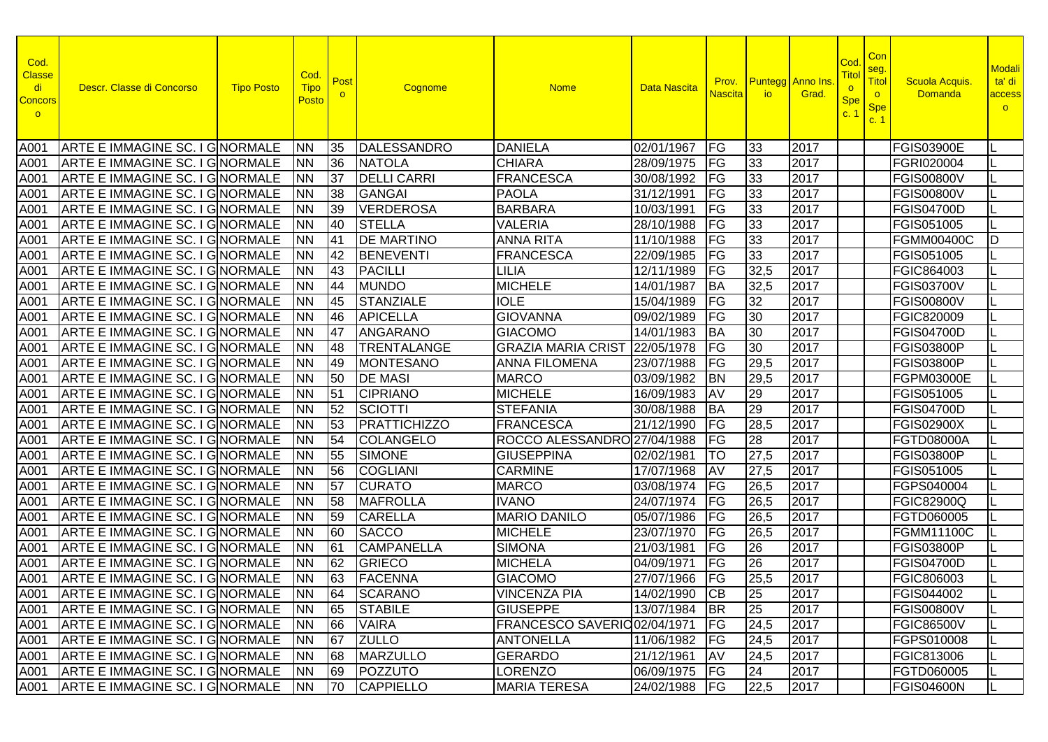| Cod.<br><b>Classe</b><br>di<br><b>Concors</b><br>$\circ$ | Descr. Classe di Concorso              | <b>Tipo Posto</b> | Cod.<br><b>Tipo</b><br><b>Posto</b> | Post        | Cognome             | <b>Nome</b>                  | <b>Data Nascita</b> | Prov.<br><b>Nascita</b> | <b>Puntegg</b> Anno Ins<br><b>io</b> | Grad. | Cod<br><u>Titol</u><br>$\circ$<br><b>Spe</b><br>C <sup>2</sup> | Con<br>seg.<br>Titol<br>$\circ$<br><b>Spe</b><br>c. 1 | <b>Scuola Acquis</b><br><b>Domanda</b> | <b>Modali</b><br>ta' di<br>access<br>$\circ$ |
|----------------------------------------------------------|----------------------------------------|-------------------|-------------------------------------|-------------|---------------------|------------------------------|---------------------|-------------------------|--------------------------------------|-------|----------------------------------------------------------------|-------------------------------------------------------|----------------------------------------|----------------------------------------------|
| A001                                                     | <b>ARTE E IMMAGINE SC. I GINORMALE</b> |                   | <b>INN</b>                          | 35          | DALESSANDRO         | <b>DANIELA</b>               | 02/01/1967          | <b>FG</b>               | 33                                   | 2017  |                                                                |                                                       | <b>FGIS03900E</b>                      |                                              |
| A001                                                     | ARTE E IMMAGINE SC. I GINORMALE        |                   | <b>NN</b>                           | 36          | <b>NATOLA</b>       | <b>CHIARA</b>                | 28/09/1975          | FG                      | 33                                   | 2017  |                                                                |                                                       | FGRI020004                             |                                              |
| A001                                                     | ARTE E IMMAGINE SC. I GINORMALE        |                   | <b>NN</b>                           | 37          | <b>DELLI CARRI</b>  | <b>FRANCESCA</b>             | 30/08/1992          | FG                      | 33                                   | 2017  |                                                                |                                                       | <b>FGIS00800V</b>                      |                                              |
| A001                                                     | ARTE E IMMAGINE SC. I GINORMALE        |                   | <b>NN</b>                           | 38          | <b>GANGAI</b>       | <b>PAOLA</b>                 | 31/12/1991          | FG                      | 33                                   | 2017  |                                                                |                                                       | <b>FGIS00800V</b>                      |                                              |
| A001                                                     | <b>ARTE E IMMAGINE SC. I GINORMALE</b> |                   | <b>NN</b>                           | 39          | <b>VERDEROSA</b>    | <b>BARBARA</b>               | 10/03/1991          | FG                      | 33                                   | 2017  |                                                                |                                                       | <b>FGIS04700D</b>                      |                                              |
| A001                                                     | ARTE E IMMAGINE SC. I GNORMALE         |                   | <b>NN</b>                           | 40          | <b>STELLA</b>       | <b>VALERIA</b>               | 28/10/1988          | FG                      | 33                                   | 2017  |                                                                |                                                       | FGIS051005                             |                                              |
| A001                                                     | ARTE E IMMAGINE SC. I GNORMALE         |                   | <b>NN</b>                           | <b>41</b>   | <b>DE MARTINO</b>   | <b>ANNA RITA</b>             | 11/10/1988          | FG                      | 33                                   | 2017  |                                                                |                                                       | <b>FGMM00400C</b>                      | ID                                           |
| A001                                                     | ARTE E IMMAGINE SC. I GINORMALE        |                   | <b>NN</b>                           | 42          | <b>BENEVENTI</b>    | <b>FRANCESCA</b>             | 22/09/1985          | FG                      | 33                                   | 2017  |                                                                |                                                       | FGIS051005                             |                                              |
| A001                                                     | ARTE E IMMAGINE SC. I GNORMALE         |                   | <b>NN</b>                           | 43          | <b>PACILLI</b>      | LILIA                        | 12/11/1989          | FG                      | 32,5                                 | 2017  |                                                                |                                                       | FGIC864003                             |                                              |
| A001                                                     | ARTE E IMMAGINE SC. I GNORMALE         |                   | <b>NN</b>                           | 44          | <b>MUNDO</b>        | <b>MICHELE</b>               | 14/01/1987          | <b>BA</b>               | 32,5                                 | 2017  |                                                                |                                                       | <b>FGIS03700V</b>                      |                                              |
| A001                                                     | ARTE E IMMAGINE SC. I GNORMALE         |                   | <b>NN</b>                           | 45          | <b>STANZIALE</b>    | <b>IOLE</b>                  | 15/04/1989          | FG                      | 32                                   | 2017  |                                                                |                                                       | <b>FGIS00800V</b>                      |                                              |
| A001                                                     | <b>ARTE E IMMAGINE SC. I G NORMALE</b> |                   | <b>NN</b>                           | 46          | <b>APICELLA</b>     | <b>GIOVANNA</b>              | 09/02/1989          | FG                      | 30                                   | 2017  |                                                                |                                                       | FGIC820009                             |                                              |
| A001                                                     | <b>ARTE E IMMAGINE SC. I G NORMALE</b> |                   | <b>NN</b>                           | 47          | <b>ANGARANO</b>     | <b>GIACOMO</b>               | 14/01/1983          | <b>BA</b>               | 30                                   | 2017  |                                                                |                                                       | <b>FGIS04700D</b>                      |                                              |
| A001                                                     | <b>ARTE E IMMAGINE SC. I GINORMALE</b> |                   | <b>NN</b>                           | 48          | <b>TRENTALANGE</b>  | <b>GRAZIA MARIA CRIST</b>    | 22/05/1978          | FG                      | 30                                   | 2017  |                                                                |                                                       | <b>FGIS03800P</b>                      |                                              |
| A001                                                     | <b>ARTE E IMMAGINE SC. I GINORMALE</b> |                   | <b>NN</b>                           | <b>49</b>   | <b>MONTESANO</b>    | <b>ANNA FILOMENA</b>         | 23/07/1988          | FG                      | 29,5                                 | 2017  |                                                                |                                                       | <b>FGIS03800P</b>                      |                                              |
| A001                                                     | ARTE E IMMAGINE SC. I GINORMALE        |                   | <b>NN</b>                           | 50          | <b>DE MASI</b>      | <b>MARCO</b>                 | 03/09/1982          | <b>BN</b>               | 29,5                                 | 2017  |                                                                |                                                       | FGPM03000E                             |                                              |
| A001                                                     | ARTE E IMMAGINE SC. I G NORMALE        |                   | <b>NN</b>                           | 51          | <b>CIPRIANO</b>     | <b>MICHELE</b>               | 16/09/1983          | AV                      | 29                                   | 2017  |                                                                |                                                       | FGIS051005                             |                                              |
| A001                                                     | ARTE E IMMAGINE SC. I GNORMALE         |                   | <b>NN</b>                           | 52          | <b>SCIOTTI</b>      | <b>STEFANIA</b>              | 30/08/1988          | <b>BA</b>               | 29                                   | 2017  |                                                                |                                                       | <b>FGIS04700D</b>                      |                                              |
| A001                                                     | <b>ARTE E IMMAGINE SC. I GINORMALE</b> |                   | <b>NN</b>                           | 53          | <b>PRATTICHIZZO</b> | <b>FRANCESCA</b>             | 21/12/1990          | FG                      | 28,5                                 | 2017  |                                                                |                                                       | <b>FGIS02900X</b>                      |                                              |
| A001                                                     | ARTE E IMMAGINE SC. I GINORMALE        |                   | <b>NN</b>                           | 54          | <b>COLANGELO</b>    | ROCCO ALESSANDRO 27/04/1988  |                     | FG                      | 28                                   | 2017  |                                                                |                                                       | <b>FGTD08000A</b>                      |                                              |
| A001                                                     | ARTE E IMMAGINE SC. I GINORMALE        |                   | <b>NN</b>                           | 55          | <b>SIMONE</b>       | <b>GIUSEPPINA</b>            | 02/02/1981          | TO                      | 27,5                                 | 2017  |                                                                |                                                       | <b>FGIS03800P</b>                      |                                              |
| A001                                                     | ARTE E IMMAGINE SC. I GNORMALE         |                   | <b>NN</b>                           | 56          | <b>COGLIANI</b>     | <b>CARMINE</b>               | 17/07/1968          | AV                      | 27,5                                 | 2017  |                                                                |                                                       | FGIS051005                             |                                              |
| A001                                                     | <b>ARTE E IMMAGINE SC. I GINORMALE</b> |                   | INN                                 | 57          | <b>CURATO</b>       | <b>MARCO</b>                 | 03/08/1974          | FG                      | 26,5                                 | 2017  |                                                                |                                                       | FGPS040004                             |                                              |
| A001                                                     | ARTE E IMMAGINE SC. I GNORMALE         |                   | <b>NN</b>                           | 58          | <b>MAFROLLA</b>     | <b>IVANO</b>                 | $\sqrt{24/07}/1974$ | FG                      | 26,5                                 | 2017  |                                                                |                                                       | <b>FGIC82900Q</b>                      |                                              |
| A001                                                     | ARTE E IMMAGINE SC. I GINORMALE        |                   | <b>NN</b>                           | 59          | <b>CARELLA</b>      | <b>MARIO DANILO</b>          | 05/07/1986          | FG                      | 26,5                                 | 2017  |                                                                |                                                       | FGTD060005                             |                                              |
| A001                                                     | ARTE E IMMAGINE SC. I GINORMALE        |                   | <b>NN</b>                           | 60          | <b>SACCO</b>        | <b>MICHELE</b>               | 23/07/1970          | $\overline{FG}$         | 26,5                                 | 2017  |                                                                |                                                       | <b>FGMM11100C</b>                      |                                              |
| A001                                                     | ARTE E IMMAGINE SC. I GNORMALE         |                   | <b>NN</b>                           | 61          | <b>CAMPANELLA</b>   | <b>SIMONA</b>                | 21/03/1981          | <b>IFG</b>              | 26                                   | 2017  |                                                                |                                                       | <b>FGIS03800P</b>                      |                                              |
| A001                                                     | ARTE E IMMAGINE SC. I GINORMALE        |                   | <b>NN</b>                           | 62          | <b>GRIECO</b>       | <b>MICHELA</b>               | 04/09/1971          | $F$ G                   | $\overline{26}$                      | 2017  |                                                                |                                                       | <b>FGIS04700D</b>                      |                                              |
| A001                                                     | ARTE E IMMAGINE SC. I GNORMALE         |                   | <b>INN</b>                          | 63          | <b>FACENNA</b>      | <b>GIACOMO</b>               | 27/07/1966          | FG                      | 25,5                                 | 2017  |                                                                |                                                       | FGIC806003                             |                                              |
|                                                          | A001 ARTE E IMMAGINE SC. I GNORMALE NN |                   |                                     | $\sqrt{64}$ | <b>SCARANO</b>      | <b>VINCENZA PIA</b>          | 14/02/1990 CB       |                         | 25                                   | 2017  |                                                                |                                                       | <b>FGIS044002</b>                      |                                              |
|                                                          | A001 ARTE E IMMAGINE SC. I GNORMALE    |                   | INN.                                | 65          | <b>STABILE</b>      | <b>GIUSEPPE</b>              | 13/07/1984 BR       |                         | $\overline{25}$                      | 2017  |                                                                |                                                       | <b>FGIS00800V</b>                      |                                              |
|                                                          | A001 ARTE E IMMAGINE SC. I GNORMALE    |                   | INN.                                | 66          | <b>VAIRA</b>        | FRANCESCO SAVERIO 02/04/1971 |                     | IFG.                    | 24,5                                 | 2017  |                                                                |                                                       | <b>FGIC86500V</b>                      |                                              |
|                                                          | A001 ARTE E IMMAGINE SC. I GNORMALE    |                   | <b>NN</b>                           | 67          | <b>ZULLO</b>        | <b>ANTONELLA</b>             | 11/06/1982   FG     |                         | 24,5                                 | 2017  |                                                                |                                                       | FGPS010008                             |                                              |
|                                                          | A001 ARTE E IMMAGINE SC. I GNORMALE    |                   | <b>NN</b>                           | 168         | MARZULLO            | <b>GERARDO</b>               | 21/12/1961          | <b>AV</b>               | 24,5                                 | 2017  |                                                                |                                                       | <b>FGIC813006</b>                      |                                              |
|                                                          | A001 ARTE E IMMAGINE SC. I GNORMALE    |                   | <b>NN</b>                           | 69          | POZZUTO             | <b>LORENZO</b>               | 06/09/1975   FG     |                         | 24                                   | 2017  |                                                                |                                                       | FGTD060005                             |                                              |
|                                                          | A001 ARTE E IMMAGINE SC. I GNORMALE    |                   | <b>NN</b>                           | 70          | CAPPIELLO           | <b>MARIA TERESA</b>          | 24/02/1988   FG     |                         | 22,5                                 | 2017  |                                                                |                                                       | FGIS04600N                             |                                              |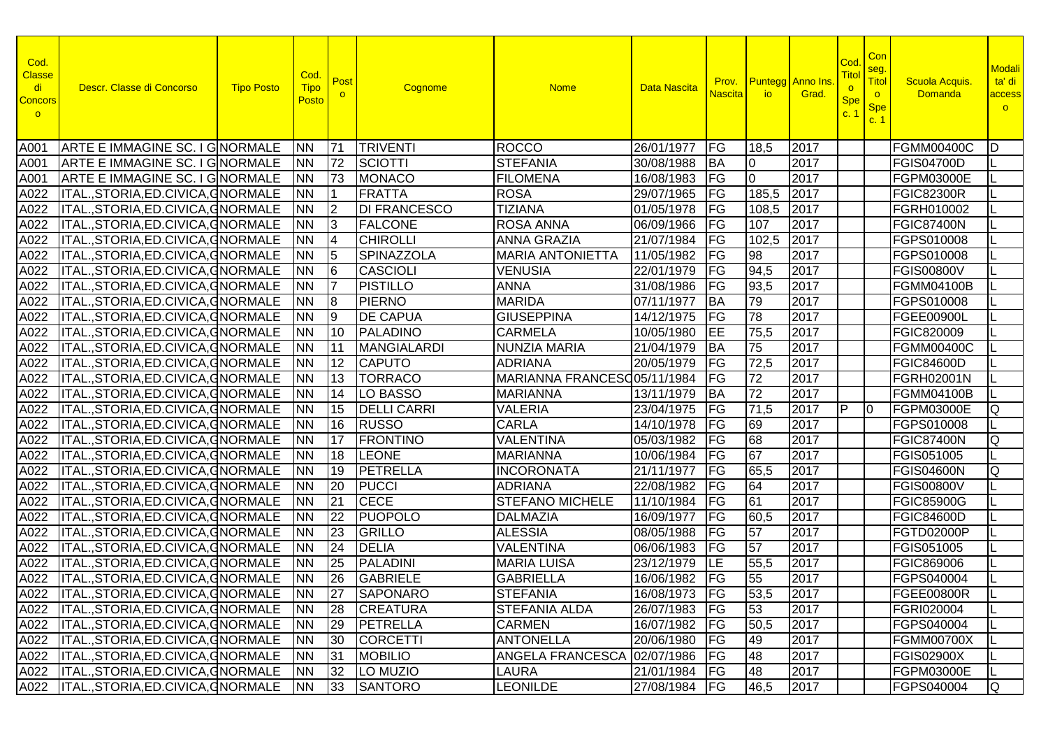| Cod.<br><b>Classe</b><br>di<br><b>Concors</b><br>$\circ$ | Descr. Classe di Concorso                      | <b>Tipo Posto</b> | Cod.<br><b>Tipo</b><br>Posto | Post<br>$\circ$ | Cognome             | <b>Nome</b>                  | <b>Data Nascita</b> | <b>Nascita</b> | io io l         | <b>Prov.</b> Puntegg Anno Ins<br>Grad. | Co<br>Titol<br>$\circ$<br><b>Spe</b><br>C <sub>1</sub> | Con<br>seg.<br><b>Titol</b><br>$\circ$<br><b>Spe</b><br>c.1 | Scuola Acquis.<br><b>Domanda</b> | Modali<br>ta' di<br>access<br>$\circ$ |
|----------------------------------------------------------|------------------------------------------------|-------------------|------------------------------|-----------------|---------------------|------------------------------|---------------------|----------------|-----------------|----------------------------------------|--------------------------------------------------------|-------------------------------------------------------------|----------------------------------|---------------------------------------|
| A001                                                     | ARTE E IMMAGINE SC. I GNORMALE                 |                   | <b>INN</b>                   | 171             | <b>TRIVENTI</b>     | <b>ROCCO</b>                 | 26/01/1977          | <b>FG</b>      | 18,5            | 2017                                   |                                                        |                                                             | <b>FGMM00400C</b>                | D                                     |
| A001                                                     | ARTE E IMMAGINE SC. I GNORMALE                 |                   | <b>INN</b>                   | 72              | SCIOTTI             | <b>STEFANIA</b>              | 30/08/1988          | <b>BA</b>      | 0               | 2017                                   |                                                        |                                                             | <b>FGIS04700D</b>                |                                       |
| A001                                                     | ARTE E IMMAGINE SC. I GINORMALE                |                   | <b>INN</b>                   | 73              | <b>MONACO</b>       | <b>FILOMENA</b>              | 16/08/1983          | FG             | 0               | 2017                                   |                                                        |                                                             | FGPM03000E                       |                                       |
| A022                                                     | ITAL., STORIA, ED. CIVICA, GNORMALE            |                   | <b>INN</b>                   |                 | <b>FRATTA</b>       | <b>ROSA</b>                  | 29/07/1965          | FG             | 185,5           | 2017                                   |                                                        |                                                             | <b>FGIC82300R</b>                |                                       |
| A022                                                     | ITAL., STORIA, ED. CIVICA, GNORMALE            |                   | <b>NN</b>                    | 2               | <b>DI FRANCESCO</b> | <b>TIZIANA</b>               | 01/05/1978          | FG             | 108,5           | 2017                                   |                                                        |                                                             | FGRH010002                       |                                       |
| A022                                                     | ITAL., STORIA, ED. CIVICA, GNORMALE            |                   | <b>NN</b>                    | 3               | <b>FALCONE</b>      | <b>ROSA ANNA</b>             | 06/09/1966          | FG             | 107             | 2017                                   |                                                        |                                                             | <b>FGIC87400N</b>                |                                       |
| A022                                                     | ITAL., STORIA, ED. CIVICA, GNORMALE            |                   | <b>NN</b>                    | 14              | <b>CHIROLLI</b>     | <b>ANNA GRAZIA</b>           | 21/07/1984          | FG             | 102,5           | 2017                                   |                                                        |                                                             | FGPS010008                       |                                       |
| A022                                                     | ITAL., STORIA, ED. CIVICA, GNORMALE            |                   | <b>NN</b>                    | 15              | <b>SPINAZZOLA</b>   | <b>MARIA ANTONIETTA</b>      | 11/05/1982          | <b>FG</b>      | 98              | 2017                                   |                                                        |                                                             | FGPS010008                       |                                       |
| A022                                                     | ITAL., STORIA, ED. CIVICA, GNORMALE            |                   | <b>NN</b>                    | l6              | <b>CASCIOLI</b>     | <b>VENUSIA</b>               | 22/01/1979          | <b>FG</b>      | 94,5            | 2017                                   |                                                        |                                                             | <b>FGIS00800V</b>                |                                       |
| A022                                                     | ITAL., STORIA, ED. CIVICA, GNORMALE            |                   | <b>NN</b>                    | 17              | <b>PISTILLO</b>     | <b>ANNA</b>                  | 31/08/1986          | <b>FG</b>      | 93,5            | 2017                                   |                                                        |                                                             | <b>FGMM04100B</b>                |                                       |
| A022                                                     | ITAL., STORIA, ED. CIVICA, GNORMALE            |                   | <b>NN</b>                    | 18              | <b>PIERNO</b>       | <b>MARIDA</b>                | 07/11/1977          | <b>BA</b>      | 79              | 2017                                   |                                                        |                                                             | FGPS010008                       |                                       |
| A022                                                     | ITAL., STORIA, ED. CIVICA, GNORMALE            |                   | <b>NN</b>                    | 19              | <b>DE CAPUA</b>     | <b>GIUSEPPINA</b>            | 14/12/1975          | <b>FG</b>      | 78              | 2017                                   |                                                        |                                                             | FGEE00900L                       |                                       |
| A022                                                     | ITAL., STORIA, ED. CIVICA, GNORMALE            |                   | <b>NN</b>                    | 110             | PALADINO            | <b>CARMELA</b>               | 10/05/1980          | EE             | 75,5            | 2017                                   |                                                        |                                                             | FGIC820009                       |                                       |
| A022                                                     | ITAL., STORIA, ED. CIVICA, GNORMALE            |                   | <b>INN</b>                   | l11             | <b>MANGIALARDI</b>  | <b>NUNZIA MARIA</b>          | 21/04/1979          | <b>BA</b>      | 75              | 2017                                   |                                                        |                                                             | <b>FGMM00400C</b>                |                                       |
| A022                                                     | ITAL., STORIA, ED. CIVICA, GNORMALE            |                   | <b>NN</b>                    | 12              | <b>CAPUTO</b>       | <b>ADRIANA</b>               | 20/05/1979          | <b>IFG</b>     | 72,5            | 2017                                   |                                                        |                                                             | <b>FGIC84600D</b>                |                                       |
| A022                                                     | ITAL., STORIA, ED. CIVICA, GNORMALE            |                   | <b>NN</b>                    | 13              | <b>TORRACO</b>      | MARIANNA FRANCESO 05/11/1984 |                     | <b>IFG</b>     | 72              | 2017                                   |                                                        |                                                             | FGRH02001N                       |                                       |
| A022                                                     | ITAL.,STORIA,ED.CIVICA,GNORMALE                |                   | <b>NN</b>                    | 14              | LO BASSO            | <b>MARIANNA</b>              | 13/11/1979          | <b>BA</b>      | 72              | 2017                                   |                                                        |                                                             | <b>FGMM04100B</b>                |                                       |
| A022                                                     | ITAL.,STORIA,ED.CIVICA,GNORMALE                |                   | <b>NN</b>                    | 15              | <b>DELLI CARRI</b>  | <b>VALERIA</b>               | 23/04/1975          | <b>FG</b>      | 71,5            | 2017                                   | IP.                                                    | 10                                                          | FGPM03000E                       | Q                                     |
| A022                                                     | ITAL., STORIA, ED. CIVICA, GNORMALE            |                   | <b>NN</b>                    | 16              | <b>RUSSO</b>        | <b>CARLA</b>                 | 14/10/1978          | FG             | 69              | 2017                                   |                                                        |                                                             | FGPS010008                       |                                       |
| A022                                                     | ITAL., STORIA, ED. CIVICA, GNORMALE            |                   | <b>NN</b>                    | 17              | <b>FRONTINO</b>     | <b>VALENTINA</b>             | 05/03/1982          | FG             | $\overline{68}$ | 2017                                   |                                                        |                                                             | <b>FGIC87400N</b>                | Q                                     |
| A022                                                     | ITAL., STORIA, ED. CIVICA, GNORMALE            |                   | <b>NN</b>                    | 18              | <b>LEONE</b>        | <b>MARIANNA</b>              | 10/06/1984          | FG             | 67              | 2017                                   |                                                        |                                                             | FGIS051005                       |                                       |
| A022                                                     | ITAL., STORIA, ED. CIVICA, GNORMALE            |                   | <b>NN</b>                    | 19              | PETRELLA            | <b>INCORONATA</b>            | 21/11/1977          | <b>FG</b>      | 65,5            | 2017                                   |                                                        |                                                             | <b>FGIS04600N</b>                | Q                                     |
| A022                                                     | ITAL., STORIA, ED. CIVICA, GNORMALE            |                   | <b>INN</b>                   | 20              | <b>PUCCI</b>        | <b>ADRIANA</b>               | 22/08/1982          | FG             | 64              | 2017                                   |                                                        |                                                             | <b>FGIS00800V</b>                |                                       |
| A022                                                     | ITAL., STORIA, ED. CIVICA, GNORMALE            |                   | <b>INN</b>                   | $\overline{21}$ | <b>CECE</b>         | <b>STEFANO MICHELE</b>       | 11/10/1984          | <b>IFG</b>     | 61              | 2017                                   |                                                        |                                                             | <b>FGIC85900G</b>                |                                       |
| A022                                                     | ITAL., STORIA, ED. CIVICA, GNORMALE            |                   | <b>NN</b>                    | 22              | <b>PUOPOLO</b>      | <b>DALMAZIA</b>              | 16/09/1977          | <b>IFG</b>     | 60,5            | 2017                                   |                                                        |                                                             | <b>FGIC84600D</b>                |                                       |
| A022                                                     | <b>ITAL., STORIA, ED. CIVICA, GNORMALE</b>     |                   | <b>NN</b>                    | 23              | GRILLO              | <b>ALESSIA</b>               | 08/05/1988          | FG             | 57              | 2017                                   |                                                        |                                                             | FGTD02000P                       |                                       |
| A022                                                     | ITAL., STORIA, ED. CIVICA, GNORMALE            |                   | <b>INN</b>                   | 24              | <b>DELIA</b>        | <b>VALENTINA</b>             | 06/06/1983          | <b>FG</b>      | 57              | 2017                                   |                                                        |                                                             | FGIS051005                       |                                       |
| A022                                                     | ITAL., STORIA, ED. CIVICA, GNORMALE            |                   | <b>NN</b>                    | 25              | <b>PALADINI</b>     | <b>MARIA LUISA</b>           | 23/12/1979          | LE             | 55,5            | 2017                                   |                                                        |                                                             | FGIC869006                       |                                       |
|                                                          | A022  ITAL., STORIA, ED. CIVICA, GNORMALE      |                   | <b>INN</b>                   | 26              | <b>GABRIELE</b>     | <b>GABRIELLA</b>             | 16/06/1982          | $F$ G          | 55              | 2017                                   |                                                        |                                                             | FGPS040004                       |                                       |
|                                                          | A022  ITAL., STORIA, ED. CIVICA, GNORMALE   NN |                   |                              | $\overline{27}$ | SAPONARO            | <b>STEFANIA</b>              | 16/08/1973 FG       |                | 53,5            | 2017                                   |                                                        |                                                             | FGEE00800R                       |                                       |
|                                                          | A022 ITAL.,STORIA,ED.CIVICA,GNORMALE INN       |                   |                              | 28              | <b>CREATURA</b>     | <b>STEFANIA ALDA</b>         | 26/07/1983   FG     |                | 53              | 2017                                   |                                                        |                                                             | FGRI020004                       |                                       |
|                                                          | A022  ITAL., STORIA, ED. CIVICA, GNORMALE      |                   | INN.                         | 29              | PETRELLA            | <b>CARMEN</b>                | 16/07/1982   FG     |                | 50,5            | 2017                                   |                                                        |                                                             | FGPS040004                       |                                       |
|                                                          | A022  ITAL., STORIA, ED. CIVICA, GNORMALE      |                   | <b>NN</b>                    | 30              | <b>CORCETTI</b>     | <b>ANTONELLA</b>             | 20/06/1980   FG     |                | 49              | 2017                                   |                                                        |                                                             | <b>FGMM00700X</b>                |                                       |
|                                                          | A022  ITAL., STORIA, ED. CIVICA, GNORMALE      |                   | <b>NN</b>                    | 31              | <b>MOBILIO</b>      | <b>ANGELA FRANCESCA</b>      | 02/07/1986 FG       |                | 48              | 2017                                   |                                                        |                                                             | <b>FGIS02900X</b>                |                                       |
|                                                          | A022  ITAL., STORIA, ED. CIVICA, GNORMALE      |                   | <b>NN</b>                    | 32              | LO MUZIO            | LAURA                        | 21/01/1984   FG     |                | 48              | 2017                                   |                                                        |                                                             | FGPM03000E                       |                                       |
|                                                          | A022  ITAL., STORIA, ED. CIVICA, GNORMALE      |                   | <b>NN</b>                    |                 | 33 SANTORO          | <b>LEONILDE</b>              | 27/08/1984   FG     |                | 46,5            | 2017                                   |                                                        |                                                             | FGPS040004                       | IQ.                                   |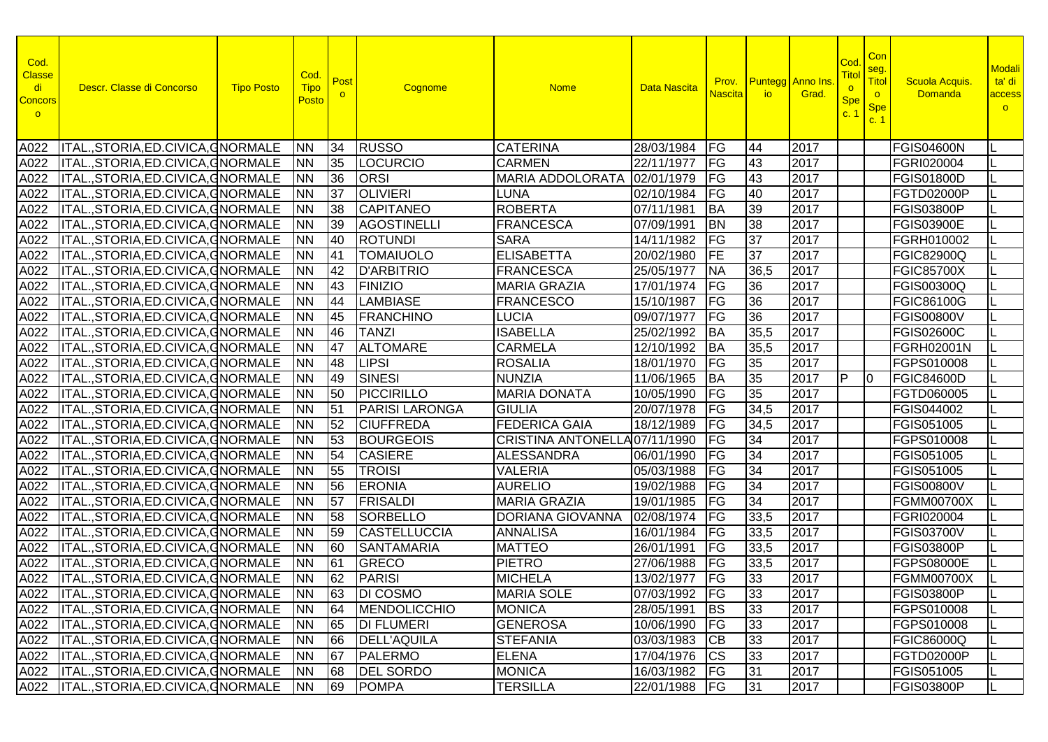| Cod.<br><b>Classe</b><br>di<br><b>Concors</b><br>$\circ$ | Descr. Classe di Concorso                 | <b>Tipo Posto</b> | Cod.<br><b>Tipo</b><br>Posto | Post            | Cognome               | <b>Nome</b>                   | Data Nascita    | <mark>Nascita I</mark> | <b>Prov.</b> Puntegg Anno Ins.<br><b>io</b> | Grad. | Cod<br>Tito<br>$\circ$<br><b>Spe</b><br>c.1 | Con<br>seg.<br><b>Titol</b><br>$\circ$<br><b>Spe</b><br>c.1 | Scuola Acquis.<br><b>Domanda</b> | <b>Modali</b><br>ta' di<br>access<br>$\circ$ |
|----------------------------------------------------------|-------------------------------------------|-------------------|------------------------------|-----------------|-----------------------|-------------------------------|-----------------|------------------------|---------------------------------------------|-------|---------------------------------------------|-------------------------------------------------------------|----------------------------------|----------------------------------------------|
| A022                                                     | ITAL., STORIA, ED. CIVICA, GNORMALE       |                   | <b>INN</b>                   | 34              | RUSSO                 | <b>CATERINA</b>               | 28/03/1984      | <b>IFG</b>             | 44                                          | 2017  |                                             |                                                             | <b>FGIS04600N</b>                | IL                                           |
| A022                                                     | ITAL., STORIA, ED. CIVICA, GNORMALE       |                   | <b>NN</b>                    | 35              | LOCURCIO              | <b>CARMEN</b>                 | 22/11/1977      | <b>IFG</b>             | 43                                          | 2017  |                                             |                                                             | FGRI020004                       |                                              |
| A022                                                     | ITAL., STORIA, ED. CIVICA, GNORMALE       |                   | <b>NN</b>                    | 36              | <b>ORSI</b>           | <b>MARIA ADDOLORATA</b>       | 02/01/1979      | FG                     | 43                                          | 2017  |                                             |                                                             | <b>FGIS01800D</b>                |                                              |
| A022                                                     | ITAL., STORIA, ED. CIVICA, GNORMALE       |                   | <b>NN</b>                    | 37              | <b>OLIVIERI</b>       | <b>LUNA</b>                   | 02/10/1984      | FG                     | 40                                          | 2017  |                                             |                                                             | FGTD02000P                       |                                              |
| A022                                                     | ITAL., STORIA, ED. CIVICA, GNORMALE       |                   | <b>NN</b>                    | 38              | <b>CAPITANEO</b>      | <b>ROBERTA</b>                | 07/11/1981      | <b>BA</b>              | 39                                          | 2017  |                                             |                                                             | <b>FGIS03800P</b>                |                                              |
| A022                                                     | ITAL., STORIA, ED. CIVICA, GNORMALE       |                   | <b>NN</b>                    | 39              | <b>AGOSTINELLI</b>    | <b>FRANCESCA</b>              | 07/09/1991      | <b>BN</b>              | $\overline{38}$                             | 2017  |                                             |                                                             | <b>FGIS03900E</b>                | IL                                           |
| A022                                                     | ITAL., STORIA, ED. CIVICA, GNORMALE       |                   | <b>NN</b>                    | 40              | <b>ROTUNDI</b>        | <b>SARA</b>                   | 14/11/1982      | FG                     | 37                                          | 2017  |                                             |                                                             | FGRH010002                       | IL                                           |
| A022                                                     | ITAL., STORIA, ED. CIVICA, GNORMALE       |                   | <b>NN</b>                    | <b>41</b>       | <b>TOMAIUOLO</b>      | <b>ELISABETTA</b>             | 20/02/1980      | FE                     | $\overline{37}$                             | 2017  |                                             |                                                             | <b>FGIC82900Q</b>                | ΙL                                           |
| A022                                                     | ITAL., STORIA, ED. CIVICA, GNORMALE       |                   | <b>NN</b>                    | 42              | <b>D'ARBITRIO</b>     | <b>FRANCESCA</b>              | 25/05/1977      | <b>NA</b>              | 36,5                                        | 2017  |                                             |                                                             | <b>FGIC85700X</b>                | L                                            |
| A022                                                     | ITAL., STORIA, ED. CIVICA, GNORMALE       |                   | <b>NN</b>                    | 43              | <b>FINIZIO</b>        | <b>MARIA GRAZIA</b>           | 17/01/1974      | <b>IFG</b>             | 36                                          | 2017  |                                             |                                                             | <b>FGIS00300Q</b>                | IL                                           |
| A022                                                     | ITAL., STORIA, ED. CIVICA, GNORMALE       |                   | <b>NN</b>                    | 44              | <b>LAMBIASE</b>       | <b>FRANCESCO</b>              | 15/10/1987      | <b>IFG</b>             | 36                                          | 2017  |                                             |                                                             | <b>FGIC86100G</b>                |                                              |
| A022                                                     | ITAL., STORIA, ED. CIVICA, GNORMALE       |                   | <b>NN</b>                    | 45              | <b>FRANCHINO</b>      | <b>LUCIA</b>                  | 09/07/1977      | <b>IFG</b>             | 36                                          | 2017  |                                             |                                                             | <b>FGIS00800V</b>                |                                              |
| A022                                                     | ITAL., STORIA, ED. CIVICA, GNORMALE       |                   | <b>NN</b>                    | 46              | <b>TANZI</b>          | <b>ISABELLA</b>               | 25/02/1992      | BA                     | 35,5                                        | 2017  |                                             |                                                             | <b>FGIS02600C</b>                |                                              |
| A022                                                     | ITAL., STORIA, ED. CIVICA, GNORMALE       |                   | <b>NN</b>                    | 47              | <b>ALTOMARE</b>       | <b>CARMELA</b>                | 12/10/1992      | <b>BA</b>              | 35,5                                        | 2017  |                                             |                                                             | FGRH02001N                       |                                              |
| A022                                                     | ITAL., STORIA, ED. CIVICA, GNORMALE       |                   | <b>NN</b>                    | 48              | <b>LIPSI</b>          | <b>ROSALIA</b>                | 18/01/1970      | <b>IFG</b>             | 35                                          | 2017  |                                             |                                                             | FGPS010008                       |                                              |
| A022                                                     | ITAL., STORIA, ED. CIVICA, GNORMALE       |                   | <b>NN</b>                    | 49              | <b>SINESI</b>         | <b>NUNZIA</b>                 | 11/06/1965      | <b>BA</b>              | $\overline{35}$                             | 2017  | IP.                                         | I0                                                          | <b>FGIC84600D</b>                |                                              |
| A022                                                     | ITAL., STORIA, ED. CIVICA, GNORMALE       |                   | <b>NN</b>                    | 50              | PICCIRILLO            | <b>MARIA DONATA</b>           | 10/05/1990      | <b>IFG</b>             | 35                                          | 2017  |                                             |                                                             | FGTD060005                       |                                              |
| A022                                                     | ITAL., STORIA, ED. CIVICA, GNORMALE       |                   | <b>NN</b>                    | 51              | <b>PARISI LARONGA</b> | <b>GIULIA</b>                 | 20/07/1978      | FG                     | 34,5                                        | 2017  |                                             |                                                             | FGIS044002                       |                                              |
| A022                                                     | ITAL., STORIA, ED. CIVICA, GNORMALE       |                   | <b>NN</b>                    | 52              | <b>CIUFFREDA</b>      | <b>FEDERICA GAIA</b>          | 18/12/1989      | FG                     | 34,5                                        | 2017  |                                             |                                                             | FGIS051005                       |                                              |
| A022                                                     | ITAL.,STORIA,ED.CIVICA,GNORMALE           |                   | <b>NN</b>                    | 53              | <b>BOURGEOIS</b>      | CRISTINA ANTONELLA 07/11/1990 |                 | FG                     | 34                                          | 2017  |                                             |                                                             | FGPS010008                       |                                              |
| A022                                                     | ITAL., STORIA, ED. CIVICA, GNORMALE       |                   | <b>NN</b>                    | 54              | <b>CASIERE</b>        | <b>ALESSANDRA</b>             | 06/01/1990      | FG                     | 34                                          | 2017  |                                             |                                                             | FGIS051005                       |                                              |
| A022                                                     | ITAL., STORIA, ED. CIVICA, GNORMALE       |                   | <b>NN</b>                    | 55              | <b>TROISI</b>         | <b>VALERIA</b>                | 05/03/1988      | FG                     | 34                                          | 2017  |                                             |                                                             | FGIS051005                       | L                                            |
| A022                                                     | ITAL., STORIA, ED. CIVICA, GNORMALE       |                   | INN                          | 56              | <b>ERONIA</b>         | <b>AURELIO</b>                | 19/02/1988      | FG                     | 34                                          | 2017  |                                             |                                                             | <b>FGIS00800V</b>                |                                              |
| A022                                                     | ITAL., STORIA, ED. CIVICA, GNORMALE       |                   | <b>NN</b>                    | 57              | <b>FRISALDI</b>       | <b>MARIA GRAZIA</b>           | 19/01/1985      | FG                     | $\overline{34}$                             | 2017  |                                             |                                                             | <b>FGMM00700X</b>                | IL                                           |
| A022                                                     | ITAL., STORIA, ED. CIVICA, GNORMALE       |                   | <b>NN</b>                    | 58              | <b>SORBELLO</b>       | <b>DORIANA GIOVANNA</b>       | 02/08/1974      | FG                     | 33,5                                        | 2017  |                                             |                                                             | FGRI020004                       | IL.                                          |
| A022                                                     | ITAL., STORIA, ED. CIVICA, GNORMALE       |                   | <b>NN</b>                    | 59              | <b>CASTELLUCCIA</b>   | <b>ANNALISA</b>               | 16/01/1984      | FG                     | 33,5                                        | 2017  |                                             |                                                             | <b>FGIS03700V</b>                | IL                                           |
| A022                                                     | ITAL., STORIA, ED. CIVICA, GNORMALE       |                   | <b>NN</b>                    | 60              | <b>SANTAMARIA</b>     | <b>MATTEO</b>                 | 26/01/1991      | <b>IFG</b>             | 33,5                                        | 2017  |                                             |                                                             | <b>FGIS03800P</b>                | IL                                           |
| A022                                                     | ITAL., STORIA, ED. CIVICA, GNORMALE       |                   | <b>NN</b>                    | 61              | GRECO                 | <b>PIETRO</b>                 | 27/06/1988      | FG                     | 33,5                                        | 2017  |                                             |                                                             | <b>FGPS08000E</b>                |                                              |
| A022                                                     | ITAL., STORIA, ED. CIVICA, GNORMALE       |                   | <b>INN</b>                   | $\overline{62}$ | <b>PARISI</b>         | <b>MICHELA</b>                | 13/02/1977      | $F$ G                  | 33                                          | 2017  |                                             |                                                             | <b>FGMM00700X</b>                | IL                                           |
|                                                          | A022  ITAL.,STORIA,ED.CIVICA,GNORMALE  NN |                   |                              |                 | 63 DI COSMO           | <b>MARIA SOLE</b>             | 07/03/1992 FG   |                        | 33                                          | 2017  |                                             |                                                             | <b>FGIS03800P</b>                |                                              |
|                                                          | A022  ITAL.,STORIA,ED.CIVICA,GNORMALE     |                   | <b>NN</b>                    | 64              | MENDOLICCHIO          | <b>MONICA</b>                 | 28/05/1991 BS   |                        | 33                                          | 2017  |                                             |                                                             | FGPS010008                       |                                              |
|                                                          | A022 ITAL., STORIA, ED. CIVICA, GNORMALE  |                   | <b>INN</b>                   | 65              | <b>DI FLUMERI</b>     | <b>GENEROSA</b>               | 10/06/1990      | <b>IFG</b>             | 33                                          | 2017  |                                             |                                                             | FGPS010008                       |                                              |
|                                                          | A022  ITAL., STORIA, ED. CIVICA, GNORMALE |                   | <b>INN</b>                   | 66              | <b>DELL'AQUILA</b>    | <b>STEFANIA</b>               | 03/03/1983      | <b>CB</b>              | 33                                          | 2017  |                                             |                                                             | <b>FGIC86000Q</b>                |                                              |
|                                                          | A022  ITAL., STORIA, ED. CIVICA, GNORMALE |                   | <b>NN</b>                    | 67              | PALERMO               | <b>ELENA</b>                  | 17/04/1976      | <b>CS</b>              | 33                                          | 2017  |                                             |                                                             | FGTD02000P                       |                                              |
|                                                          | A022  ITAL., STORIA, ED. CIVICA, GNORMALE |                   | <b>NN</b>                    | 68              | <b>DEL SORDO</b>      | <b>MONICA</b>                 | 16/03/1982   FG |                        | 31                                          | 2017  |                                             |                                                             | FGIS051005                       |                                              |
|                                                          | A022  ITAL., STORIA, ED. CIVICA, GNORMALE |                   | <b>NN</b>                    | 69              | <b>POMPA</b>          | <b>TERSILLA</b>               | 22/01/1988      | FG                     | 31                                          | 2017  |                                             |                                                             | <b>FGIS03800P</b>                | ΙL                                           |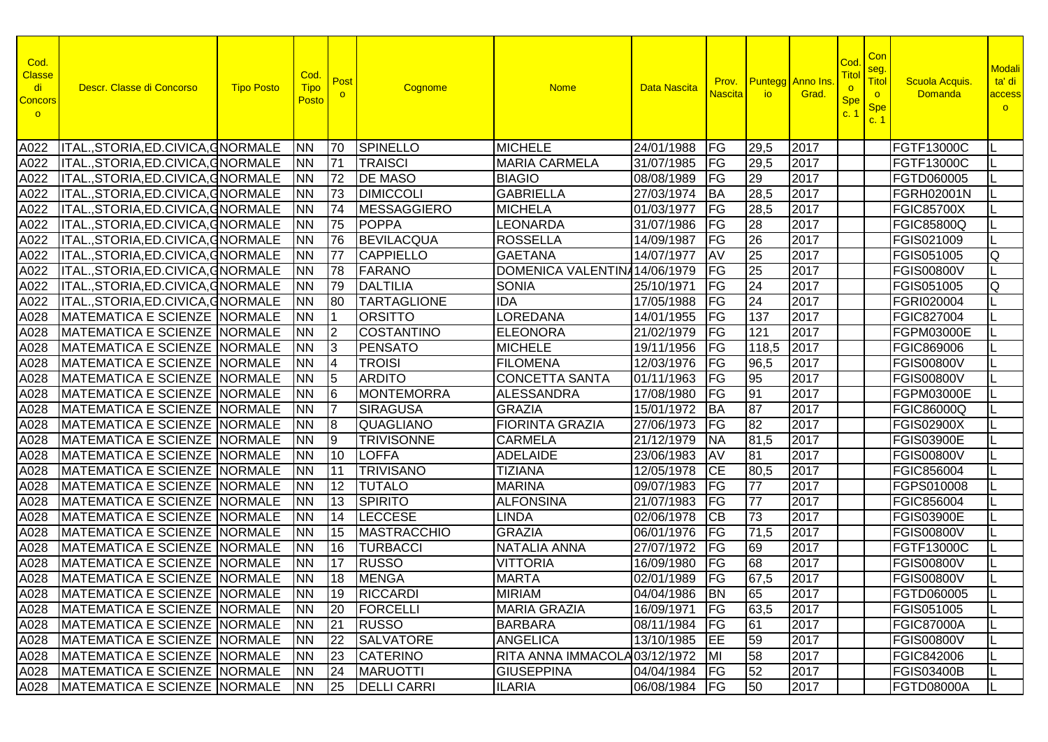| Cod.<br><b>Classe</b><br>di<br><b>Concors</b><br>$\circ$ | Descr. Classe di Concorso             | <b>Tipo Posto</b> | Cod.<br><b>Tipo</b><br><b>Posto</b> | Post            | Cognome            | <b>Nome</b>                      | Data Nascita    | Prov.<br><b>Nascita</b>  | <b>io</b>       | <b>Puntegg</b> Anno Ins<br>Grad. | Cod<br><u>Titol</u><br>$\circ$<br><b>Spe</b><br>C <sup>2</sup> | Con<br>seg.<br>Titol<br>$\circ$<br><b>Spe</b><br>c. 1 | <b>Scuola Acquis</b><br><b>Domanda</b> | <b>Modali</b><br>ta' di<br>access<br>$\circ$ |
|----------------------------------------------------------|---------------------------------------|-------------------|-------------------------------------|-----------------|--------------------|----------------------------------|-----------------|--------------------------|-----------------|----------------------------------|----------------------------------------------------------------|-------------------------------------------------------|----------------------------------------|----------------------------------------------|
| A022                                                     | ITAL., STORIA, ED. CIVICA, GNORMALE   |                   | <b>INN</b>                          | 70              | <b>SPINELLO</b>    | <b>MICHELE</b>                   | 24/01/1988      | FG                       | 29,5            | 2017                             |                                                                |                                                       | <b>FGTF13000C</b>                      |                                              |
| A022                                                     | ITAL., STORIA, ED. CIVICA, GNORMALE   |                   | <b>NN</b>                           | 71              | <b>TRAISCI</b>     | <b>MARIA CARMELA</b>             | 31/07/1985      | FG                       | 29,5            | 2017                             |                                                                |                                                       | FGTF13000C                             |                                              |
| A022                                                     | ITAL., STORIA, ED. CIVICA, GNORMALE   |                   | <b>NN</b>                           | 72              | <b>DE MASO</b>     | <b>BIAGIO</b>                    | 08/08/1989      | FG                       | 29              | 2017                             |                                                                |                                                       | FGTD060005                             |                                              |
| A022                                                     | ITAL., STORIA, ED. CIVICA, GNORMALE   |                   | <b>NN</b>                           | 73              | <b>DIMICCOLI</b>   | <b>GABRIELLA</b>                 | 27/03/1974      | <b>BA</b>                | 28,5            | 2017                             |                                                                |                                                       | FGRH02001N                             |                                              |
| A022                                                     | ITAL.,STORIA,ED.CIVICA,GNORMALE       |                   | <b>NN</b>                           | 74              | <b>MESSAGGIERO</b> | <b>MICHELA</b>                   | 01/03/1977      | FG                       | 28,5            | 2017                             |                                                                |                                                       | <b>FGIC85700X</b>                      |                                              |
| A022                                                     | ITAL.,STORIA,ED.CIVICA,GNORMALE       |                   | <b>NN</b>                           | 75              | <b>POPPA</b>       | LEONARDA                         | 31/07/1986      | FG                       | 28              | 2017                             |                                                                |                                                       | <b>FGIC85800Q</b>                      |                                              |
| A022                                                     | ITAL., STORIA, ED. CIVICA, GNORMALE   |                   | <b>NN</b>                           | 76              | <b>BEVILACQUA</b>  | <b>ROSSELLA</b>                  | 14/09/1987      | FG                       | 26              | 2017                             |                                                                |                                                       | FGIS021009                             |                                              |
| A022                                                     | ITAL., STORIA, ED. CIVICA, GNORMALE   |                   | <b>NN</b>                           | 77              | <b>CAPPIELLO</b>   | <b>GAETANA</b>                   | 14/07/1977      | <b>AV</b>                | $\overline{25}$ | 2017                             |                                                                |                                                       | FGIS051005                             | Ø                                            |
| A022                                                     | ITAL., STORIA, ED. CIVICA, GNORMALE   |                   | <b>NN</b>                           | 78              | FARANO             | DOMENICA VALENTINA 14/06/1979    |                 | FG                       | 25              | 2017                             |                                                                |                                                       | <b>FGIS00800V</b>                      |                                              |
| A022                                                     | ITAL., STORIA, ED. CIVICA, GNORMALE   |                   | <b>NN</b>                           | 79              | <b>DALTILIA</b>    | <b>SONIA</b>                     | 25/10/1971      | FG                       | 24              | 2017                             |                                                                |                                                       | FGIS051005                             | Q                                            |
| A022                                                     | ITAL., STORIA, ED. CIVICA, GNORMALE   |                   | <b>NN</b>                           | 80              | <b>TARTAGLIONE</b> | <b>IDA</b>                       | 17/05/1988      | FG                       | 24              | 2017                             |                                                                |                                                       | FGRI020004                             |                                              |
| A028                                                     | MATEMATICA E SCIENZE NORMALE          |                   | <b>NN</b>                           | l 1             | <b>ORSITTO</b>     | LOREDANA                         | 14/01/1955      | $\overline{FG}$          | 137             | 2017                             |                                                                |                                                       | FGIC827004                             |                                              |
| A028                                                     | MATEMATICA E SCIENZE NORMALE          |                   | <b>NN</b>                           | $\mathsf{I}2$   | <b>COSTANTINO</b>  | <b>ELEONORA</b>                  | 21/02/1979      | FG                       | 121             | 2017                             |                                                                |                                                       | FGPM03000E                             |                                              |
| A028                                                     | MATEMATICA E SCIENZE NORMALE          |                   | <b>NN</b>                           | l3              | <b>PENSATO</b>     | <b>MICHELE</b>                   | 19/11/1956      | FG                       | 118,5           | 2017                             |                                                                |                                                       | FGIC869006                             |                                              |
| A028                                                     | MATEMATICA E SCIENZE NORMALE          |                   | <b>NN</b>                           | 14              | <b>TROISI</b>      | <b>FILOMENA</b>                  | 12/03/1976      | FG                       | 96,5            | 2017                             |                                                                |                                                       | <b>FGIS00800V</b>                      |                                              |
| A028                                                     | MATEMATICA E SCIENZE NORMALE          |                   | <b>NN</b>                           | 15              | <b>ARDITO</b>      | <b>CONCETTA SANTA</b>            | 01/11/1963      | $\overline{FG}$          | 95              | 2017                             |                                                                |                                                       | <b>FGIS00800V</b>                      |                                              |
| A028                                                     | MATEMATICA E SCIENZE NORMALE          |                   | <b>NN</b>                           | l6              | <b>MONTEMORRA</b>  | <b>ALESSANDRA</b>                | 17/08/1980      | FG                       | 91              | 2017                             |                                                                |                                                       | <b>FGPM03000E</b>                      |                                              |
| A028                                                     | MATEMATICA E SCIENZE NORMALE          |                   | <b>NN</b>                           |                 | <b>SIRAGUSA</b>    | <b>GRAZIA</b>                    | 15/01/1972      | <b>BA</b>                | 87              | 2017                             |                                                                |                                                       | FGIC86000Q                             |                                              |
| A028                                                     | <b>MATEMATICA E SCIENZE NORMALE</b>   |                   | <b>NN</b>                           | 18              | QUAGLIANO          | <b>FIORINTA GRAZIA</b>           | 27/06/1973      | FG                       | 82              | 2017                             |                                                                |                                                       | <b>FGIS02900X</b>                      |                                              |
| A028                                                     | <b>MATEMATICA E SCIENZE NORMALE</b>   |                   | <b>NN</b>                           | Ι9              | <b>TRIVISONNE</b>  | <b>CARMELA</b>                   | 21/12/1979      | <b>NA</b>                | 81,5            | 2017                             |                                                                |                                                       | <b>FGIS03900E</b>                      |                                              |
| A028                                                     | <b>MATEMATICA E SCIENZE NORMALE</b>   |                   | <b>NN</b>                           | 10              | <b>LOFFA</b>       | <b>ADELAIDE</b>                  | 23/06/1983      | AV                       | 81              | 2017                             |                                                                |                                                       | <b>FGIS00800V</b>                      |                                              |
| A028                                                     | MATEMATICA E SCIENZE NORMALE          |                   | <b>NN</b>                           | 11              | <b>TRIVISANO</b>   | <b>TIZIANA</b>                   | 12/05/1978      | <b>CE</b>                | 80,5            | 2017                             |                                                                |                                                       | FGIC856004                             |                                              |
| A028                                                     | MATEMATICA E SCIENZE NORMALE          |                   | <b>NN</b>                           | 12              | <b>TUTALO</b>      | <b>MARINA</b>                    | 09/07/1983      | FG                       | 77              | 2017                             |                                                                |                                                       | FGPS010008                             |                                              |
| A028                                                     | MATEMATICA E SCIENZE NORMALE          |                   | <b>NN</b>                           | 13              | <b>SPIRITO</b>     | <b>ALFONSINA</b>                 | 21/07/1983      | FG                       | 77              | 2017                             |                                                                |                                                       | FGIC856004                             |                                              |
| A028                                                     | MATEMATICA E SCIENZE NORMALE          |                   | <b>NN</b>                           | 14              | <b>LECCESE</b>     | <b>LINDA</b>                     | 02/06/1978      | <b>CB</b>                | 73              | 2017                             |                                                                |                                                       | <b>FGIS03900E</b>                      |                                              |
| A028                                                     | MATEMATICA E SCIENZE NORMALE          |                   | <b>NN</b>                           | 15              | <b>MASTRACCHIO</b> | <b>GRAZIA</b>                    | 06/01/1976      | $\overline{\mathsf{FG}}$ | 71,5            | 2017                             |                                                                |                                                       | <b>FGIS00800V</b>                      |                                              |
| A028                                                     | MATEMATICA E SCIENZE NORMALE          |                   | <b>NN</b>                           | 16              | <b>TURBACCI</b>    | <b>NATALIA ANNA</b>              | 27/07/1972      | $F$ G                    | 69              | 2017                             |                                                                |                                                       | <b>FGTF13000C</b>                      |                                              |
| A028                                                     | MATEMATICA E SCIENZE NORMALE          |                   | <b>NN</b>                           | $\overline{17}$ | <b>RUSSO</b>       | <b>VITTORIA</b>                  | 16/09/1980      | $F$ G                    | 68              | 2017                             |                                                                |                                                       | <b>FGIS00800V</b>                      |                                              |
| A028                                                     | MATEMATICA E SCIENZE NORMALE          |                   | <b>INN</b>                          | 18              | <b>MENGA</b>       | <b>MARTA</b>                     | 02/01/1989      | $F$ G                    | 67,5            | 2017                             |                                                                |                                                       | <b>FGIS00800V</b>                      |                                              |
|                                                          | A028 MATEMATICA E SCIENZE NORMALE NN  |                   |                                     |                 | 19 RICCARDI        | <b>MIRIAM</b>                    | 04/04/1986 BN   |                          | 65              | 2017                             |                                                                |                                                       | FGTD060005                             |                                              |
|                                                          | A028   MATEMATICA E SCIENZE   NORMALE |                   | <b>INN</b>                          | $ 20\rangle$    | FORCELLI           | <b>MARIA GRAZIA</b>              | 16/09/1971 FG   |                          | 63,5            | 2017                             |                                                                |                                                       | <b>FGIS051005</b>                      |                                              |
|                                                          | A028   MATEMATICA E SCIENZE NORMALE   |                   | INN.                                | 21              | <b>RUSSO</b>       | <b>BARBARA</b>                   | 08/11/1984      | <b>IFG</b>               | 61              | 2017                             |                                                                |                                                       | FGIC87000A                             |                                              |
|                                                          | A028   MATEMATICA E SCIENZE NORMALE   |                   | <b>NN</b>                           | 22              | <b>SALVATORE</b>   | <b>ANGELICA</b>                  | 13/10/1985 EE   |                          | 59              | 2017                             |                                                                |                                                       | <b>FGIS00800V</b>                      |                                              |
|                                                          | A028   MATEMATICA E SCIENZE NORMALE   |                   | <b>NN</b>                           | 23              | <b>CATERINO</b>    | RITA ANNA IMMACOLA 03/12/1972 MI |                 |                          | 58              | 2017                             |                                                                |                                                       | <b>FGIC842006</b>                      |                                              |
|                                                          | A028   MATEMATICA E SCIENZE   NORMALE |                   | <b>NN</b>                           | 24              | <b>MARUOTTI</b>    | <b>GIUSEPPINA</b>                | 04/04/1984   FG |                          | 52              | 2017                             |                                                                |                                                       | <b>FGIS03400B</b>                      |                                              |
|                                                          | A028   MATEMATICA E SCIENZE NORMALE   |                   | <b>NN</b>                           | 25              | <b>DELLI CARRI</b> | <b>ILARIA</b>                    | 06/08/1984   FG |                          | 50              | 2017                             |                                                                |                                                       | FGTD08000A                             |                                              |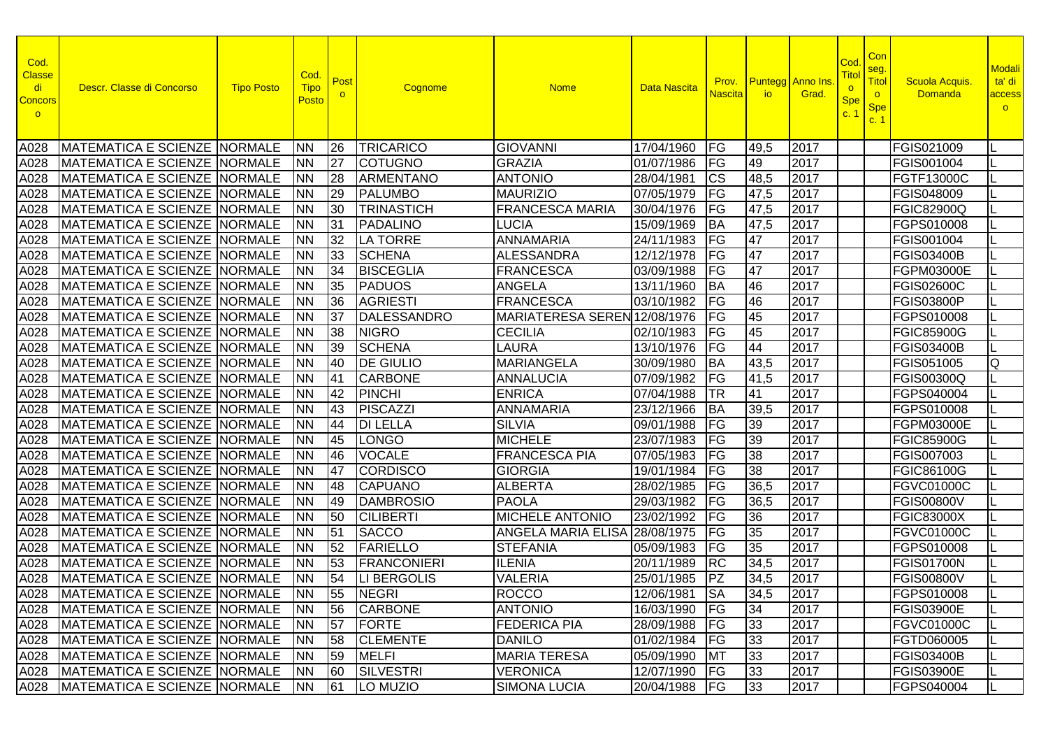| Cod.<br><b>Classe</b><br>di<br><b>Concors</b><br>$\circ$ | Descr. Classe di Concorso             | <b>Tipo Posto</b> | Cod.<br><b>Tipo</b><br>Posto | Post      | Cognome            | <b>Nome</b>                  | <b>Data Nascita</b> | Prov.<br><b>Nascita</b>           | <b>io</b> | <b>Puntegg</b> Anno Ins<br>Grad. | Cod<br><u>Titol</u><br>$\circ$<br><b>Spe</b><br>C <sup>2</sup> | Con<br>seg.<br>Titol<br>$\circ$<br><b>Spe</b><br>c. 1 | <b>Scuola Acquis</b><br><b>Domanda</b> | <b>Modali</b><br>ta' di<br>access<br>$\circ$ |
|----------------------------------------------------------|---------------------------------------|-------------------|------------------------------|-----------|--------------------|------------------------------|---------------------|-----------------------------------|-----------|----------------------------------|----------------------------------------------------------------|-------------------------------------------------------|----------------------------------------|----------------------------------------------|
| A028                                                     | MATEMATICA E SCIENZE NORMALE          |                   | <b>INN</b>                   | 26        | TRICARICO          | <b>GIOVANNI</b>              | 17/04/1960          | FG                                | 49,5      | 2017                             |                                                                |                                                       | <b>FGIS021009</b>                      |                                              |
| A028                                                     | MATEMATICA E SCIENZE NORMALE          |                   | <b>NN</b>                    | 27        | <b>COTUGNO</b>     | <b>GRAZIA</b>                | 01/07/1986          | FG                                | 49        | 2017                             |                                                                |                                                       | FGIS001004                             |                                              |
| A028                                                     | <b>IMATEMATICA E SCIENZE NORMALE</b>  |                   | <b>NN</b>                    | 28        | <b>ARMENTANO</b>   | <b>ANTONIO</b>               | 28/04/1981          | <b>CS</b>                         | 48,5      | 2017                             |                                                                |                                                       | FGTF13000C                             |                                              |
| A028                                                     | MATEMATICA E SCIENZE NORMALE          |                   | <b>NN</b>                    | 29        | <b>PALUMBO</b>     | <b>MAURIZIO</b>              | 07/05/1979          | $\overline{\mathsf{F}\mathsf{G}}$ | 47,5      | 2017                             |                                                                |                                                       | FGIS048009                             |                                              |
| A028                                                     | <b>MATEMATICA E SCIENZE NORMALE</b>   |                   | <b>NN</b>                    | 30        | <b>TRINASTICH</b>  | <b>FRANCESCA MARIA</b>       | 30/04/1976          | FG                                | 47,5      | 2017                             |                                                                |                                                       | <b>FGIC82900Q</b>                      |                                              |
| A028                                                     | MATEMATICA E SCIENZE NORMALE          |                   | <b>NN</b>                    | 31        | <b>PADALINO</b>    | <b>LUCIA</b>                 | 15/09/1969          | <b>BA</b>                         | 47,5      | 2017                             |                                                                |                                                       | FGPS010008                             |                                              |
| A028                                                     | MATEMATICA E SCIENZE NORMALE          |                   | <b>NN</b>                    | 32        | <b>LA TORRE</b>    | <b>ANNAMARIA</b>             | 24/11/1983          | FG                                | 47        | 2017                             |                                                                |                                                       | FGIS001004                             |                                              |
| A028                                                     | MATEMATICA E SCIENZE NORMALE          |                   | <b>NN</b>                    | 33        | <b>SCHENA</b>      | <b>ALESSANDRA</b>            | 12/12/1978          | FG                                | 47        | 2017                             |                                                                |                                                       | <b>FGIS03400B</b>                      |                                              |
| A028                                                     | MATEMATICA E SCIENZE NORMALE          |                   | <b>NN</b>                    | 34        | <b>BISCEGLIA</b>   | <b>FRANCESCA</b>             | 03/09/1988          | FG                                | 47        | 2017                             |                                                                |                                                       | <b>FGPM03000E</b>                      |                                              |
| A028                                                     | MATEMATICA E SCIENZE NORMALE          |                   | <b>NN</b>                    | 35        | <b>PADUOS</b>      | <b>ANGELA</b>                | 13/11/1960          | <b>BA</b>                         | 46        | 2017                             |                                                                |                                                       | <b>FGIS02600C</b>                      |                                              |
| A028                                                     | MATEMATICA E SCIENZE NORMALE          |                   | <b>NN</b>                    | 36        | <b>AGRIESTI</b>    | <b>FRANCESCA</b>             | 03/10/1982          | FG                                | 46        | 2017                             |                                                                |                                                       | <b>FGIS03800P</b>                      |                                              |
| A028                                                     | MATEMATICA E SCIENZE NORMALE          |                   | <b>NN</b>                    | 37        | DALESSANDRO        | MARIATERESA SEREN 12/08/1976 |                     | $\overline{\mathsf{F}\mathsf{G}}$ | 45        | 2017                             |                                                                |                                                       | FGPS010008                             |                                              |
| A028                                                     | MATEMATICA E SCIENZE NORMALE          |                   | <b>NN</b>                    | 38        | <b>NIGRO</b>       | <b>CECILIA</b>               | 02/10/1983          | FG                                | 45        | 2017                             |                                                                |                                                       | <b>FGIC85900G</b>                      |                                              |
| A028                                                     | MATEMATICA E SCIENZE NORMALE          |                   | <b>NN</b>                    | 39        | <b>SCHENA</b>      | <b>LAURA</b>                 | 13/10/1976          | FG                                | 44        | 2017                             |                                                                |                                                       | <b>FGIS03400B</b>                      |                                              |
| A028                                                     | MATEMATICA E SCIENZE NORMALE          |                   | <b>NN</b>                    | <b>40</b> | <b>DE GIULIO</b>   | <b>MARIANGELA</b>            | 30/09/1980          | <b>BA</b>                         | 43,5      | 2017                             |                                                                |                                                       | FGIS051005                             | Q                                            |
| A028                                                     | MATEMATICA E SCIENZE NORMALE          |                   | <b>NN</b>                    | 41        | <b>CARBONE</b>     | <b>ANNALUCIA</b>             | 07/09/1982          | FG                                | 41,5      | 2017                             |                                                                |                                                       | <b>FGIS00300Q</b>                      |                                              |
| A028                                                     | MATEMATICA E SCIENZE NORMALE          |                   | <b>NN</b>                    | 42        | PINCHI             | <b>ENRICA</b>                | 07/04/1988          | <b>TR</b>                         | 41        | 2017                             |                                                                |                                                       | FGPS040004                             |                                              |
| A028                                                     | MATEMATICA E SCIENZE NORMALE          |                   | <b>NN</b>                    | 43        | <b>PISCAZZI</b>    | <b>ANNAMARIA</b>             | 23/12/1966          | <b>BA</b>                         | 39,5      | 2017                             |                                                                |                                                       | FGPS010008                             |                                              |
| A028                                                     | <b>MATEMATICA E SCIENZE NORMALE</b>   |                   | <b>NN</b>                    | 44        | <b>DI LELLA</b>    | <b>SILVIA</b>                | 09/01/1988          | FG                                | 39        | 2017                             |                                                                |                                                       | FGPM03000E                             |                                              |
| A028                                                     | MATEMATICA E SCIENZE NORMALE          |                   | <b>NN</b>                    | 45        | <b>LONGO</b>       | <b>MICHELE</b>               | 23/07/1983          | FG                                | 39        | 2017                             |                                                                |                                                       | <b>FGIC85900G</b>                      |                                              |
| A028                                                     | <b>MATEMATICA E SCIENZE NORMALE</b>   |                   | <b>NN</b>                    | 46        | <b>VOCALE</b>      | <b>FRANCESCA PIA</b>         | 07/05/1983          | FG                                | 38        | 2017                             |                                                                |                                                       | FGIS007003                             |                                              |
| A028                                                     | MATEMATICA E SCIENZE NORMALE          |                   | <b>NN</b>                    | 47        | <b>CORDISCO</b>    | <b>GIORGIA</b>               | 19/01/1984          | FG                                | 38        | 2017                             |                                                                |                                                       | <b>FGIC86100G</b>                      |                                              |
| A028                                                     | MATEMATICA E SCIENZE NORMALE          |                   | <b>NN</b>                    | 48        | <b>CAPUANO</b>     | <b>ALBERTA</b>               | 28/02/1985          | FG                                | 36,5      | 2017                             |                                                                |                                                       | <b>FGVC01000C</b>                      |                                              |
| A028                                                     | MATEMATICA E SCIENZE NORMALE          |                   | <b>NN</b>                    | 49        | <b>DAMBROSIO</b>   | <b>PAOLA</b>                 | 29/03/1982          | FG                                | 36,5      | 2017                             |                                                                |                                                       | <b>FGIS00800V</b>                      |                                              |
| A028                                                     | MATEMATICA E SCIENZE NORMALE          |                   | <b>NN</b>                    | 50        | <b>CILIBERTI</b>   | <b>MICHELE ANTONIO</b>       | 23/02/1992          | FG                                | 36        | 2017                             |                                                                |                                                       | <b>FGIC83000X</b>                      |                                              |
| A028                                                     | MATEMATICA E SCIENZE NORMALE          |                   | <b>NN</b>                    | 51        | <b>SACCO</b>       | ANGELA MARIA ELISA           | 28/08/1975          | FG                                | 35        | 2017                             |                                                                |                                                       | <b>FGVC01000C</b>                      |                                              |
| A028                                                     | MATEMATICA E SCIENZE NORMALE          |                   | <b>NN</b>                    | 52        | FARIELLO           | <b>STEFANIA</b>              | 05/09/1983          | FG                                | 35        | 2017                             |                                                                |                                                       | FGPS010008                             |                                              |
| A028                                                     | MATEMATICA E SCIENZE NORMALE          |                   | <b>NN</b>                    | 53        | <b>FRANCONIERI</b> | <b>ILENIA</b>                | 20/11/1989          | $R$ C                             | 34,5      | 2017                             |                                                                |                                                       | <b>FGIS01700N</b>                      |                                              |
| A028                                                     | MATEMATICA E SCIENZE NORMALE          |                   | <b>INN</b>                   | 54        | <b>LI BERGOLIS</b> | <b>VALERIA</b>               | 25/01/1985          | PZ                                | 34,5      | 2017                             |                                                                |                                                       | <b>FGIS00800V</b>                      |                                              |
|                                                          | A028 MATEMATICA E SCIENZE NORMALE NN  |                   |                              |           | 55 NEGRI           | ROCCO                        | 12/06/1981 SA       |                                   | 34,5      | $\sqrt{2017}$                    |                                                                |                                                       | FGPS010008                             |                                              |
|                                                          | A028   MATEMATICA E SCIENZE   NORMALE |                   | <b>INN</b>                   | 56        | <b>CARBONE</b>     | <b>ANTONIO</b>               | 16/03/1990 FG       |                                   | 34        | 2017                             |                                                                |                                                       | <b>FGIS03900E</b>                      |                                              |
|                                                          | A028 MATEMATICA E SCIENZE NORMALE     |                   | INN.                         | 57        | FORTE              | <b>FEDERICA PIA</b>          | 28/09/1988          | <b>FG</b>                         | 33        | 2017                             |                                                                |                                                       | <b>FGVC01000C</b>                      |                                              |
|                                                          | A028   MATEMATICA E SCIENZE NORMALE   |                   | <b>NN</b>                    | 58        | <b>CLEMENTE</b>    | <b>DANILO</b>                | 01/02/1984          | <b>FG</b>                         | 33        | 2017                             |                                                                |                                                       | FGTD060005                             |                                              |
|                                                          | A028   MATEMATICA E SCIENZE NORMALE   |                   | <b>NN</b>                    | 59        | <b>MELFI</b>       | <b>MARIA TERESA</b>          | 05/09/1990          | <b>MT</b>                         | 33        | 2017                             |                                                                |                                                       | <b>FGIS03400B</b>                      |                                              |
|                                                          | A028   MATEMATICA E SCIENZE   NORMALE |                   | <b>NN</b>                    | 60        | <b>SILVESTRI</b>   | <b>VERONICA</b>              | 12/07/1990 FG       |                                   | 33        | 2017                             |                                                                |                                                       | FGIS03900E                             |                                              |
|                                                          | A028   MATEMATICA E SCIENZE NORMALE   |                   | <b>NN</b>                    | 61        | LO MUZIO           | <b>SIMONA LUCIA</b>          | 20/04/1988   FG     |                                   | 33        | 2017                             |                                                                |                                                       | FGPS040004                             |                                              |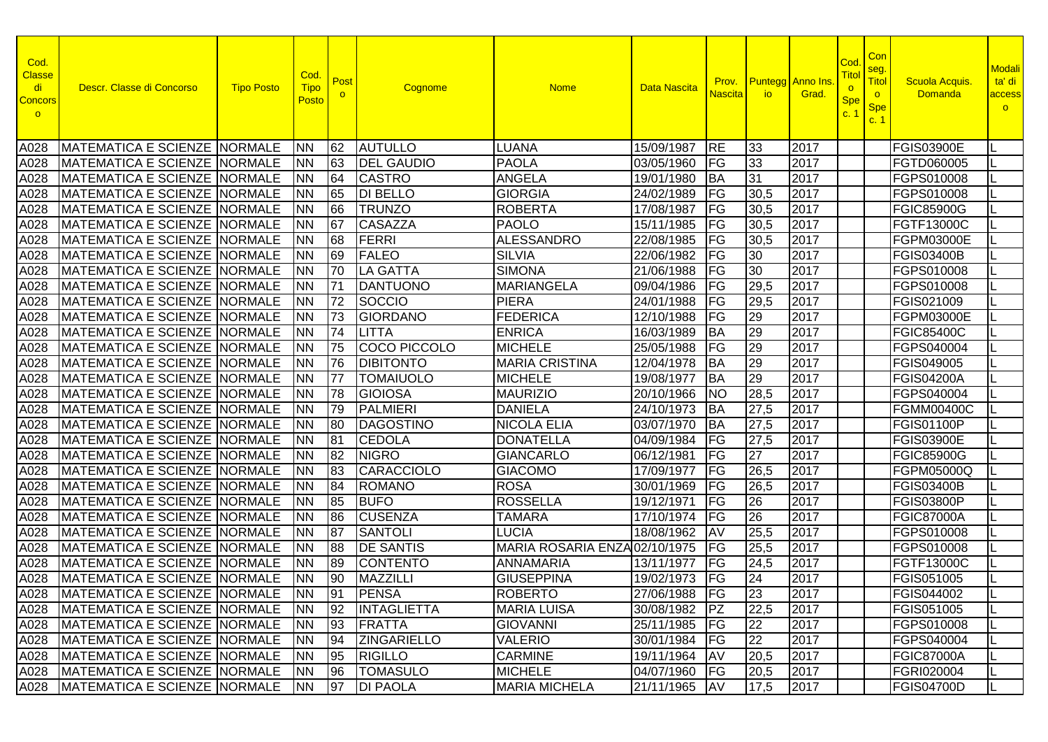| Cod.<br><b>Classe</b><br>di<br><b>Concors</b><br>$\circ$ | Descr. Classe di Concorso             | <b>Tipo Posto</b> | Cod.<br><b>Tipo</b><br><u>Posto</u> | Post      | Cognome            | <b>Nome</b>                   | Data Nascita  | Prov.<br><b>Nascita</b> | <b>Puntegg</b> Anno Ins<br>io | Grad. | Cod<br><b>Tito</b><br>$\overline{\mathbf{o}}$<br><b>Spe</b><br>c. 1 | Con<br>seg.<br>Titol<br>$\circ$<br><b>Spe</b><br>c.1 | <b>Scuola Acquis</b><br>Domanda | <b>Modali</b><br>ta' di<br>access<br>$\circ$ |
|----------------------------------------------------------|---------------------------------------|-------------------|-------------------------------------|-----------|--------------------|-------------------------------|---------------|-------------------------|-------------------------------|-------|---------------------------------------------------------------------|------------------------------------------------------|---------------------------------|----------------------------------------------|
| A028                                                     | <b>MATEMATICA E SCIENZE NORMALE</b>   |                   | <b>NN</b>                           | 62        | <b>AUTULLO</b>     | <b>LUANA</b>                  | 15/09/1987    | <b>RE</b>               | 33                            | 2017  |                                                                     |                                                      | <b>FGIS03900E</b>               |                                              |
| A028                                                     | <b>MATEMATICA E SCIENZE NORMALE</b>   |                   | <b>NN</b>                           | 63        | <b>DEL GAUDIO</b>  | <b>PAOLA</b>                  | 03/05/1960    | FG                      | 33                            | 2017  |                                                                     |                                                      | FGTD060005                      |                                              |
| A028                                                     | <b>MATEMATICA E SCIENZE NORMALE</b>   |                   | <b>NN</b>                           | 64        | <b>CASTRO</b>      | <b>ANGELA</b>                 | 19/01/1980    | <b>BA</b>               | 31                            | 2017  |                                                                     |                                                      | FGPS010008                      |                                              |
| A028                                                     | <b>MATEMATICA E SCIENZE NORMALE</b>   |                   | <b>NN</b>                           | 65        | <b>DI BELLO</b>    | <b>GIORGIA</b>                | 24/02/1989    | FG                      | 30,5                          | 2017  |                                                                     |                                                      | FGPS010008                      |                                              |
| A028                                                     | <b>MATEMATICA E SCIENZE NORMALE</b>   |                   | <b>NN</b>                           | 66        | <b>TRUNZO</b>      | <b>ROBERTA</b>                | 17/08/1987    | FG                      | 30,5                          | 2017  |                                                                     |                                                      | <b>FGIC85900G</b>               |                                              |
| A028                                                     | MATEMATICA E SCIENZE NORMALE          |                   | <b>NN</b>                           | 67        | <b>CASAZZA</b>     | <b>PAOLO</b>                  | 15/11/1985    | FG                      | 30,5                          | 2017  |                                                                     |                                                      | FGTF13000C                      |                                              |
| A028                                                     | MATEMATICA E SCIENZE NORMALE          |                   | <b>NN</b>                           | 68        | <b>FERRI</b>       | <b>ALESSANDRO</b>             | 22/08/1985    | FG                      | 30,5                          | 2017  |                                                                     |                                                      | FGPM03000E                      | IL                                           |
| A028                                                     | <b>MATEMATICA E SCIENZE NORMALE</b>   |                   | <b>NN</b>                           | 69        | <b>FALEO</b>       | <b>SILVIA</b>                 | 22/06/1982    | FG                      | 30                            | 2017  |                                                                     |                                                      | <b>FGIS03400B</b>               |                                              |
| A028                                                     | <b>MATEMATICA E SCIENZE NORMALE</b>   |                   | <b>NN</b>                           | 70        | <b>LA GATTA</b>    | <b>SIMONA</b>                 | 21/06/1988    | FG                      | 30                            | 2017  |                                                                     |                                                      | FGPS010008                      | IL                                           |
| A028                                                     | <b>MATEMATICA E SCIENZE NORMALE</b>   |                   | <b>NN</b>                           | 71        | <b>DANTUONO</b>    | <b>MARIANGELA</b>             | 09/04/1986    | FG                      | 29,5                          | 2017  |                                                                     |                                                      | FGPS010008                      |                                              |
| A028                                                     | MATEMATICA E SCIENZE NORMALE          |                   | <b>NN</b>                           | 72        | SOCCIO             | <b>PIERA</b>                  | 24/01/1988    | FG                      | 29,5                          | 2017  |                                                                     |                                                      | FGIS021009                      |                                              |
| A028                                                     | MATEMATICA E SCIENZE NORMALE          |                   | <b>NN</b>                           | 73        | <b>GIORDANO</b>    | <b>FEDERICA</b>               | 12/10/1988    | FG                      | 29                            | 2017  |                                                                     |                                                      | <b>FGPM03000E</b>               |                                              |
| A028                                                     | <b>MATEMATICA E SCIENZE NORMALE</b>   |                   | <b>NN</b>                           | 74        | <b>LITTA</b>       | <b>ENRICA</b>                 | 16/03/1989    | <b>BA</b>               | 29                            | 2017  |                                                                     |                                                      | <b>FGIC85400C</b>               |                                              |
| A028                                                     | <b>MATEMATICA E SCIENZE</b>           | <b>NORMALE</b>    | <b>NN</b>                           | 75        | COCO PICCOLO       | <b>MICHELE</b>                | 25/05/1988    | FG                      | 29                            | 2017  |                                                                     |                                                      | FGPS040004                      |                                              |
| A028                                                     | <b>MATEMATICA E SCIENZE NORMALE</b>   |                   | <b>NN</b>                           | 76        | <b>DIBITONTO</b>   | <b>MARIA CRISTINA</b>         | 12/04/1978    | <b>BA</b>               | 29                            | 2017  |                                                                     |                                                      | FGIS049005                      |                                              |
| A028                                                     | MATEMATICA E SCIENZE NORMALE          |                   | <b>NN</b>                           | 77        | <b>TOMAIUOLO</b>   | <b>MICHELE</b>                | 19/08/1977    | BA                      | $\overline{29}$               | 2017  |                                                                     |                                                      | <b>FGIS04200A</b>               |                                              |
| A028                                                     | MATEMATICA E SCIENZE NORMALE          |                   | <b>NN</b>                           | 78        | <b>GIOIOSA</b>     | <b>MAURIZIO</b>               | 20/10/1966    | <b>NO</b>               | 28,5                          | 2017  |                                                                     |                                                      | FGPS040004                      |                                              |
| A028                                                     | <b>MATEMATICA E SCIENZE NORMALE</b>   |                   | <b>NN</b>                           | 79        | <b>PALMIERI</b>    | <b>DANIELA</b>                | 24/10/1973    | <b>BA</b>               | 27,5                          | 2017  |                                                                     |                                                      | <b>FGMM00400C</b>               |                                              |
| A028                                                     | MATEMATICA E SCIENZE NORMALE          |                   | <b>NN</b>                           | 80        | <b>DAGOSTINO</b>   | NICOLA ELIA                   | 03/07/1970    | <b>BA</b>               | 27,5                          | 2017  |                                                                     |                                                      | <b>FGIS01100P</b>               |                                              |
| A028                                                     | <b>MATEMATICA E SCIENZE NORMALE</b>   |                   | <b>NN</b>                           | 81        | <b>CEDOLA</b>      | <b>DONATELLA</b>              | 04/09/1984    | FG                      | 27,5                          | 2017  |                                                                     |                                                      | <b>FGIS03900E</b>               |                                              |
| A028                                                     | <b>MATEMATICA E SCIENZE NORMALE</b>   |                   | <b>NN</b>                           | 82        | <b>NIGRO</b>       | <b>GIANCARLO</b>              | 06/12/1981    | FG                      | 27                            | 2017  |                                                                     |                                                      | <b>FGIC85900G</b>               |                                              |
| A028                                                     | MATEMATICA E SCIENZE NORMALE          |                   | <b>NN</b>                           | 83        | <b>CARACCIOLO</b>  | <b>GIACOMO</b>                | 17/09/1977    | FG                      | 26,5                          | 2017  |                                                                     |                                                      | FGPM05000Q                      |                                              |
| A028                                                     | MATEMATICA E SCIENZE NORMALE          |                   | <b>NN</b>                           | 84        | <b>ROMANO</b>      | <b>ROSA</b>                   | 30/01/1969    | FG                      | 26,5                          | 2017  |                                                                     |                                                      | <b>FGIS03400B</b>               |                                              |
| A028                                                     | MATEMATICA E SCIENZE NORMALE          |                   | <b>NN</b>                           | 85        | <b>BUFO</b>        | <b>ROSSELLA</b>               | 19/12/1971    | FG                      | 26                            | 2017  |                                                                     |                                                      | <b>FGIS03800P</b>               | IL                                           |
| A028                                                     | <b>MATEMATICA E SCIENZE NORMALE</b>   |                   | <b>NN</b>                           | 86        | <b>CUSENZA</b>     | <b>TAMARA</b>                 | 17/10/1974    | FG                      | 26                            | 2017  |                                                                     |                                                      | <b>FGIC87000A</b>               | IL                                           |
| A028                                                     | <b>MATEMATICA E SCIENZE NORMALE</b>   |                   | <b>NN</b>                           | 87        | <b>SANTOLI</b>     | <b>LUCIA</b>                  | 18/08/1962    | <b>AV</b>               | 25,5                          | 2017  |                                                                     |                                                      | FGPS010008                      | L                                            |
| A028                                                     | MATEMATICA E SCIENZE NORMALE          |                   | <b>NN</b>                           | 88        | <b>DE SANTIS</b>   | MARIA ROSARIA ENZA 02/10/1975 |               | FG                      | 25,5                          | 2017  |                                                                     |                                                      | FGPS010008                      |                                              |
| A028                                                     | <b>MATEMATICA E SCIENZE NORMALE</b>   |                   | <b>NN</b>                           | 89        | <b>CONTENTO</b>    | <b>ANNAMARIA</b>              | 13/11/1977    | <b>IFG</b>              | 24,5                          | 2017  |                                                                     |                                                      | <b>FGTF13000C</b>               | IL                                           |
| A028                                                     | MATEMATICA E SCIENZE NORMALE          |                   | <b>NN</b>                           | 90        | <b>MAZZILLI</b>    | <b>GIUSEPPINA</b>             | 19/02/1973    | <b>IFG</b>              | 24                            | 2017  |                                                                     |                                                      | FGIS051005                      |                                              |
|                                                          | A028 MATEMATICA E SCIENZE NORMALE NN  |                   |                                     | 91        | <b>PENSA</b>       | <b>ROBERTO</b>                | 27/06/1988 FG |                         | 23                            | 2017  |                                                                     |                                                      | FGIS044002                      |                                              |
|                                                          | A028   MATEMATICA E SCIENZE   NORMALE |                   | <b>INN</b>                          | <b>92</b> | <b>INTAGLIETTA</b> | <b>MARIA LUISA</b>            | 30/08/1982 PZ |                         | 22,5                          | 2017  |                                                                     |                                                      | <b>FGIS051005</b>               |                                              |
|                                                          | A028   MATEMATICA E SCIENZE NORMALE   |                   | <b>INN</b>                          | 93        | FRATTA             | <b>GIOVANNI</b>               | 25/11/1985    | <b>IFG</b>              | 22                            | 2017  |                                                                     |                                                      | FGPS010008                      |                                              |
|                                                          | A028   MATEMATICA E SCIENZE NORMALE   |                   | <b>NN</b>                           | 94        | <b>ZINGARIELLO</b> | <b>VALERIO</b>                | 30/01/1984    | FG                      | 22                            | 2017  |                                                                     |                                                      | FGPS040004                      |                                              |
| A028                                                     | MATEMATICA E SCIENZE NORMALE          |                   | <b>NN</b>                           | 95        | <b>RIGILLO</b>     | <b>CARMINE</b>                | 19/11/1964 AV |                         | 20,5                          | 2017  |                                                                     |                                                      | FGIC87000A                      |                                              |
|                                                          | A028   MATEMATICA E SCIENZE NORMALE   |                   | <b>NN</b>                           | 96        | <b>TOMASULO</b>    | <b>MICHELE</b>                | 04/07/1960    | <b>FG</b>               | 20,5                          | 2017  |                                                                     |                                                      | <b>FGRI020004</b>               |                                              |
|                                                          | A028   MATEMATICA E SCIENZE NORMALE   |                   | <b>NN</b>                           | 97        | <b>DI PAOLA</b>    | <b>MARIA MICHELA</b>          | 21/11/1965 AV |                         | 17,5                          | 2017  |                                                                     |                                                      | FGIS04700D                      | IL.                                          |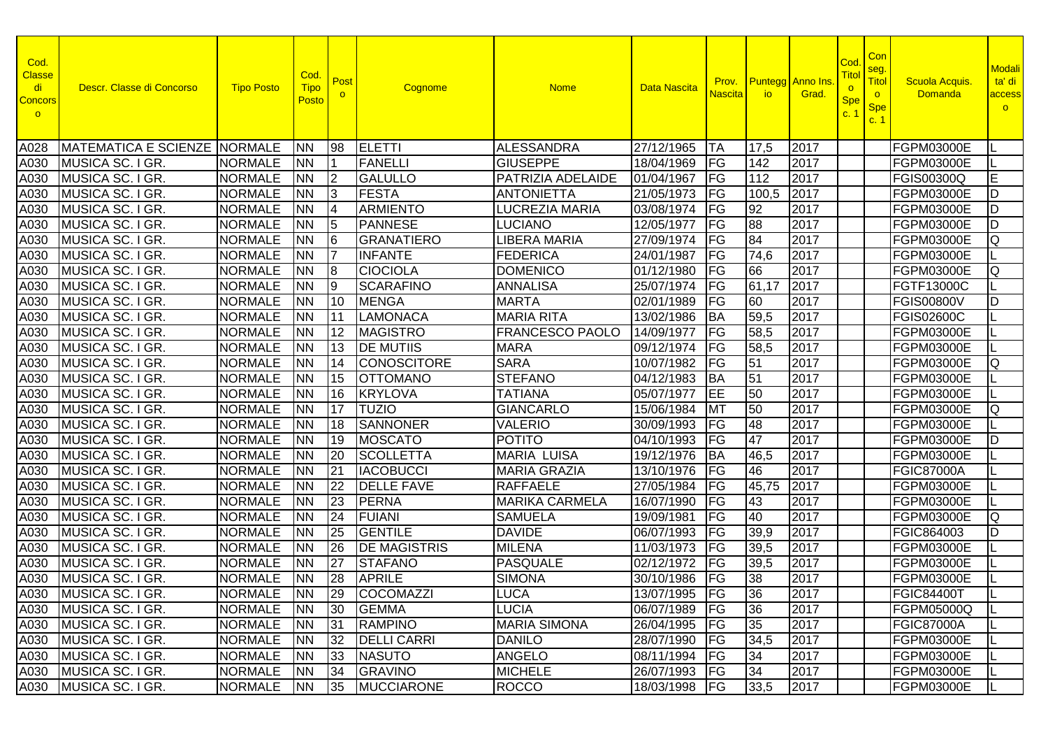| Cod.<br><b>Classe</b><br>di<br><b>Concors</b><br>$\circ$ | Descr. Classe di Concorso           | <b>Tipo Posto</b> | Cod.<br><b>Tipo</b><br><b>Posto</b> | Post<br>$\circ$ | Cognome             | <b>Nome</b>            | Data Nascita    | Prov.<br><b>Nascita</b>  | io.             | <b>Puntegg</b> Anno Ins<br>Grad. | Cod<br>Titol<br>$\overline{\mathbf{o}}$<br><b>Spe</b><br>C <sup>2</sup> | Con<br>seg.<br>Titol<br>$\circ$<br><b>Spe</b><br>c. 1 | <b>Scuola Acquis</b><br><b>Domanda</b> | <b>Modali</b><br>ta' di<br>access<br>$\circ$ |
|----------------------------------------------------------|-------------------------------------|-------------------|-------------------------------------|-----------------|---------------------|------------------------|-----------------|--------------------------|-----------------|----------------------------------|-------------------------------------------------------------------------|-------------------------------------------------------|----------------------------------------|----------------------------------------------|
| A028                                                     | <b>MATEMATICA E SCIENZE NORMALE</b> |                   | <b>NN</b>                           | 98              | <b>ELETTI</b>       | <b>ALESSANDRA</b>      | 27/12/1965      | <b>TA</b>                | 17,5            | 2017                             |                                                                         |                                                       | <b>FGPM03000E</b>                      |                                              |
| A030                                                     | MUSICA SC. I GR.                    | <b>NORMALE</b>    | <b>NN</b>                           |                 | <b>FANELLI</b>      | <b>GIUSEPPE</b>        | 18/04/1969      | FG                       | 142             | 2017                             |                                                                         |                                                       | <b>FGPM03000E</b>                      |                                              |
| A030                                                     | MUSICA SC. I GR.                    | <b>NORMALE</b>    | <b>NN</b>                           | 2               | <b>GALULLO</b>      | PATRIZIA ADELAIDE      | 01/04/1967      | FG                       | 112             | 2017                             |                                                                         |                                                       | <b>FGIS00300Q</b>                      | Е                                            |
| A030                                                     | MUSICA SC. I GR.                    | <b>NORMALE</b>    | <b>NN</b>                           | l3              | <b>FESTA</b>        | <b>ANTONIETTA</b>      | 21/05/1973      | FG                       | 100,5           | 2017                             |                                                                         |                                                       | FGPM03000E                             | ID                                           |
| A030                                                     | MUSICA SC. I GR.                    | <b>NORMALE</b>    | <b>NN</b>                           | <b>4</b>        | <b>ARMIENTO</b>     | <b>LUCREZIA MARIA</b>  | 03/08/1974      | FG                       | 92              | 2017                             |                                                                         |                                                       | <b>FGPM03000E</b>                      | ID                                           |
| A030                                                     | MUSICA SC. I GR.                    | <b>NORMALE</b>    | <b>NN</b>                           | 15              | <b>PANNESE</b>      | <b>LUCIANO</b>         | 12/05/1977      | FG                       | 88              | 2017                             |                                                                         |                                                       | FGPM03000E                             | ID                                           |
| A030                                                     | MUSICA SC. I GR.                    | <b>NORMALE</b>    | <b>NN</b>                           | 16              | <b>GRANATIERO</b>   | <b>LIBERA MARIA</b>    | 27/09/1974      | FG                       | 84              | 2017                             |                                                                         |                                                       | FGPM03000E                             | IQ                                           |
| A030                                                     | MUSICA SC. I GR.                    | <b>NORMALE</b>    | <b>NN</b>                           |                 | <b>INFANTE</b>      | FEDERICA               | 24/01/1987      | FG                       | 74,6            | 2017                             |                                                                         |                                                       | <b>FGPM03000E</b>                      |                                              |
| A030                                                     | MUSICA SC. I GR.                    | <b>NORMALE</b>    | <b>NN</b>                           | 18              | <b>CIOCIOLA</b>     | <b>DOMENICO</b>        | 01/12/1980      | FG                       | 66              | 2017                             |                                                                         |                                                       | FGPM03000E                             | lQ                                           |
| A030                                                     | MUSICA SC. I GR.                    | <b>NORMALE</b>    | <b>NN</b>                           | Ι9              | <b>SCARAFINO</b>    | <b>ANNALISA</b>        | 25/07/1974      | FG                       | 61,17           | 2017                             |                                                                         |                                                       | FGTF13000C                             |                                              |
| A030                                                     | MUSICA SC. I GR.                    | <b>NORMALE</b>    | <b>NN</b>                           | $\overline{10}$ | <b>MENGA</b>        | <b>MARTA</b>           | 02/01/1989      | FG                       | 60              | 2017                             |                                                                         |                                                       | <b>FGIS00800V</b>                      | D                                            |
| A030                                                     | MUSICA SC. I GR.                    | <b>NORMALE</b>    | <b>NN</b>                           | 11              | <b>LAMONACA</b>     | <b>MARIA RITA</b>      | 13/02/1986      | <b>BA</b>                | 59,5            | 2017                             |                                                                         |                                                       | <b>FGIS02600C</b>                      |                                              |
| A030                                                     | MUSICA SC. I GR.                    | <b>NORMALE</b>    | <b>NN</b>                           | $ 12\rangle$    | <b>MAGISTRO</b>     | <b>FRANCESCO PAOLO</b> | 14/09/1977      | FG                       | 58,5            | 2017                             |                                                                         |                                                       | FGPM03000E                             |                                              |
| A030                                                     | MUSICA SC. I GR.                    | <b>NORMALE</b>    | <b>NN</b>                           | 13              | <b>DE MUTIIS</b>    | <b>MARA</b>            | 09/12/1974      | FG                       | 58,5            | 2017                             |                                                                         |                                                       | FGPM03000E                             |                                              |
| A030                                                     | MUSICA SC. I GR.                    | <b>NORMALE</b>    | <b>NN</b>                           | 14              | <b>CONOSCITORE</b>  | <b>SARA</b>            | 10/07/1982      | <b>FG</b>                | 51              | 2017                             |                                                                         |                                                       | FGPM03000E                             | Q                                            |
| A030                                                     | MUSICA SC. I GR.                    | <b>NORMALE</b>    | <b>NN</b>                           | 15              | <b>OTTOMANO</b>     | <b>STEFANO</b>         | 04/12/1983      | <b>BA</b>                | 51              | 2017                             |                                                                         |                                                       | FGPM03000E                             |                                              |
| A030                                                     | MUSICA SC. I GR.                    | <b>NORMALE</b>    | <b>NN</b>                           | 16              | <b>KRYLOVA</b>      | <b>TATIANA</b>         | 05/07/1977      | <b>IEE</b>               | 50              | 2017                             |                                                                         |                                                       | FGPM03000E                             |                                              |
| A030                                                     | MUSICA SC. I GR.                    | <b>NORMALE</b>    | <b>NN</b>                           | <b>17</b>       | <b>TUZIO</b>        | <b>GIANCARLO</b>       | 15/06/1984      | <b>MT</b>                | 50              | 2017                             |                                                                         |                                                       | FGPM03000E                             | Q                                            |
| A030                                                     | MUSICA SC. I GR.                    | <b>NORMALE</b>    | <b>NN</b>                           | 18              | <b>SANNONER</b>     | <b>VALERIO</b>         | 30/09/1993      | FG                       | 48              | 2017                             |                                                                         |                                                       | FGPM03000E                             |                                              |
| A030                                                     | MUSICA SC. I GR.                    | <b>NORMALE</b>    | <b>NN</b>                           | 19              | <b>MOSCATO</b>      | <b>POTITO</b>          | 04/10/1993      | FG                       | 47              | 2017                             |                                                                         |                                                       | FGPM03000E                             | ID.                                          |
| A030                                                     | MUSICA SC. I GR.                    | <b>NORMALE</b>    | <b>NN</b>                           | 20              | <b>SCOLLETTA</b>    | <b>MARIA LUISA</b>     | 19/12/1976      | <b>BA</b>                | 46,5            | 2017                             |                                                                         |                                                       | FGPM03000E                             |                                              |
| A030                                                     | MUSICA SC. I GR.                    | <b>NORMALE</b>    | <b>NN</b>                           | 21              | <b>IACOBUCCI</b>    | <b>MARIA GRAZIA</b>    | 13/10/1976      | FG                       | 46              | 2017                             |                                                                         |                                                       | <b>FGIC87000A</b>                      |                                              |
| A030                                                     | MUSICA SC. I GR.                    | <b>NORMALE</b>    | <b>NN</b>                           | 22              | <b>DELLE FAVE</b>   | <b>RAFFAELE</b>        | 27/05/1984      | FG                       | 45,75           | 2017                             |                                                                         |                                                       | <b>FGPM03000E</b>                      |                                              |
| A030                                                     | MUSICA SC. I GR.                    | <b>NORMALE</b>    | <b>NN</b>                           | 23              | PERNA               | <b>MARIKA CARMELA</b>  | 16/07/1990      | FG                       | 43              | 2017                             |                                                                         |                                                       | <b>FGPM03000E</b>                      |                                              |
| A030                                                     | MUSICA SC. I GR.                    | <b>NORMALE</b>    | <b>NN</b>                           | 24              | <b>FUIANI</b>       | <b>SAMUELA</b>         | 19/09/1981      | FG                       | 40              | 2017                             |                                                                         |                                                       | <b>FGPM03000E</b>                      | lQ                                           |
| A030                                                     | MUSICA SC. I GR.                    | <b>NORMALE</b>    | <b>NN</b>                           | 25              | <b>GENTILE</b>      | <b>DAVIDE</b>          | 06/07/1993      | $\overline{\mathsf{FG}}$ | 39,9            | 2017                             |                                                                         |                                                       | FGIC864003                             | D                                            |
| A030                                                     | MUSICA SC. I GR.                    | <b>NORMALE</b>    | <b>NN</b>                           | 26              | <b>DE MAGISTRIS</b> | <b>MILENA</b>          | 11/03/1973      | FG                       | 39,5            | 2017                             |                                                                         |                                                       | <b>FGPM03000E</b>                      |                                              |
| A030                                                     | MUSICA SC. I GR.                    | <b>NORMALE</b>    | <b>NN</b>                           | 27              | <b>STAFANO</b>      | <b>PASQUALE</b>        | 02/12/1972      | $\overline{\mathsf{FG}}$ | 39,5            | 2017                             |                                                                         |                                                       | FGPM03000E                             |                                              |
| A030                                                     | MUSICA SC. I GR.                    | <b>NORMALE</b>    | <b>NN</b>                           | 28              | <b>APRILE</b>       | <b>SIMONA</b>          | 30/10/1986      | $\overline{\mathsf{FG}}$ | 38              | 2017                             |                                                                         |                                                       | <b>FGPM03000E</b>                      |                                              |
|                                                          | A030 MUSICA SC. I GR.               | NORMALE NN        |                                     |                 | 29 COCOMAZZI        | <b>LUCA</b>            | 13/07/1995 FG   |                          | $\overline{36}$ | 2017                             |                                                                         |                                                       | <b>FGIC84400T</b>                      |                                              |
|                                                          | A030 MUSICA SC. I GR.               | NORMALE NN        |                                     | $ 30\rangle$    | <b>GEMMA</b>        | <b>LUCIA</b>           | 06/07/1989 FG   |                          | 36              | 2017                             |                                                                         |                                                       | <b>FGPM05000Q</b>                      |                                              |
|                                                          | A030 MUSICA SC. I GR.               | <b>NORMALE</b>    | <b>NN</b>                           | $ 31\rangle$    | RAMPINO             | <b>MARIA SIMONA</b>    | 26/04/1995      | <b>FG</b>                | 35              | 2017                             |                                                                         |                                                       | FGIC87000A                             |                                              |
|                                                          | A030 MUSICA SC. I GR.               | <b>NORMALE</b>    | <b>NN</b>                           | 32              | <b>DELLI CARRI</b>  | <b>DANILO</b>          | 28/07/1990      | <b>IFG</b>               | 34,5            | 2017                             |                                                                         |                                                       | <b>FGPM03000E</b>                      |                                              |
|                                                          | A030 MUSICA SC. I GR.               | <b>NORMALE</b>    | <b>NN</b>                           | 33              | <b>NASUTO</b>       | <b>ANGELO</b>          | 08/11/1994      | <b>FG</b>                | 34              | 2017                             |                                                                         |                                                       | FGPM03000E                             |                                              |
|                                                          | A030 MUSICA SC. I GR.               | <b>NORMALE</b>    | <b>NN</b>                           | 34              | <b>GRAVINO</b>      | <b>MICHELE</b>         | 26/07/1993      | FG                       | 34              | 2017                             |                                                                         |                                                       | FGPM03000E                             |                                              |
|                                                          | A030 MUSICA SC. I GR.               | <b>NORMALE</b>    | <b>NN</b>                           |                 | 35 MUCCIARONE       | <b>ROCCO</b>           | 18/03/1998   FG |                          | 33,5            | 2017                             |                                                                         |                                                       | <b>FGPM03000E</b>                      |                                              |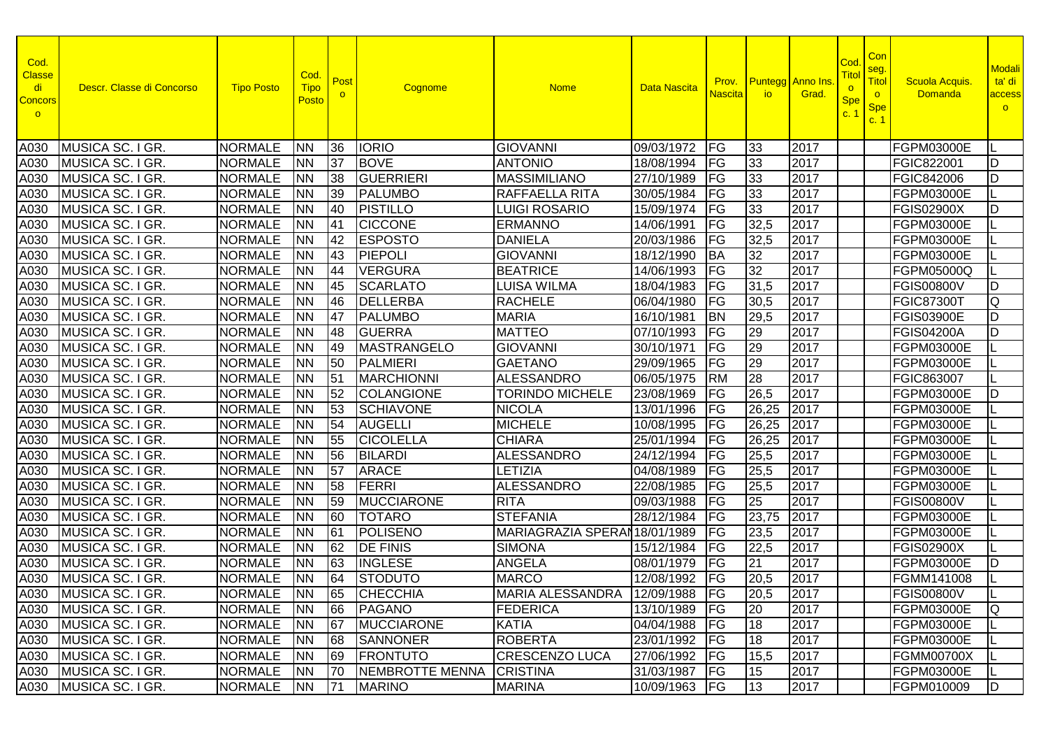| Cod.<br><b>Classe</b><br>di<br><b>Concors</b><br>$\circ$ | Descr. Classe di Concorso | <b>Tipo Posto</b> | Cod.<br><b>Tipo</b><br>Posto | Post<br>$\circ$ | Cognome           | <b>Nome</b>                    | Data Nascita    | Prov.<br><b>Nascita</b>           | io.   | <b>Puntegg</b> Anno Ins<br>Grad. | Cod<br>Tito<br>$\overline{\mathbf{o}}$<br><b>Spe</b><br>C <sup>2</sup> | Con<br>seg.<br>Titol<br>$\circ$<br><b>Spe</b><br>c. 1 | <b>Scuola Acquis</b><br><b>Domanda</b> | <b>Modali</b><br>ta' di<br>access<br>$\circ$ |
|----------------------------------------------------------|---------------------------|-------------------|------------------------------|-----------------|-------------------|--------------------------------|-----------------|-----------------------------------|-------|----------------------------------|------------------------------------------------------------------------|-------------------------------------------------------|----------------------------------------|----------------------------------------------|
| A030                                                     | MUSICA SC. I GR.          | <b>NORMALE</b>    | <b>NN</b>                    | 36              | <b>IORIO</b>      | <b>GIOVANNI</b>                | 09/03/1972      | <b>FG</b>                         | 33    | 2017                             |                                                                        |                                                       | FGPM03000E                             |                                              |
| A030                                                     | MUSICA SC. I GR.          | <b>NORMALE</b>    | <b>NN</b>                    | 37              | <b>BOVE</b>       | <b>ANTONIO</b>                 | 18/08/1994      | FG                                | 33    | 2017                             |                                                                        |                                                       | FGIC822001                             | D                                            |
| A030                                                     | MUSICA SC. I GR.          | <b>NORMALE</b>    | <b>NN</b>                    | 38              | <b>GUERRIERI</b>  | <b>MASSIMILIANO</b>            | 27/10/1989      | FG                                | 33    | 2017                             |                                                                        |                                                       | FGIC842006                             | D                                            |
| A030                                                     | MUSICA SC. I GR.          | <b>NORMALE</b>    | <b>NN</b>                    | 39              | <b>PALUMBO</b>    | RAFFAELLA RITA                 | 30/05/1984      | FG                                | 33    | 2017                             |                                                                        |                                                       | FGPM03000E                             |                                              |
| A030                                                     | MUSICA SC. I GR.          | <b>NORMALE</b>    | <b>NN</b>                    | 40              | <b>PISTILLO</b>   | <b>LUIGI ROSARIO</b>           | 15/09/1974      | FG                                | 33    | 2017                             |                                                                        |                                                       | <b>FGIS02900X</b>                      | D                                            |
| A030                                                     | MUSICA SC. I GR.          | <b>NORMALE</b>    | <b>NN</b>                    | 41              | <b>CICCONE</b>    | <b>ERMANNO</b>                 | 14/06/1991      | FG                                | 32,5  | 2017                             |                                                                        |                                                       | FGPM03000E                             |                                              |
| A030                                                     | MUSICA SC. I GR.          | <b>NORMALE</b>    | <b>NN</b>                    | 42              | <b>ESPOSTO</b>    | <b>DANIELA</b>                 | 20/03/1986      | FG                                | 32,5  | 2017                             |                                                                        |                                                       | FGPM03000E                             |                                              |
| A030                                                     | MUSICA SC. I GR.          | <b>NORMALE</b>    | <b>NN</b>                    | 43              | PIEPOLI           | <b>GIOVANNI</b>                | 18/12/1990      | <b>BA</b>                         | 32    | 2017                             |                                                                        |                                                       | FGPM03000E                             |                                              |
| A030                                                     | MUSICA SC. I GR.          | <b>NORMALE</b>    | <b>NN</b>                    | 44              | <b>VERGURA</b>    | <b>BEATRICE</b>                | 14/06/1993      | FG                                | 32    | 2017                             |                                                                        |                                                       | FGPM05000Q                             |                                              |
| A030                                                     | MUSICA SC. I GR.          | <b>NORMALE</b>    | <b>NN</b>                    | 45              | <b>SCARLATO</b>   | <b>LUISA WILMA</b>             | 18/04/1983      | FG                                | 31,5  | 2017                             |                                                                        |                                                       | <b>FGIS00800V</b>                      | ID                                           |
| A030                                                     | MUSICA SC. I GR.          | <b>NORMALE</b>    | <b>NN</b>                    | 46              | <b>DELLERBA</b>   | <b>RACHELE</b>                 | 06/04/1980      | FG                                | 30,5  | 2017                             |                                                                        |                                                       | <b>FGIC87300T</b>                      | Q                                            |
| A030                                                     | MUSICA SC. I GR.          | <b>NORMALE</b>    | <b>NN</b>                    | <b>47</b>       | <b>PALUMBO</b>    | <b>MARIA</b>                   | 16/10/1981      | <b>BN</b>                         | 29,5  | 2017                             |                                                                        |                                                       | <b>FGIS03900E</b>                      | D                                            |
| A030                                                     | MUSICA SC. I GR.          | <b>NORMALE</b>    | <b>NN</b>                    | 48              | <b>GUERRA</b>     | <b>MATTEO</b>                  | 07/10/1993      | $\overline{\mathsf{F}\mathsf{G}}$ | 29    | 2017                             |                                                                        |                                                       | <b>FGIS04200A</b>                      | D                                            |
| A030                                                     | MUSICA SC. I GR.          | <b>NORMALE</b>    | <b>NN</b>                    | 49              | MASTRANGELO       | <b>GIOVANNI</b>                | 30/10/1971      | FG                                | 29    | 2017                             |                                                                        |                                                       | FGPM03000E                             |                                              |
| A030                                                     | MUSICA SC. I GR.          | <b>NORMALE</b>    | <b>NN</b>                    | 50              | PALMIERI          | <b>GAETANO</b>                 | 29/09/1965      | FG                                | 29    | 2017                             |                                                                        |                                                       | FGPM03000E                             |                                              |
| A030                                                     | MUSICA SC. I GR.          | <b>NORMALE</b>    | <b>NN</b>                    | 51              | <b>MARCHIONNI</b> | <b>ALESSANDRO</b>              | 06/05/1975      | <b>RM</b>                         | 28    | 2017                             |                                                                        |                                                       | FGIC863007                             |                                              |
| A030                                                     | MUSICA SC. I GR.          | <b>NORMALE</b>    | <b>NN</b>                    | 52              | <b>COLANGIONE</b> | <b>TORINDO MICHELE</b>         | 23/08/1969      | FG                                | 26,5  | 2017                             |                                                                        |                                                       | FGPM03000E                             | ID                                           |
| A030                                                     | MUSICA SC. I GR.          | <b>NORMALE</b>    | <b>NN</b>                    | 53              | <b>SCHIAVONE</b>  | <b>NICOLA</b>                  | 13/01/1996      | FG                                | 26,25 | 2017                             |                                                                        |                                                       | FGPM03000E                             |                                              |
| A030                                                     | MUSICA SC. I GR.          | <b>NORMALE</b>    | <b>NN</b>                    | 54              | <b>AUGELLI</b>    | <b>MICHELE</b>                 | 10/08/1995      | FG                                | 26,25 | 2017                             |                                                                        |                                                       | FGPM03000E                             |                                              |
| A030                                                     | MUSICA SC. I GR.          | <b>NORMALE</b>    | <b>NN</b>                    | 55              | <b>CICOLELLA</b>  | <b>CHIARA</b>                  | 25/01/1994      | FG                                | 26,25 | 2017                             |                                                                        |                                                       | FGPM03000E                             |                                              |
| A030                                                     | MUSICA SC. I GR.          | <b>NORMALE</b>    | <b>NN</b>                    | 56              | <b>BILARDI</b>    | <b>ALESSANDRO</b>              | 24/12/1994      | FG                                | 25,5  | 2017                             |                                                                        |                                                       | <b>FGPM03000E</b>                      |                                              |
| A030                                                     | MUSICA SC. I GR.          | <b>NORMALE</b>    | <b>NN</b>                    | 57              | <b>ARACE</b>      | LETIZIA                        | 04/08/1989      | FG                                | 25,5  | 2017                             |                                                                        |                                                       | FGPM03000E                             |                                              |
| A030                                                     | MUSICA SC. I GR.          | <b>NORMALE</b>    | <b>NN</b>                    | 58              | <b>FERRI</b>      | <b>ALESSANDRO</b>              | 22/08/1985      | $\overline{\mathsf{FG}}$          | 25,5  | 2017                             |                                                                        |                                                       | FGPM03000E                             |                                              |
| A030                                                     | MUSICA SC. I GR.          | <b>NORMALE</b>    | <b>NN</b>                    | 59              | <b>MUCCIARONE</b> | <b>RITA</b>                    | 09/03/1988      | FG                                | 25    | 2017                             |                                                                        |                                                       | <b>FGIS00800V</b>                      |                                              |
| A030                                                     | MUSICA SC. I GR.          | <b>NORMALE</b>    | <b>NN</b>                    | 60              | <b>TOTARO</b>     | <b>STEFANIA</b>                | 28/12/1984      | $\overline{\mathsf{FG}}$          | 23,75 | 2017                             |                                                                        |                                                       | FGPM03000E                             |                                              |
| A030                                                     | MUSICA SC. I GR.          | <b>NORMALE</b>    | <b>NN</b>                    | 61              | POLISENO          | MARIAGRAZIA SPERAN 18/01/1989  |                 | FG                                | 23,5  | 2017                             |                                                                        |                                                       | <b>FGPM03000E</b>                      |                                              |
| A030                                                     | MUSICA SC. I GR.          | <b>NORMALE</b>    | <b>NN</b>                    | 62              | <b>DE FINIS</b>   | <b>SIMONA</b>                  | 15/12/1984      | $\overline{\mathsf{FG}}$          | 22,5  | 2017                             |                                                                        |                                                       | <b>FGIS02900X</b>                      |                                              |
| A030                                                     | MUSICA SC. I GR.          | <b>NORMALE</b>    | <b>NN</b>                    | 63              | <b>INGLESE</b>    | <b>ANGELA</b>                  | 08/01/1979      | FG                                | 21    | 2017                             |                                                                        |                                                       | <b>FGPM03000E</b>                      | ID                                           |
| A030                                                     | MUSICA SC. I GR.          | <b>NORMALE</b>    | <b>NN</b>                    | 64              | <b>STODUTO</b>    | <b>MARCO</b>                   | 12/08/1992      | FG                                | 20,5  | 2017                             |                                                                        |                                                       | FGMM141008                             |                                              |
|                                                          | A030 MUSICA SC. I GR.     | NORMALE NN        |                              |                 | 65 CHECCHIA       | MARIA ALESSANDRA 12/09/1988 FG |                 |                                   | 20,5  | 2017                             |                                                                        |                                                       | <b>FGIS00800V</b>                      |                                              |
|                                                          | A030 MUSICA SC. I GR.     | NORMALE NN        |                              | 66              | PAGANO            | <b>FEDERICA</b>                | 13/10/1989 FG   |                                   | 20    | 2017                             |                                                                        |                                                       | <b>FGPM03000E</b>                      | ାଠ                                           |
|                                                          | A030 MUSICA SC. I GR.     | <b>NORMALE</b>    | <b>NN</b>                    | 67              | <b>MUCCIARONE</b> | <b>KATIA</b>                   | 04/04/1988      | <b>FG</b>                         | 18    | 2017                             |                                                                        |                                                       | <b>FGPM03000E</b>                      |                                              |
|                                                          | A030 MUSICA SC. I GR.     | <b>NORMALE</b>    | <b>NN</b>                    | 68              | <b>SANNONER</b>   | <b>ROBERTA</b>                 | 23/01/1992      | <b>IFG</b>                        | 18    | 2017                             |                                                                        |                                                       | <b>FGPM03000E</b>                      |                                              |
|                                                          | A030 MUSICA SC. I GR.     | <b>NORMALE</b>    | <b>NN</b>                    | 69              | <b>FRONTUTO</b>   | <b>CRESCENZO LUCA</b>          | 27/06/1992      | FG                                | 15,5  | 2017                             |                                                                        |                                                       | <b>FGMM00700X</b>                      |                                              |
|                                                          | A030 MUSICA SC. I GR.     | <b>NORMALE</b>    | <b>NN</b>                    | 70              | NEMBROTTE MENNA   | <b>CRISTINA</b>                | 31/03/1987      | FG                                | 15    | 2017                             |                                                                        |                                                       | FGPM03000E                             |                                              |
|                                                          | A030 MUSICA SC. I GR.     | <b>NORMALE</b>    | <b>NN</b>                    | $ 71\rangle$    | <b>MARINO</b>     | <b>MARINA</b>                  | 10/09/1963   FG |                                   | 13    | 2017                             |                                                                        |                                                       | FGPM010009                             | ID.                                          |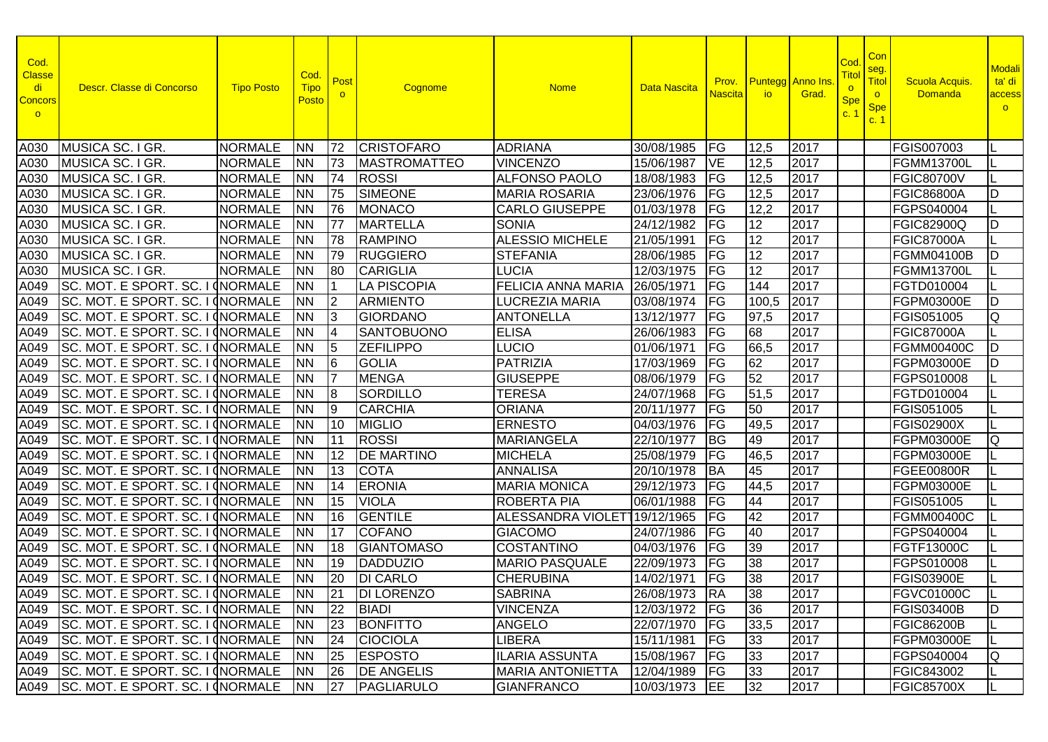| Cod.<br><b>Classe</b><br>di<br><b>Concors</b><br>$\circ$ | Descr. Classe di Concorso                  | <b>Tipo Posto</b> | Cod.<br><b>Tipo</b><br>Posto | Post<br>$\circ$ | Cognome            | <b>Nome</b>              | Data Nascita         | Prov.<br><b>Nascita</b>  | <b>io</b>       | <b>Puntegg</b> Anno Ins<br>Grad. | Cod<br>Titol<br>$\circ$<br><b>Spe</b><br>C <sup>2</sup> | Con<br>seg.<br>Titol<br>$\circ$<br><b>Spe</b><br>c. 1 | <b>Scuola Acquis</b><br><b>Domanda</b> | <b>Modali</b><br>ta' di<br>access<br>$\circ$ |
|----------------------------------------------------------|--------------------------------------------|-------------------|------------------------------|-----------------|--------------------|--------------------------|----------------------|--------------------------|-----------------|----------------------------------|---------------------------------------------------------|-------------------------------------------------------|----------------------------------------|----------------------------------------------|
| A030                                                     | MUSICA SC. I GR.                           | <b>NORMALE</b>    | <b>NN</b>                    | 72              | <b>CRISTOFARO</b>  | <b>ADRIANA</b>           | 30/08/1985           | FG                       | 12,5            | 2017                             |                                                         |                                                       | <b>FGIS007003</b>                      |                                              |
| A030                                                     | MUSICA SC. I GR.                           | <b>NORMALE</b>    | <b>NN</b>                    | 173             | MASTROMATTEO       | <b>VINCENZO</b>          | 15/06/1987           | <b>VE</b>                | 12,5            | 2017                             |                                                         |                                                       | <b>FGMM13700L</b>                      |                                              |
| A030                                                     | MUSICA SC. I GR.                           | <b>NORMALE</b>    | <b>NN</b>                    | 74              | <b>ROSSI</b>       | <b>ALFONSO PAOLO</b>     | 18/08/1983           | FG                       | 12,5            | 2017                             |                                                         |                                                       | <b>FGIC80700V</b>                      |                                              |
| A030                                                     | MUSICA SC. I GR.                           | <b>NORMALE</b>    | <b>NN</b>                    | 75              | <b>SIMEONE</b>     | <b>MARIA ROSARIA</b>     | 23/06/1976           | FG                       | 12,5            | 2017                             |                                                         |                                                       | <b>FGIC86800A</b>                      | D                                            |
| A030                                                     | MUSICA SC. I GR.                           | <b>NORMALE</b>    | <b>NN</b>                    | 76              | <b>MONACO</b>      | <b>CARLO GIUSEPPE</b>    | 01/03/1978           | FG                       | 12,2            | 2017                             |                                                         |                                                       | FGPS040004                             |                                              |
| A030                                                     | MUSICA SC. I GR.                           | <b>NORMALE</b>    | <b>NN</b>                    | 177             | <b>MARTELLA</b>    | <b>SONIA</b>             | 24/12/1982           | FG                       | 12              | 2017                             |                                                         |                                                       | <b>FGIC82900Q</b>                      | ID.                                          |
| A030                                                     | MUSICA SC. I GR.                           | <b>NORMALE</b>    | <b>NN</b>                    | 78              | <b>RAMPINO</b>     | <b>ALESSIO MICHELE</b>   | 21/05/1991           | FG                       | 12              | 2017                             |                                                         |                                                       | <b>FGIC87000A</b>                      |                                              |
| A030                                                     | MUSICA SC. I GR.                           | <b>NORMALE</b>    | <b>NN</b>                    | 79              | <b>RUGGIERO</b>    | <b>STEFANIA</b>          | 28/06/1985           | FG                       | $\overline{12}$ | 2017                             |                                                         |                                                       | <b>FGMM04100B</b>                      | ID                                           |
| A030                                                     | MUSICA SC. I GR.                           | <b>NORMALE</b>    | <b>NN</b>                    | 80              | <b>CARIGLIA</b>    | <b>LUCIA</b>             | 12/03/1975           | FG                       | 12              | 2017                             |                                                         |                                                       | <b>FGMM13700L</b>                      |                                              |
| A049                                                     | SC. MOT. E SPORT. SC. I                    | <b>CNORMALE</b>   | <b>NN</b>                    | ۱1              | <b>LA PISCOPIA</b> | FELICIA ANNA MARIA       | 26/05/1971           | FG                       | 144             | 2017                             |                                                         |                                                       | FGTD010004                             |                                              |
| A049                                                     | SC. MOT. E SPORT. SC. I (NORMALE           |                   | <b>NN</b>                    | 12              | <b>ARMIENTO</b>    | <b>LUCREZIA MARIA</b>    | 03/08/1974           | FG                       | 100,5           | 2017                             |                                                         |                                                       | <b>FGPM03000E</b>                      | ID                                           |
| A049                                                     | SC. MOT. E SPORT. SC. I CNORMALE           |                   | <b>NN</b>                    | 13              | <b>GIORDANO</b>    | <b>ANTONELLA</b>         | 13/12/1977           | FG                       | 97,5            | 2017                             |                                                         |                                                       | FGIS051005                             | Q                                            |
| A049                                                     | SC. MOT. E SPORT. SC. I CNORMALE           |                   | <b>NN</b>                    | 14              | <b>SANTOBUONO</b>  | <b>ELISA</b>             | 26/06/1983           | FG                       | 68              | 2017                             |                                                         |                                                       | <b>FGIC87000A</b>                      |                                              |
| A049                                                     | SC. MOT. E SPORT. SC. I CNORMALE           |                   | <b>NN</b>                    | 15              | <b>ZEFILIPPO</b>   | <b>LUCIO</b>             | 01/06/1971           | FG                       | 66,5            | 2017                             |                                                         |                                                       | <b>FGMM00400C</b>                      | D                                            |
| A049                                                     | SC. MOT. E SPORT. SC. I (NORMALE           |                   | <b>NN</b>                    | 16              | <b>GOLIA</b>       | PATRIZIA                 | 17/03/1969           | FG                       | 62              | 2017                             |                                                         |                                                       | FGPM03000E                             | ID                                           |
| A049                                                     | SC. MOT. E SPORT. SC. I (NORMALE           |                   | <b>NN</b>                    | 17              | <b>MENGA</b>       | <b>GIUSEPPE</b>          | 08/06/1979           | FG                       | 52              | 2017                             |                                                         |                                                       | FGPS010008                             |                                              |
| A049                                                     | SC. MOT. E SPORT. SC. I (NORMALE           |                   | <b>NN</b>                    | 18              | <b>SORDILLO</b>    | <b>TERESA</b>            | 24/07/1968           | FG                       | 51,5            | 2017                             |                                                         |                                                       | FGTD010004                             |                                              |
| A049                                                     | SC. MOT. E SPORT. SC. I (NORMALE           |                   | <b>NN</b>                    | Ι9              | <b>CARCHIA</b>     | <b>ORIANA</b>            | 20/11/1977           | <b>FG</b>                | 50              | 2017                             |                                                         |                                                       | FGIS051005                             |                                              |
| A049                                                     | SC. MOT. E SPORT. SC. I (NORMALE           |                   | <b>NN</b>                    | $\overline{10}$ | <b>MIGLIO</b>      | <b>ERNESTO</b>           | 04/03/1976           | FG                       | 49,5            | 2017                             |                                                         |                                                       | <b>FGIS02900X</b>                      |                                              |
| A049                                                     | SC. MOT. E SPORT. SC. I                    | <b>CORMALE</b>    | <b>NN</b>                    | 11              | <b>ROSSI</b>       | <b>MARIANGELA</b>        | 22/10/1977           | <b>BG</b>                | 49              | 2017                             |                                                         |                                                       | <b>FGPM03000E</b>                      | IQ.                                          |
| A049                                                     | SC. MOT. E SPORT. SC. I                    | <b>INORMALE</b>   | <b>NN</b>                    | 12              | <b>DE MARTINO</b>  | <b>MICHELA</b>           | 25/08/1979           | FG                       | 46,5            | 2017                             |                                                         |                                                       | FGPM03000E                             |                                              |
| A049                                                     | SC. MOT. E SPORT. SC. I                    | <b>INORMALE</b>   | <b>NN</b>                    | 13              | <b>COTA</b>        | <b>ANNALISA</b>          | 20/10/1978           | <b>BA</b>                | 45              | 2017                             |                                                         |                                                       | <b>FGEE00800R</b>                      |                                              |
| A049                                                     | SC. MOT. E SPORT. SC. I                    | <b>TNORMALE</b>   | <b>NN</b>                    | 14              | <b>ERONIA</b>      | <b>MARIA MONICA</b>      | 29/12/1973           | FG                       | 44,5            | 2017                             |                                                         |                                                       | <b>FGPM03000E</b>                      |                                              |
| A049                                                     | SC. MOT. E SPORT. SC. I CNORMALE           |                   | <b>NN</b>                    | 15              | <b>VIOLA</b>       | <b>ROBERTA PIA</b>       | 06/01/1988           | FG                       | 44              | 2017                             |                                                         |                                                       | FGIS051005                             |                                              |
| A049                                                     | SC. MOT. E SPORT. SC. I INORMALE           |                   | <b>NN</b>                    | 16              | <b>GENTILE</b>     | <b>ALESSANDRA VIOLET</b> | 19/12/1965           | FG                       | 42              | 2017                             |                                                         |                                                       | <b>FGMM00400C</b>                      |                                              |
| A049                                                     | SC. MOT. E SPORT. SC. I INORMALE           |                   | <b>NN</b>                    | 17              | <b>COFANO</b>      | <b>GIACOMO</b>           | 24/07/1986           | $\overline{\mathsf{FG}}$ | 40              | 2017                             |                                                         |                                                       | FGPS040004                             |                                              |
| A049                                                     | SC. MOT. E SPORT. SC. I CNORMALE           |                   | <b>NN</b>                    | 18              | <b>GIANTOMASO</b>  | <b>COSTANTINO</b>        | 04/03/1976           | FG                       | 39              | 2017                             |                                                         |                                                       | <b>FGTF13000C</b>                      |                                              |
| A049                                                     | SC. MOT. E SPORT. SC. I (NORMALE           |                   | <b>NN</b>                    | $ 19\rangle$    | <b>DADDUZIO</b>    | <b>MARIO PASQUALE</b>    | 22/09/1973           | $\overline{\mathsf{FG}}$ | 38              | 2017                             |                                                         |                                                       | FGPS010008                             |                                              |
| A049                                                     | SC. MOT. E SPORT. SC. I (NORMALE           |                   | <b>INN</b>                   | 20              | <b>DI CARLO</b>    | <b>CHERUBINA</b>         | 14/02/1971           | FG                       | 38              | 2017                             |                                                         |                                                       | <b>FGIS03900E</b>                      |                                              |
|                                                          | A049 SC. MOT. E SPORT. SC. I (NORMALE   NN |                   |                              | $\sqrt{21}$     | <b>DI LORENZO</b>  | <b>SABRINA</b>           | 26/08/1973 RA        |                          | 38              | 2017                             |                                                         |                                                       | <b>FGVC01000C</b>                      |                                              |
|                                                          | A049 SC. MOT. E SPORT. SC. I CNORMALE      |                   | <b>NN</b>                    | $ 22\rangle$    | <b>BIADI</b>       | <b>VINCENZA</b>          | 12/03/1972   FG      |                          | 36              | 2017                             |                                                         |                                                       | <b>FGIS03400B</b>                      | ID                                           |
|                                                          | A049 SC. MOT. E SPORT. SC. I (NORMALE      |                   | <b>INN</b>                   | 23              | BONFITTO           | <b>ANGELO</b>            | 22/07/1970   FG      |                          | 33,5            | 2017                             |                                                         |                                                       | <b>FGIC86200B</b>                      |                                              |
|                                                          | A049 SC. MOT. E SPORT. SC. I (NORMALE      |                   | <b>NN</b>                    | 24              | <b>CIOCIOLA</b>    | <b>LIBERA</b>            | 15/11/1981           | <b>FG</b>                | 33              | 2017                             |                                                         |                                                       | <b>FGPM03000E</b>                      |                                              |
|                                                          | A049 SC. MOT. E SPORT. SC. I CNORMALE      |                   | <b>NN</b>                    | 25              | <b>ESPOSTO</b>     | <b>ILARIA ASSUNTA</b>    | 15/08/1967           | <b>FG</b>                | 33              | 2017                             |                                                         |                                                       | FGPS040004                             | Q                                            |
|                                                          | A049 SC. MOT. E SPORT. SC. I (NORMALE      |                   | <b>NN</b>                    | 26              | <b>DE ANGELIS</b>  | <b>MARIA ANTONIETTA</b>  | 12/04/1989           | FG                       | 33              | 2017                             |                                                         |                                                       | FGIC843002                             |                                              |
|                                                          | A049 SC. MOT. E SPORT. SC. I CNORMALE      |                   | <b>NN</b>                    | 27              | PAGLIARULO         | <b>GIANFRANCO</b>        | 10/03/1973 <b>EE</b> |                          | 32              | 2017                             |                                                         |                                                       | FGIC85700X                             |                                              |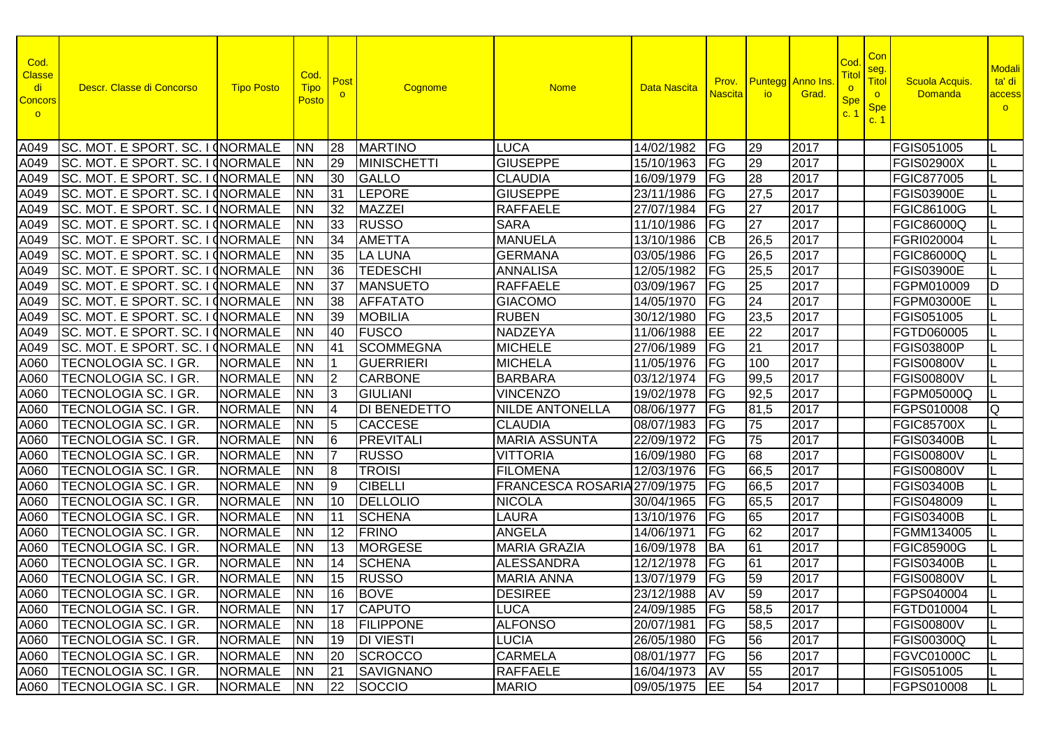| Cod.<br><b>Classe</b><br>di<br><b>Concors</b><br>$\circ$ | Descr. Classe di Concorso        | <b>Tipo Posto</b>  | Cod.<br><b>Tipo</b><br>Posto | Post<br>$\circ$ | Cognome             | <b>Nome</b>                  | <b>Data Nascita</b> | Prov.<br>Nascita <sup>l</sup> | <b>io</b>       | <b>Puntegg</b> Anno Ins.<br>Grad. | Co<br>Titc<br><b>Spe</b><br>C <sub>1</sub> | <b>Con</b><br>seg.<br><b>Titol</b><br>$\circ$<br><b>Spe</b><br>c.1 | Scuola Acquis.<br><b>Domanda</b> | <b>Modali</b><br>ta' di<br>access<br>$\circ$ |
|----------------------------------------------------------|----------------------------------|--------------------|------------------------------|-----------------|---------------------|------------------------------|---------------------|-------------------------------|-----------------|-----------------------------------|--------------------------------------------|--------------------------------------------------------------------|----------------------------------|----------------------------------------------|
| A049                                                     | SC. MOT. E SPORT. SC. I (NORMALE |                    | <b>NN</b>                    | 28              | <b>MARTINO</b>      | <b>LUCA</b>                  | 14/02/1982          | <b>IFG</b>                    | 29              | 2017                              |                                            |                                                                    | FGIS051005                       |                                              |
| A049                                                     | SC. MOT. E SPORT. SC. I CNORMALE |                    | <b>NN</b>                    | 29              | <b>MINISCHETTI</b>  | <b>GIUSEPPE</b>              | 15/10/1963          | <b>FG</b>                     | 29              | 2017                              |                                            |                                                                    | <b>FGIS02900X</b>                |                                              |
| A049                                                     | SC. MOT. E SPORT. SC. I INORMALE |                    | <b>NN</b>                    | 30              | <b>GALLO</b>        | <b>CLAUDIA</b>               | 16/09/1979          | FG                            | $\overline{28}$ | 2017                              |                                            |                                                                    | FGIC877005                       |                                              |
| A049                                                     | SC. MOT. E SPORT. SC. I INORMALE |                    | <b>NN</b>                    | 31              | <b>LEPORE</b>       | <b>GIUSEPPE</b>              | 23/11/1986          | FG                            | 27,5            | 2017                              |                                            |                                                                    | <b>FGIS03900E</b>                |                                              |
| A049                                                     | SC. MOT. E SPORT. SC. I (NORMALE |                    | <b>NN</b>                    | 32              | <b>MAZZEI</b>       | <b>RAFFAELE</b>              | 27/07/1984          | FG                            | 27              | 2017                              |                                            |                                                                    | FGIC86100G                       |                                              |
| A049                                                     | SC. MOT. E SPORT. SC. I          | <b>CNORMALE</b>    | <b>NN</b>                    | 33              | <b>RUSSO</b>        | <b>SARA</b>                  | 11/10/1986          | FG                            | 27              | 2017                              |                                            |                                                                    | FGIC86000Q                       |                                              |
| A049                                                     | SC. MOT. E SPORT. SC. I          | <b>INORMALE</b>    | <b>NN</b>                    | 34              | <b>AMETTA</b>       | <b>MANUELA</b>               | 13/10/1986          | <b>CB</b>                     | 26,5            | 2017                              |                                            |                                                                    | FGRI020004                       |                                              |
| A049                                                     | SC. MOT. E SPORT. SC. I          | <b>CNORMALE</b>    | <b>NN</b>                    | 35              | <b>LA LUNA</b>      | <b>GERMANA</b>               | 03/05/1986          | FG                            | 26,5            | 2017                              |                                            |                                                                    | FGIC86000Q                       |                                              |
| A049                                                     | SC. MOT. E SPORT. SC. I INORMALE |                    | <b>NN</b>                    | 36              | <b>TEDESCHI</b>     | <b>ANNALISA</b>              | 12/05/1982          | <b>FG</b>                     | 25,5            | 2017                              |                                            |                                                                    | <b>FGIS03900E</b>                |                                              |
| A049                                                     | SC. MOT. E SPORT. SC. I CNORMALE |                    | <b>NN</b>                    | 37              | <b>MANSUETO</b>     | <b>RAFFAELE</b>              | 03/09/1967          | <b>FG</b>                     | 25              | 2017                              |                                            |                                                                    | FGPM010009                       | ID                                           |
| A049                                                     | SC. MOT. E SPORT. SC. I CNORMALE |                    | <b>NN</b>                    | 38              | <b>AFFATATO</b>     | <b>GIACOMO</b>               | 14/05/1970          | <b>FG</b>                     | 24              | 2017                              |                                            |                                                                    | FGPM03000E                       |                                              |
| A049                                                     | SC. MOT. E SPORT. SC. I INORMALE |                    | <b>NN</b>                    | 39              | <b>MOBILIA</b>      | <b>RUBEN</b>                 | 30/12/1980          | FG                            | 23,5            | 2017                              |                                            |                                                                    | FGIS051005                       |                                              |
| A049                                                     | SC. MOT. E SPORT. SC. I          | <b>CORMALE</b>     | <b>NN</b>                    | 40              | <b>FUSCO</b>        | NADZEYA                      | 11/06/1988          | EE                            | $\overline{22}$ | 2017                              |                                            |                                                                    | FGTD060005                       |                                              |
| A049                                                     | SC. MOT. E SPORT. SC. I          | <b>CNORMALE</b>    | <b>NN</b>                    | 41              | <b>SCOMMEGNA</b>    | <b>MICHELE</b>               | 27/06/1989          | FG                            | 21              | 2017                              |                                            |                                                                    | <b>FGIS03800P</b>                |                                              |
| A060                                                     | <b>TECNOLOGIA SC. I GR.</b>      | <b>NORMALE</b>     | <b>NN</b>                    |                 | <b>GUERRIERI</b>    | <b>MICHELA</b>               | 11/05/1976          | <b>FG</b>                     | 100             | 2017                              |                                            |                                                                    | <b>FGIS00800V</b>                |                                              |
| A060                                                     | TECNOLOGIA SC. I GR.             | <b>NORMALE</b>     | <b>NN</b>                    | 12              | <b>CARBONE</b>      | <b>BARBARA</b>               | 03/12/1974          | <b>IFG</b>                    | 99,5            | 2017                              |                                            |                                                                    | <b>FGIS00800V</b>                |                                              |
| A060                                                     | <b>TECNOLOGIA SC. I GR.</b>      | <b>NORMALE</b>     | <b>NN</b>                    | 13              | <b>GIULIANI</b>     | <b>VINCENZO</b>              | 19/02/1978          | <b>FG</b>                     | 92,5            | 2017                              |                                            |                                                                    | FGPM05000Q                       |                                              |
| A060                                                     | TECNOLOGIA SC. I GR.             | <b>NORMALE</b>     | <b>NN</b>                    | 14              | <b>DI BENEDETTO</b> | <b>NILDE ANTONELLA</b>       | 08/06/1977          | <b>IFG</b>                    | 81,5            | 2017                              |                                            |                                                                    | FGPS010008                       | Q                                            |
| A060                                                     | TECNOLOGIA SC. I GR.             | <b>NORMALE</b>     | <b>NN</b>                    | 5               | <b>CACCESE</b>      | <b>CLAUDIA</b>               | 08/07/1983          | FG                            | 75              | 2017                              |                                            |                                                                    | <b>FGIC85700X</b>                |                                              |
| A060                                                     | TECNOLOGIA SC. I GR.             | <b>NORMALE</b>     | <b>NN</b>                    | 6               | <b>PREVITALI</b>    | <b>MARIA ASSUNTA</b>         | 22/09/1972          | FG                            | 75              | 2017                              |                                            |                                                                    | <b>FGIS03400B</b>                |                                              |
| A060                                                     | TECNOLOGIA SC. I GR.             | <b>NORMALE</b>     | <b>NN</b>                    |                 | <b>RUSSO</b>        | <b>VITTORIA</b>              | 16/09/1980          | FG                            | $\overline{68}$ | 2017                              |                                            |                                                                    | <b>FGIS00800V</b>                |                                              |
| A060                                                     | TECNOLOGIA SC. I GR.             | <b>NORMALE</b>     | <b>NN</b>                    | 8               | <b>TROISI</b>       | <b>FILOMENA</b>              | 12/03/1976          | FG                            | 66,5            | 2017                              |                                            |                                                                    | <b>FGIS00800V</b>                |                                              |
| A060                                                     | <b>TECNOLOGIA SC. I GR.</b>      | <b>NORMALE</b>     | <b>NN</b>                    | Ι9              | <b>CIBELLI</b>      | FRANCESCA ROSARIA 27/09/1975 |                     | FG                            | 66,5            | 2017                              |                                            |                                                                    | <b>FGIS03400B</b>                |                                              |
| A060                                                     | <b>TECNOLOGIA SC. I GR.</b>      | <b>NORMALE</b>     | <b>NN</b>                    | 10              | <b>DELLOLIO</b>     | <b>NICOLA</b>                | 30/04/1965          | FG                            | 65,5            | 2017                              |                                            |                                                                    | FGIS048009                       |                                              |
| A060                                                     | <b>TECNOLOGIA SC. I GR.</b>      | <b>NORMALE</b>     | <b>NN</b>                    | 11              | <b>SCHENA</b>       | LAURA                        | 13/10/1976          | FG                            | 65              | 2017                              |                                            |                                                                    | <b>FGIS03400B</b>                |                                              |
| A060                                                     | <b>TECNOLOGIA SC. I GR.</b>      | <b>NORMALE</b>     | <b>NN</b>                    | 12              | <b>FRINO</b>        | <b>ANGELA</b>                | 14/06/1971          | <b>IFG</b>                    | 62              | 2017                              |                                            |                                                                    | FGMM134005                       |                                              |
| A060                                                     | <b>TECNOLOGIA SC. I GR.</b>      | <b>NORMALE</b>     | <b>NN</b>                    | 13              | <b>MORGESE</b>      | <b>MARIA GRAZIA</b>          | 16/09/1978          | <b>BA</b>                     | 61              | 2017                              |                                            |                                                                    | <b>FGIC85900G</b>                |                                              |
| A060                                                     | <b>TECNOLOGIA SC. I GR.</b>      | <b>NORMALE</b>     | <b>NN</b>                    | 14              | <b>SCHENA</b>       | <b>ALESSANDRA</b>            | 12/12/1978          | <b>IFG</b>                    | 61              | 2017                              |                                            |                                                                    | <b>FGIS03400B</b>                |                                              |
| A060                                                     | <b>TECNOLOGIA SC. I GR.</b>      | <b>NORMALE</b>     | <b>NN</b>                    | 15              | <b>RUSSO</b>        | <b>MARIA ANNA</b>            | 13/07/1979          | $F$ G                         | 59              | 2017                              |                                            |                                                                    | <b>FGIS00800V</b>                |                                              |
|                                                          | A060   TECNOLOGIA SC. I GR.      | NORMALE NN 16 BOVE |                              |                 |                     | <b>DESIREE</b>               | 23/12/1988 AV       |                               | 59              | 2017                              |                                            |                                                                    | FGPS040004                       |                                              |
|                                                          | A060   TECNOLOGIA SC. I GR.      | NORMALE NN         |                              | 17              | CAPUTO              | <b>LUCA</b>                  | 24/09/1985   FG     |                               | 58,5            | 2017                              |                                            |                                                                    | FGTD010004                       |                                              |
|                                                          | A060   TECNOLOGIA SC. I GR.      | <b>NORMALE</b>     | <b>INN</b>                   |                 | 18 FILIPPONE        | <b>ALFONSO</b>               | 20/07/1981   FG     |                               | 58,5            | 2017                              |                                            |                                                                    | <b>FGIS00800V</b>                |                                              |
|                                                          | A060   TECNOLOGIA SC. I GR.      | <b>NORMALE</b>     | <b>NN</b>                    |                 | 19 DI VIESTI        | <b>LUCIA</b>                 | 26/05/1980 FG       |                               | 56              | 2017                              |                                            |                                                                    | <b>FGIS00300Q</b>                |                                              |
|                                                          | A060   TECNOLOGIA SC. I GR.      | <b>NORMALE</b>     | <b>NN</b>                    | 20              | SCROCCO             | <b>CARMELA</b>               | 08/01/1977 FG       |                               | 56              | 2017                              |                                            |                                                                    | <b>FGVC01000C</b>                |                                              |
|                                                          | A060   TECNOLOGIA SC. I GR.      | <b>NORMALE</b>     | <b>NN</b>                    | 21              | <b>SAVIGNANO</b>    | <b>RAFFAELE</b>              | 16/04/1973 AV       |                               | 55              | 2017                              |                                            |                                                                    | FGIS051005                       |                                              |
|                                                          | A060   TECNOLOGIA SC. I GR.      | <b>NORMALE</b>     | <b>NN</b>                    |                 | 22 SOCCIO           | <b>MARIO</b>                 | 09/05/1975 EE       |                               | 54              | 2017                              |                                            |                                                                    | FGPS010008                       |                                              |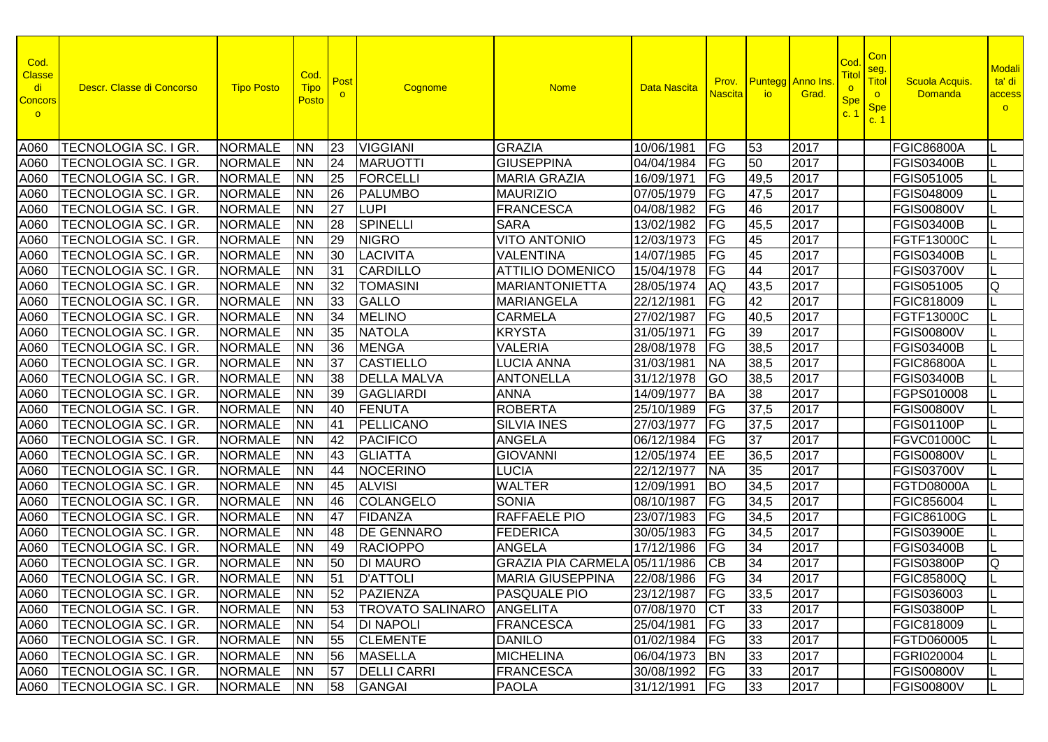| Cod.<br><b>Classe</b><br>di<br><b>Concors</b><br>$\circ$ | Descr. Classe di Concorso   | <b>Tipo Posto</b>      | Cod.<br><b>Tipo</b><br><u>Postol</u> | Post<br>$\circ$ | Cognome                          | <b>Nome</b>               | Data Nascita    | Prov.<br><b>Nascita</b>  | <b>Puntegg</b> Anno Ins<br><b>io</b> | Grad. | Cod<br><b>Tito</b><br>$\circ$<br><b>Spe</b><br>C. | <b>Con</b><br>seg.<br>Titol<br>$\circ$<br><b>Spe</b><br>c.1 | <b>Scuola Acquis</b><br><b>Domanda</b> | <b>Modali</b><br>ta' di<br>access<br>$\circ$ |
|----------------------------------------------------------|-----------------------------|------------------------|--------------------------------------|-----------------|----------------------------------|---------------------------|-----------------|--------------------------|--------------------------------------|-------|---------------------------------------------------|-------------------------------------------------------------|----------------------------------------|----------------------------------------------|
| A060                                                     | <b>TECNOLOGIA SC. I GR.</b> | <b>NORMALE</b>         | <b>NN</b>                            | 23              | <b>VIGGIANI</b>                  | <b>GRAZIA</b>             | 10/06/1981      | FG                       | 53                                   | 2017  |                                                   |                                                             | <b>FGIC86800A</b>                      |                                              |
| A060                                                     | TECNOLOGIA SC. I GR.        | <b>NORMALE</b>         | <b>NN</b>                            | 24              | <b>MARUOTTI</b>                  | <b>GIUSEPPINA</b>         | 04/04/1984      | <b>FG</b>                | 50                                   | 2017  |                                                   |                                                             | <b>FGIS03400B</b>                      |                                              |
| A060                                                     | TECNOLOGIA SC. I GR.        | <b>NORMALE</b>         | <b>NN</b>                            | 25              | <b>FORCELLI</b>                  | <b>MARIA GRAZIA</b>       | 16/09/1971      | FG                       | 49,5                                 | 2017  |                                                   |                                                             | FGIS051005                             |                                              |
| A060                                                     | TECNOLOGIA SC. I GR.        | <b>NORMALE</b>         | <b>NN</b>                            | 26              | <b>PALUMBO</b>                   | <b>MAURIZIO</b>           | 07/05/1979      | FG                       | 47,5                                 | 2017  |                                                   |                                                             | FGIS048009                             |                                              |
| A060                                                     | <b>TECNOLOGIA SC. I GR.</b> | <b>NORMALE</b>         | <b>NN</b>                            | 27              | <b>LUPI</b>                      | <b>FRANCESCA</b>          | 04/08/1982      | FG                       | 46                                   | 2017  |                                                   |                                                             | <b>FGIS00800V</b>                      |                                              |
| A060                                                     | <b>TECNOLOGIA SC. I GR.</b> | <b>NORMALE</b>         | <b>NN</b>                            | 28              | <b>SPINELLI</b>                  | <b>SARA</b>               | 13/02/1982      | FG                       | 45,5                                 | 2017  |                                                   |                                                             | <b>FGIS03400B</b>                      |                                              |
| A060                                                     | <b>TECNOLOGIA SC. I GR.</b> | <b>NORMALE</b>         | <b>NN</b>                            | 29              | <b>NIGRO</b>                     | <b>VITO ANTONIO</b>       | 12/03/1973      | FG                       | 45                                   | 2017  |                                                   |                                                             | FGTF13000C                             |                                              |
| A060                                                     | TECNOLOGIA SC. I GR.        | <b>NORMALE</b>         | <b>NN</b>                            | 30              | <b>LACIVITA</b>                  | <b>VALENTINA</b>          | 14/07/1985      | FG                       | 45                                   | 2017  |                                                   |                                                             | <b>FGIS03400B</b>                      |                                              |
| A060                                                     | TECNOLOGIA SC. I GR.        | <b>NORMALE</b>         | <b>NN</b>                            | 131             | <b>CARDILLO</b>                  | <b>ATTILIO DOMENICO</b>   | 15/04/1978      | FG                       | 44                                   | 2017  |                                                   |                                                             | <b>FGIS03700V</b>                      |                                              |
| A060                                                     | TECNOLOGIA SC. I GR.        | <b>NORMALE</b>         | <b>NN</b>                            | 32              | <b>TOMASINI</b>                  | <b>MARIANTONIETTA</b>     | 28/05/1974      | <b>AQ</b>                | 43,5                                 | 2017  |                                                   |                                                             | FGIS051005                             | Q                                            |
| A060                                                     | TECNOLOGIA SC. I GR.        | <b>NORMALE</b>         | <b>NN</b>                            | 33              | <b>GALLO</b>                     | <b>MARIANGELA</b>         | 22/12/1981      | FG                       | 42                                   | 2017  |                                                   |                                                             | FGIC818009                             |                                              |
| A060                                                     | TECNOLOGIA SC. I GR.        | <b>NORMALE</b>         | <b>NN</b>                            | 34              | <b>MELINO</b>                    | <b>CARMELA</b>            | 27/02/1987      | FG                       | 40,5                                 | 2017  |                                                   |                                                             | FGTF13000C                             |                                              |
| A060                                                     | <b>TECNOLOGIA SC. I GR.</b> | <b>NORMALE</b>         | <b>NN</b>                            | 35              | <b>NATOLA</b>                    | <b>KRYSTA</b>             | 31/05/1971      | FG                       | 39                                   | 2017  |                                                   |                                                             | <b>FGIS00800V</b>                      |                                              |
| A060                                                     | TECNOLOGIA SC. I GR.        | <b>NORMALE</b>         | <b>NN</b>                            | 36              | <b>MENGA</b>                     | <b>VALERIA</b>            | 28/08/1978      | <b>FG</b>                | 38,5                                 | 2017  |                                                   |                                                             | <b>FGIS03400B</b>                      |                                              |
| A060                                                     | <b>TECNOLOGIA SC. I GR.</b> | <b>NORMALE</b>         | <b>NN</b>                            | 37              | <b>CASTIELLO</b>                 | <b>LUCIA ANNA</b>         | 31/03/1981      | <b>NA</b>                | 38,5                                 | 2017  |                                                   |                                                             | <b>FGIC86800A</b>                      |                                              |
| A060                                                     | TECNOLOGIA SC. I GR.        | <b>NORMALE</b>         | <b>NN</b>                            | 38              | <b>DELLA MALVA</b>               | <b>ANTONELLA</b>          | 31/12/1978      | GO                       | 38,5                                 | 2017  |                                                   |                                                             | <b>FGIS03400B</b>                      |                                              |
| A060                                                     | <b>TECNOLOGIA SC. I GR.</b> | <b>NORMALE</b>         | <b>NN</b>                            | 39              | <b>GAGLIARDI</b>                 | <b>ANNA</b>               | 14/09/1977      | BA                       | 38                                   | 2017  |                                                   |                                                             | FGPS010008                             |                                              |
| A060                                                     | <b>TECNOLOGIA SC. I GR</b>  | <b>NORMALE</b>         | <b>NN</b>                            | 40              | FENUTA                           | <b>ROBERTA</b>            | 25/10/1989      | FG                       | 37,5                                 | 2017  |                                                   |                                                             | <b>FGIS00800V</b>                      |                                              |
| A060                                                     | <b>TECNOLOGIA SC. I GR.</b> | <b>NORMALE</b>         | <b>NN</b>                            | 41              | <b>PELLICANO</b>                 | <b>SILVIA INES</b>        | 27/03/1977      | FG                       | 37,5                                 | 2017  |                                                   |                                                             | <b>FGIS01100P</b>                      |                                              |
| A060                                                     | <b>TECNOLOGIA SC. I GR.</b> | <b>NORMALE</b>         | <b>NN</b>                            | 42              | <b>PACIFICO</b>                  | <b>ANGELA</b>             | 06/12/1984      | FG                       | 37                                   | 2017  |                                                   |                                                             | <b>FGVC01000C</b>                      |                                              |
| A060                                                     | TECNOLOGIA SC. I GR.        | <b>NORMALE</b>         | <b>NN</b>                            | 43              | <b>GLIATTA</b>                   | <b>GIOVANNI</b>           | 12/05/1974      | EE                       | 36,5                                 | 2017  |                                                   |                                                             | <b>FGIS00800V</b>                      |                                              |
| A060                                                     | TECNOLOGIA SC. I GR.        | <b>NORMALE</b>         | <b>NN</b>                            | 44              | <b>NOCERINO</b>                  | <b>LUCIA</b>              | 22/12/1977      | <b>NA</b>                | 35                                   | 2017  |                                                   |                                                             | <b>FGIS03700V</b>                      |                                              |
| A060                                                     | <b>TECNOLOGIA SC. I GR.</b> | <b>NORMALE</b>         | <b>NN</b>                            | 45              | <b>ALVISI</b>                    | <b>WALTER</b>             | 12/09/1991      | <b>BO</b>                | 34,5                                 | 2017  |                                                   |                                                             | FGTD08000A                             |                                              |
| A060                                                     | TECNOLOGIA SC. I GR.        | <b>NORMALE</b>         | <b>NN</b>                            | 46              | <b>COLANGELO</b>                 | <b>SONIA</b>              | 08/10/1987      | $\overline{\mathsf{FG}}$ | 34,5                                 | 2017  |                                                   |                                                             | <b>FGIC856004</b>                      |                                              |
| A060                                                     | TECNOLOGIA SC. I GR.        | <b>NORMALE</b>         | <b>NN</b>                            | 47              | FIDANZA                          | <b>RAFFAELE PIO</b>       | 23/07/1983      | FG                       | 34,5                                 | 2017  |                                                   |                                                             | <b>FGIC86100G</b>                      |                                              |
| A060                                                     | TECNOLOGIA SC. I GR.        | <b>NORMALE</b>         | <b>NN</b>                            | 48              | <b>DE GENNARO</b>                | <b>FEDERICA</b>           | 30/05/1983      | FG                       | 34,5                                 | 2017  |                                                   |                                                             | <b>FGIS03900E</b>                      |                                              |
| A060                                                     | TECNOLOGIA SC. I GR.        | <b>NORMALE</b>         | <b>NN</b>                            | 49              | <b>RACIOPPO</b>                  | <b>ANGELA</b>             | 17/12/1986      | FG                       | 34                                   | 2017  |                                                   |                                                             | <b>FGIS03400B</b>                      |                                              |
| A060                                                     | <b>TECNOLOGIA SC. I GR.</b> | <b>NORMALE</b>         | <b>NN</b>                            | 50              | <b>DI MAURO</b>                  | <b>GRAZIA PIA CARMELA</b> | 05/11/1986      | $\overline{CB}$          | 34                                   | 2017  |                                                   |                                                             | <b>FGIS03800P</b>                      | Q                                            |
| A060                                                     | <b>TECNOLOGIA SC. I GR.</b> | <b>NORMALE</b>         | <b>NN</b>                            | $\overline{51}$ | <b>D'ATTOLI</b>                  | <b>MARIA GIUSEPPINA</b>   | 22/08/1986      | $\overline{\mathsf{FG}}$ | 34                                   | 2017  |                                                   |                                                             | <b>FGIC85800Q</b>                      |                                              |
|                                                          | A060   TECNOLOGIA SC. I GR. | NORMALE NN 52 PAZIENZA |                                      |                 |                                  | <b>PASQUALE PIO</b>       | 23/12/1987 FG   |                          | 33,5                                 | 2017  |                                                   |                                                             | FGIS036003                             |                                              |
|                                                          | A060   TECNOLOGIA SC. I GR. | <b>NORMALE</b>         | INN                                  | <b>53</b>       | <b>TROVATO SALINARO ANGELITA</b> |                           | 07/08/1970 CT   |                          | 33                                   | 2017  |                                                   |                                                             | FGIS03800P                             |                                              |
|                                                          | A060   TECNOLOGIA SC. I GR. | <b>NORMALE</b>         | <b>INN</b>                           | 54              | <b>DI NAPOLI</b>                 | FRANCESCA                 | 25/04/1981   FG |                          | 33                                   | 2017  |                                                   |                                                             | FGIC818009                             |                                              |
|                                                          | A060   TECNOLOGIA SC. I GR. | <b>NORMALE</b>         | <b>NN</b>                            | 55              | <b>CLEMENTE</b>                  | <b>DANILO</b>             | 01/02/1984 FG   |                          | 33                                   | 2017  |                                                   |                                                             | FGTD060005                             |                                              |
|                                                          | A060   TECNOLOGIA SC. I GR. | <b>NORMALE</b>         | <b>NN</b>                            | 156             | <b>MASELLA</b>                   | <b>MICHELINA</b>          | 06/04/1973      | <b>BN</b>                | 33                                   | 2017  |                                                   |                                                             | FGRI020004                             |                                              |
|                                                          | A060   TECNOLOGIA SC. I GR. | <b>NORMALE</b>         | <b>NN</b>                            | 157             | <b>DELLI CARRI</b>               | <b>FRANCESCA</b>          | 30/08/1992   FG |                          | 33                                   | 2017  |                                                   |                                                             | <b>FGIS00800V</b>                      |                                              |
|                                                          | A060   TECNOLOGIA SC. I GR. | <b>NORMALE</b>         | <b>NN</b>                            |                 | 58 GANGAI                        | <b>PAOLA</b>              | 31/12/1991   FG |                          | 33                                   | 2017  |                                                   |                                                             | <b>FGIS00800V</b>                      |                                              |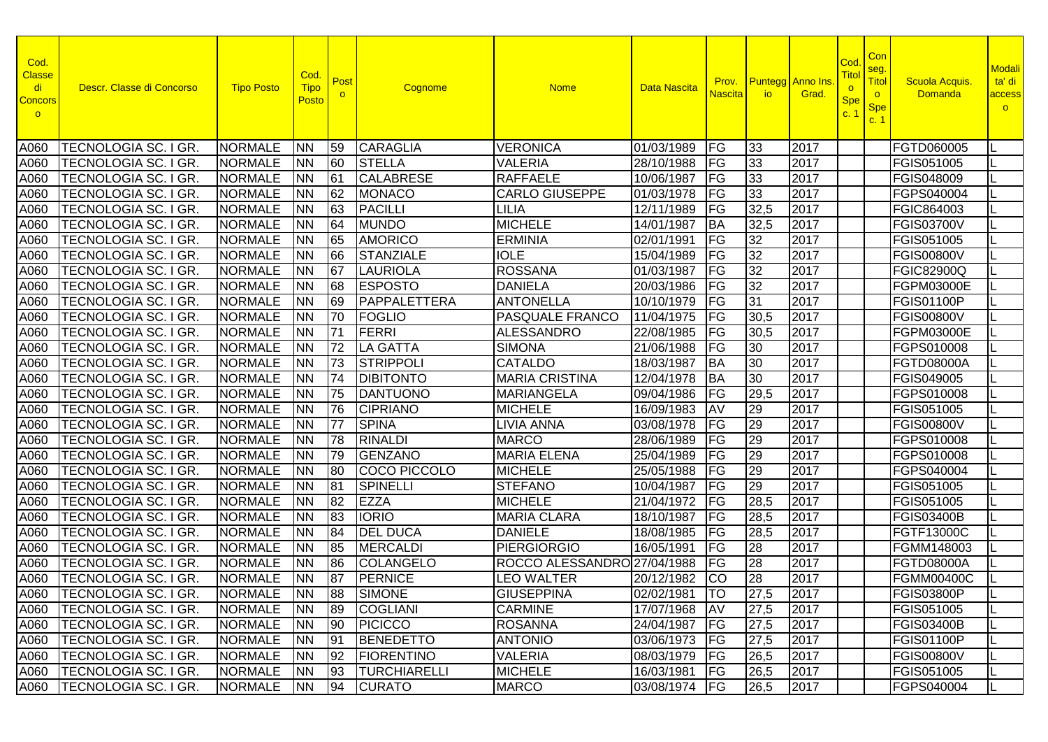| Cod.<br><b>Classe</b><br>di<br><b>Concors</b><br>$\circ$ | Descr. Classe di Concorso   | <b>Tipo Posto</b> | Cod.<br><b>Tipo</b><br>Posto | Post      | Cognome             | <b>Nome</b>                 | <b>Data Nascita</b> | Prov.<br><b>Nascita</b>  | <b>io</b> | <b>Puntegg</b> Anno Ins<br>Grad. | Cod<br><u>Titol</u><br>$\circ$<br><b>Spe</b><br>C <sup>2</sup> | Con<br>seg.<br>Titol<br>$\circ$<br><b>Spe</b><br>c. 1 | <b>Scuola Acquis</b><br><b>Domanda</b> | <b>Modali</b><br>ta' di<br>access<br>$\circ$ |
|----------------------------------------------------------|-----------------------------|-------------------|------------------------------|-----------|---------------------|-----------------------------|---------------------|--------------------------|-----------|----------------------------------|----------------------------------------------------------------|-------------------------------------------------------|----------------------------------------|----------------------------------------------|
| A060                                                     | TECNOLOGIA SC. I GR.        | <b>NORMALE</b>    | <b>NN</b>                    | 59        | <b>CARAGLIA</b>     | <b>VERONICA</b>             | 01/03/1989          | FG                       | 33        | 2017                             |                                                                |                                                       | FGTD060005                             |                                              |
| A060                                                     | <b>TECNOLOGIA SC. I GR.</b> | <b>NORMALE</b>    | <b>NN</b>                    | 60        | <b>STELLA</b>       | <b>VALERIA</b>              | 28/10/1988          | FG                       | 33        | 2017                             |                                                                |                                                       | FGIS051005                             |                                              |
| A060                                                     | TECNOLOGIA SC. I GR.        | <b>NORMALE</b>    | <b>NN</b>                    | 61        | <b>CALABRESE</b>    | <b>RAFFAELE</b>             | 10/06/1987          | FG                       | 33        | 2017                             |                                                                |                                                       | FGIS048009                             |                                              |
| A060                                                     | TECNOLOGIA SC. I GR.        | <b>NORMALE</b>    | <b>NN</b>                    | 62        | <b>MONACO</b>       | <b>CARLO GIUSEPPE</b>       | 01/03/1978          | FG                       | 33        | 2017                             |                                                                |                                                       | FGPS040004                             |                                              |
| A060                                                     | TECNOLOGIA SC. I GR.        | <b>NORMALE</b>    | <b>NN</b>                    | 63        | <b>PACILLI</b>      | <b>LILIA</b>                | 12/11/1989          | FG                       | 32,5      | 2017                             |                                                                |                                                       | FGIC864003                             |                                              |
| A060                                                     | TECNOLOGIA SC. I GR.        | <b>NORMALE</b>    | <b>NN</b>                    | 64        | <b>MUNDO</b>        | <b>MICHELE</b>              | 14/01/1987          | <b>BA</b>                | 32,5      | 2017                             |                                                                |                                                       | <b>FGIS03700V</b>                      |                                              |
| A060                                                     | TECNOLOGIA SC. I GR.        | <b>NORMALE</b>    | <b>NN</b>                    | 65        | <b>AMORICO</b>      | <b>ERMINIA</b>              | 02/01/1991          | FG                       | 32        | 2017                             |                                                                |                                                       | FGIS051005                             |                                              |
| A060                                                     | TECNOLOGIA SC. I GR.        | <b>NORMALE</b>    | <b>NN</b>                    | 66        | <b>STANZIALE</b>    | <b>IOLE</b>                 | 15/04/1989          | FG                       | 32        | 2017                             |                                                                |                                                       | <b>FGIS00800V</b>                      |                                              |
| A060                                                     | TECNOLOGIA SC. I GR.        | <b>NORMALE</b>    | <b>NN</b>                    | 67        | LAURIOLA            | <b>ROSSANA</b>              | 01/03/1987          | FG                       | 32        | 2017                             |                                                                |                                                       | <b>FGIC82900Q</b>                      |                                              |
| A060                                                     | <b>TECNOLOGIA SC. I GR.</b> | <b>NORMALE</b>    | <b>NN</b>                    | 68        | <b>ESPOSTO</b>      | <b>DANIELA</b>              | 20/03/1986          | FG                       | 32        | 2017                             |                                                                |                                                       | <b>FGPM03000E</b>                      |                                              |
| A060                                                     | TECNOLOGIA SC. I GR.        | <b>NORMALE</b>    | <b>NN</b>                    | 69        | PAPPALETTERA        | <b>ANTONELLA</b>            | 10/10/1979          | FG                       | 31        | 2017                             |                                                                |                                                       | <b>FGIS01100P</b>                      |                                              |
| A060                                                     | TECNOLOGIA SC. I GR.        | <b>NORMALE</b>    | <b>NN</b>                    | 70        | <b>FOGLIO</b>       | PASQUALE FRANCO             | 11/04/1975          | FG                       | 30,5      | 2017                             |                                                                |                                                       | <b>FGIS00800V</b>                      |                                              |
| A060                                                     | TECNOLOGIA SC. I GR.        | <b>NORMALE</b>    | <b>INN</b>                   | 71        | FERRI               | <b>ALESSANDRO</b>           | 22/08/1985          | FG                       | 30,5      | 2017                             |                                                                |                                                       | FGPM03000E                             |                                              |
| A060                                                     | TECNOLOGIA SC. I GR.        | <b>NORMALE</b>    | <b>NN</b>                    | 72        | <b>LA GATTA</b>     | <b>SIMONA</b>               | 21/06/1988          | FG                       | 30        | 2017                             |                                                                |                                                       | FGPS010008                             |                                              |
| A060                                                     | TECNOLOGIA SC. I GR.        | <b>NORMALE</b>    | <b>NN</b>                    | 73        | <b>STRIPPOLI</b>    | <b>CATALDO</b>              | 18/03/1987          | <b>BA</b>                | 30        | 2017                             |                                                                |                                                       | <b>FGTD08000A</b>                      |                                              |
| A060                                                     | <b>TECNOLOGIA SC. I GR.</b> | <b>NORMALE</b>    | <b>NN</b>                    | 74        | <b>DIBITONTO</b>    | <b>MARIA CRISTINA</b>       | 12/04/1978          | <b>BA</b>                | 30        | 2017                             |                                                                |                                                       | FGIS049005                             |                                              |
| A060                                                     | TECNOLOGIA SC. I GR.        | <b>NORMALE</b>    | <b>NN</b>                    | 75        | <b>DANTUONO</b>     | <b>MARIANGELA</b>           | 09/04/1986          | FG                       | 29,5      | 2017                             |                                                                |                                                       | FGPS010008                             |                                              |
| A060                                                     | TECNOLOGIA SC. I GR.        | <b>NORMALE</b>    | <b>NN</b>                    | 76        | <b>CIPRIANO</b>     | <b>MICHELE</b>              | 16/09/1983          | AV                       | 29        | 2017                             |                                                                |                                                       | FGIS051005                             |                                              |
| A060                                                     | TECNOLOGIA SC. I GR.        | <b>NORMALE</b>    | <b>NN</b>                    | 77        | <b>SPINA</b>        | LIVIA ANNA                  | 03/08/1978          | FG                       | 29        | 2017                             |                                                                |                                                       | <b>FGIS00800V</b>                      |                                              |
| A060                                                     | TECNOLOGIA SC. I GR.        | <b>NORMALE</b>    | <b>NN</b>                    | 78        | RINALDI             | <b>MARCO</b>                | 28/06/1989          | FG                       | 29        | 2017                             |                                                                |                                                       | FGPS010008                             |                                              |
| A060                                                     | TECNOLOGIA SC. I GR.        | <b>NORMALE</b>    | <b>NN</b>                    | 79        | <b>GENZANO</b>      | <b>MARIA ELENA</b>          | 25/04/1989          | FG                       | 29        | 2017                             |                                                                |                                                       | FGPS010008                             |                                              |
| A060                                                     | TECNOLOGIA SC. I GR.        | <b>NORMALE</b>    | <b>NN</b>                    | 80        | <b>COCO PICCOLO</b> | <b>MICHELE</b>              | 25/05/1988          | FG                       | 29        | 2017                             |                                                                |                                                       | FGPS040004                             |                                              |
| A060                                                     | TECNOLOGIA SC. I GR.        | <b>NORMALE</b>    | <b>NN</b>                    | 81        | <b>SPINELLI</b>     | <b>STEFANO</b>              | 10/04/1987          | FG                       | 29        | 2017                             |                                                                |                                                       | FGIS051005                             |                                              |
| A060                                                     | TECNOLOGIA SC. I GR.        | <b>NORMALE</b>    | <b>NN</b>                    | 82        | <b>EZZA</b>         | <b>MICHELE</b>              | 21/04/1972          | FG                       | 28,5      | 2017                             |                                                                |                                                       | FGIS051005                             |                                              |
| A060                                                     | TECNOLOGIA SC. I GR.        | <b>NORMALE</b>    | <b>NN</b>                    | 83        | <b>IORIO</b>        | <b>MARIA CLARA</b>          | 18/10/1987          | FG                       | 28,5      | 2017                             |                                                                |                                                       | <b>FGIS03400B</b>                      |                                              |
| A060                                                     | <b>TECNOLOGIA SC. I GR.</b> | <b>NORMALE</b>    | <b>NN</b>                    | 84        | <b>DEL DUCA</b>     | <b>DANIELE</b>              | 18/08/1985          | FG                       | 28,5      | 2017                             |                                                                |                                                       | FGTF13000C                             |                                              |
| A060                                                     | TECNOLOGIA SC. I GR.        | <b>NORMALE</b>    | <b>NN</b>                    | 85        | <b>MERCALDI</b>     | <b>PIERGIORGIO</b>          | 16/05/1991          | FG                       | 28        | 2017                             |                                                                |                                                       | FGMM148003                             |                                              |
| A060                                                     | TECNOLOGIA SC. I GR.        | <b>NORMALE</b>    | <b>NN</b>                    | 86        | <b>COLANGELO</b>    | ROCCO ALESSANDRO 27/04/1988 |                     | $\overline{\mathsf{FG}}$ | 28        | 2017                             |                                                                |                                                       | <b>FGTD08000A</b>                      |                                              |
| A060                                                     | <b>TECNOLOGIA SC. I GR.</b> | <b>NORMALE</b>    | <b>NN</b>                    | 87        | <b>PERNICE</b>      | <b>LEO WALTER</b>           | 20/12/1982          | <b>CO</b>                | 28        | 2017                             |                                                                |                                                       | <b>FGMM00400C</b>                      |                                              |
|                                                          | A060   TECNOLOGIA SC. I GR. | NORMALE NN        |                              | 88        | SIMONE              | <b>GIUSEPPINA</b>           | 02/02/1981 TO       |                          | 27,5      | $\boxed{2017}$                   |                                                                |                                                       | <b>FGIS03800P</b>                      |                                              |
|                                                          | A060   TECNOLOGIA SC. I GR. | NORMALE           | <b>NN</b>                    | <b>89</b> | <b>COGLIANI</b>     | <b>CARMINE</b>              | 17/07/1968 AV       |                          | 27,5      | 2017                             |                                                                |                                                       | <b>FGIS051005</b>                      |                                              |
|                                                          | A060   TECNOLOGIA SC. I GR. | <b>NORMALE</b>    | <b>NN</b>                    | 90        | PICICCO             | <b>ROSANNA</b>              | 24/04/1987   FG     |                          | 27,5      | 2017                             |                                                                |                                                       | <b>FGIS03400B</b>                      |                                              |
|                                                          | A060   TECNOLOGIA SC. I GR. | <b>NORMALE</b>    | <b>NN</b>                    | 91        | BENEDETTO           | <b>ANTONIO</b>              | 03/06/1973   FG     |                          | 27,5      | 2017                             |                                                                |                                                       | <b>FGIS01100P</b>                      |                                              |
|                                                          | A060   TECNOLOGIA SC. I GR. | NORMALE           | <b>NN</b>                    | 92        | FIORENTINO          | <b>VALERIA</b>              | 08/03/1979   FG     |                          | 26,5      | 2017                             |                                                                |                                                       | <b>FGIS00800V</b>                      |                                              |
|                                                          | A060   TECNOLOGIA SC. I GR. | <b>NORMALE</b>    | <b>NN</b>                    | 93        | <b>TURCHIARELLI</b> | <b>MICHELE</b>              | 16/03/1981          | FG                       | 26,5      | 2017                             |                                                                |                                                       | FGIS051005                             |                                              |
|                                                          | A060   TECNOLOGIA SC. I GR. | <b>NORMALE</b>    | <b>NN</b>                    |           | 94 CURATO           | <b>MARCO</b>                | 03/08/1974   FG     |                          | 26,5      | 2017                             |                                                                |                                                       | FGPS040004                             |                                              |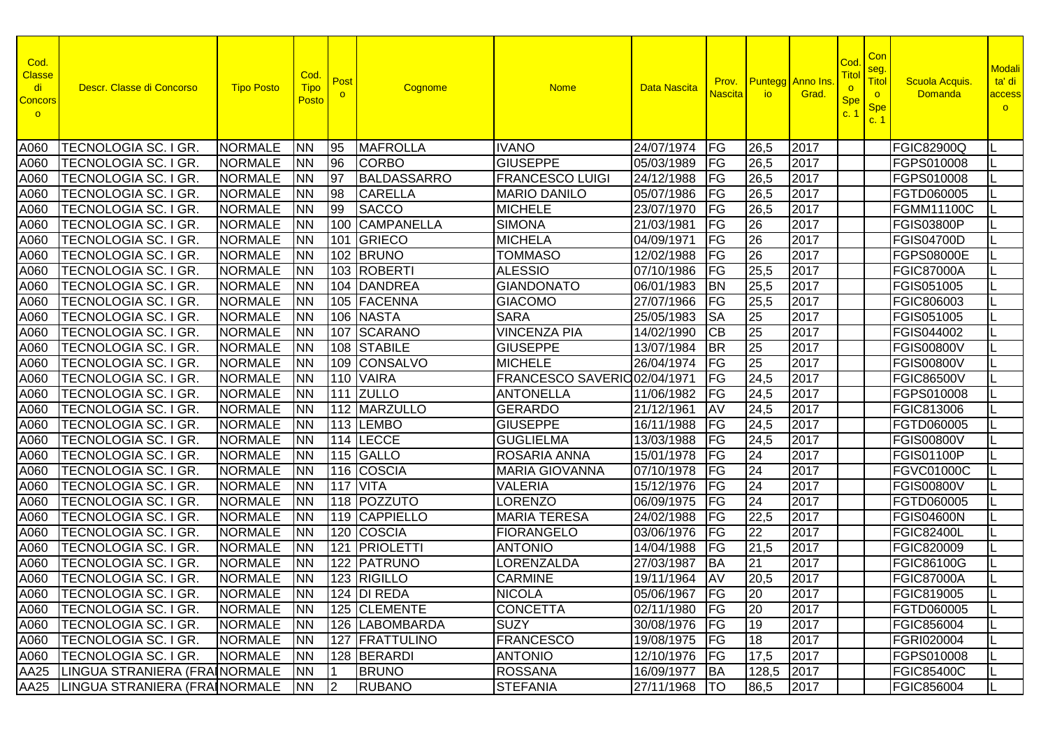| Cod.<br><b>Classe</b><br>di<br><b>Concors</b><br>$\circ$ | Descr. Classe di Concorso            | <b>Tipo Posto</b> | Cod.<br><b>Tipo</b><br>Posto | Post | Cognome            | <b>Nome</b>                  | Data Nascita        | Prov.<br><b>Nascita</b> | <b>io</b>       | <b>Puntegg</b> Anno Ins<br>Grad. | Cod<br><u>Titol</u><br>$\circ$<br><b>Spe</b><br>C <sup>2</sup> | Con<br>seg.<br>Titol<br>$\circ$<br><b>Spe</b><br>c. 1 | <b>Scuola Acquis</b><br><b>Domanda</b> | <b>Modali</b><br>ta' di<br>access<br>$\circ$ |
|----------------------------------------------------------|--------------------------------------|-------------------|------------------------------|------|--------------------|------------------------------|---------------------|-------------------------|-----------------|----------------------------------|----------------------------------------------------------------|-------------------------------------------------------|----------------------------------------|----------------------------------------------|
| A060                                                     | TECNOLOGIA SC. I GR.                 | <b>NORMALE</b>    | <b>NN</b>                    | 195  | <b>MAFROLLA</b>    | <b>IVANO</b>                 | 24/07/1974          | FG                      | 26,5            | 2017                             |                                                                |                                                       | <b>FGIC82900Q</b>                      |                                              |
| A060                                                     | <b>TECNOLOGIA SC. I GR.</b>          | <b>NORMALE</b>    | <b>NN</b>                    | 96   | <b>CORBO</b>       | <b>GIUSEPPE</b>              | 05/03/1989          | FG                      | 26,5            | 2017                             |                                                                |                                                       | FGPS010008                             |                                              |
| A060                                                     | TECNOLOGIA SC. I GR.                 | <b>NORMALE</b>    | <b>NN</b>                    | 97   | <b>BALDASSARRO</b> | <b>FRANCESCO LUIGI</b>       | 24/12/1988          | FG                      | 26,5            | 2017                             |                                                                |                                                       | FGPS010008                             |                                              |
| A060                                                     | TECNOLOGIA SC. I GR.                 | <b>NORMALE</b>    | <b>NN</b>                    | 98   | <b>CARELLA</b>     | <b>MARIO DANILO</b>          | 05/07/1986          | FG                      | 26,5            | 2017                             |                                                                |                                                       | FGTD060005                             |                                              |
| A060                                                     | TECNOLOGIA SC. I GR.                 | <b>NORMALE</b>    | <b>NN</b>                    | 99   | <b>SACCO</b>       | <b>MICHELE</b>               | 23/07/1970          | FG                      | 26,5            | 2017                             |                                                                |                                                       | <b>FGMM11100C</b>                      |                                              |
| A060                                                     | TECNOLOGIA SC. I GR.                 | <b>NORMALE</b>    | <b>NN</b>                    | 100  | <b>CAMPANELLA</b>  | <b>SIMONA</b>                | 21/03/1981          | FG                      | 26              | 2017                             |                                                                |                                                       | <b>FGIS03800P</b>                      |                                              |
| A060                                                     | TECNOLOGIA SC. I GR.                 | <b>NORMALE</b>    | <b>NN</b>                    |      | 101 GRIECO         | <b>MICHELA</b>               | 04/09/1971          | FG                      | 26              | 2017                             |                                                                |                                                       | <b>FGIS04700D</b>                      |                                              |
| A060                                                     | TECNOLOGIA SC. I GR.                 | <b>NORMALE</b>    | <b>NN</b>                    |      | 102 BRUNO          | <b>TOMMASO</b>               | 12/02/1988          | FG                      | 26              | 2017                             |                                                                |                                                       | <b>FGPS08000E</b>                      |                                              |
| A060                                                     | TECNOLOGIA SC. I GR.                 | <b>NORMALE</b>    | <b>NN</b>                    |      | 103 ROBERTI        | <b>ALESSIO</b>               | 07/10/1986          | FG                      | 25,5            | 2017                             |                                                                |                                                       | <b>FGIC87000A</b>                      |                                              |
| A060                                                     | <b>TECNOLOGIA SC. I GR.</b>          | <b>NORMALE</b>    | <b>NN</b>                    |      | 104 DANDREA        | <b>GIANDONATO</b>            | 06/01/1983          | <b>BN</b>               | 25,5            | 2017                             |                                                                |                                                       | FGIS051005                             |                                              |
| A060                                                     | TECNOLOGIA SC. I GR.                 | <b>NORMALE</b>    | <b>NN</b>                    |      | 105 FACENNA        | <b>GIACOMO</b>               | 27/07/1966          | FG                      | 25,5            | 2017                             |                                                                |                                                       | FGIC806003                             |                                              |
| A060                                                     | TECNOLOGIA SC. I GR.                 | <b>NORMALE</b>    | <b>NN</b>                    |      | 106 NASTA          | <b>SARA</b>                  | 25/05/1983          | <b>SA</b>               | 25              | 2017                             |                                                                |                                                       | FGIS051005                             |                                              |
| A060                                                     | TECNOLOGIA SC. I GR.                 | <b>NORMALE</b>    | <b>INN</b>                   |      | 107 SCARANO        | <b>VINCENZA PIA</b>          | 14/02/1990          | <b>CB</b>               | 25              | 2017                             |                                                                |                                                       | FGIS044002                             |                                              |
| A060                                                     | TECNOLOGIA SC. I GR.                 | <b>NORMALE</b>    | <b>NN</b>                    |      | 108 STABILE        | <b>GIUSEPPE</b>              | 13/07/1984          | <b>BR</b>               | 25              | 2017                             |                                                                |                                                       | <b>FGIS00800V</b>                      |                                              |
| A060                                                     | TECNOLOGIA SC. I GR.                 | <b>NORMALE</b>    | <b>NN</b>                    |      | 109 CONSALVO       | <b>MICHELE</b>               | 26/04/1974          | FG                      | $\overline{25}$ | 2017                             |                                                                |                                                       | <b>FGIS00800V</b>                      |                                              |
| A060                                                     | <b>TECNOLOGIA SC. I GR.</b>          | <b>NORMALE</b>    | <b>NN</b>                    |      | 110 VAIRA          | FRANCESCO SAVERIO 02/04/1971 |                     | $F$ G                   | 24,5            | 2017                             |                                                                |                                                       | <b>FGIC86500V</b>                      |                                              |
| A060                                                     | TECNOLOGIA SC. I GR.                 | <b>NORMALE</b>    | <b>NN</b>                    |      | 111 ZULLO          | <b>ANTONELLA</b>             | 11/06/1982          | FG                      | 24,5            | 2017                             |                                                                |                                                       | FGPS010008                             |                                              |
| A060                                                     | TECNOLOGIA SC. I GR.                 | <b>NORMALE</b>    | <b>NN</b>                    |      | 112 MARZULLO       | <b>GERARDO</b>               | 21/12/1961          | AV                      | 24,5            | 2017                             |                                                                |                                                       | FGIC813006                             |                                              |
| A060                                                     | TECNOLOGIA SC. I GR.                 | <b>NORMALE</b>    | <b>NN</b>                    |      | 113 LEMBO          | <b>GIUSEPPE</b>              | 16/11/1988          | FG                      | 24,5            | 2017                             |                                                                |                                                       | FGTD060005                             |                                              |
| A060                                                     | TECNOLOGIA SC. I GR.                 | <b>NORMALE</b>    | <b>NN</b>                    |      | $114$ LECCE        | <b>GUGLIELMA</b>             | 13/03/1988          | FG                      | 24,5            | 2017                             |                                                                |                                                       | <b>FGIS00800V</b>                      |                                              |
| A060                                                     | TECNOLOGIA SC. I GR.                 | <b>NORMALE</b>    | <b>NN</b>                    |      | 115 GALLO          | ROSARIA ANNA                 | 15/01/1978          | FG                      | 24              | 2017                             |                                                                |                                                       | <b>FGIS01100P</b>                      |                                              |
| A060                                                     | TECNOLOGIA SC. I GR.                 | <b>NORMALE</b>    | <b>NN</b>                    |      | 116 COSCIA         | <b>MARIA GIOVANNA</b>        | 07/10/1978          | FG                      | 24              | 2017                             |                                                                |                                                       | <b>FGVC01000C</b>                      |                                              |
| A060                                                     | TECNOLOGIA SC. I GR.                 | <b>NORMALE</b>    | <b>NN</b>                    |      | <b>117 VITA</b>    | <b>VALERIA</b>               | 15/12/1976          | FG                      | 24              | 2017                             |                                                                |                                                       | <b>FGIS00800V</b>                      |                                              |
| A060                                                     | TECNOLOGIA SC. I GR.                 | <b>NORMALE</b>    | <b>NN</b>                    |      | 118 POZZUTO        | <b>LORENZO</b>               | 06/09/1975          | FG                      | $\overline{24}$ | 2017                             |                                                                |                                                       | FGTD060005                             |                                              |
| A060                                                     | TECNOLOGIA SC. I GR.                 | <b>NORMALE</b>    | <b>NN</b>                    |      | 119 CAPPIELLO      | <b>MARIA TERESA</b>          | $\sqrt{24}/02/1988$ | FG                      | 22,5            | 2017                             |                                                                |                                                       | <b>FGIS04600N</b>                      |                                              |
| A060                                                     | TECNOLOGIA SC. I GR.                 | <b>NORMALE</b>    | <b>NN</b>                    |      | 120 COSCIA         | <b>FIORANGELO</b>            | 03/06/1976          | FG                      | $\overline{22}$ | 2017                             |                                                                |                                                       | <b>FGIC82400L</b>                      |                                              |
| A060                                                     | TECNOLOGIA SC. I GR.                 | <b>NORMALE</b>    | <b>NN</b>                    |      | 121   PRIOLETTI    | <b>ANTONIO</b>               | 14/04/1988          | FG                      | 21,5            | 2017                             |                                                                |                                                       | FGIC820009                             |                                              |
| A060                                                     | TECNOLOGIA SC. I GR.                 | <b>NORMALE</b>    | <b>NN</b>                    |      | 122 PATRUNO        | <b>LORENZALDA</b>            | 27/03/1987          | <b>BA</b>               | $\overline{21}$ | 2017                             |                                                                |                                                       | <b>FGIC86100G</b>                      |                                              |
| A060                                                     | <b>TECNOLOGIA SC. I GR.</b>          | <b>NORMALE</b>    | <b>NN</b>                    |      | 123 RIGILLO        | <b>CARMINE</b>               | 19/11/1964          | <b>AV</b>               | 20,5            | 2017                             |                                                                |                                                       | <b>FGIC87000A</b>                      |                                              |
|                                                          | A060   TECNOLOGIA SC. I GR.          | NORMALE NN        |                              |      | $124$ DI REDA      | NICOLA                       | 05/06/1967 FG       |                         | 20              | 2017                             |                                                                |                                                       | FGIC819005                             |                                              |
|                                                          | A060   TECNOLOGIA SC. I GR.          | <b>NORMALE</b>    | <b>NN</b>                    |      | 125 CLEMENTE       | <b>CONCETTA</b>              | 02/11/1980 FG       |                         | 20              | 2017                             |                                                                |                                                       | FGTD060005                             |                                              |
|                                                          | A060   TECNOLOGIA SC. I GR.          | <b>NORMALE</b>    | <b>INN</b>                   |      | 126 LABOMBARDA     | <b>SUZY</b>                  | 30/08/1976 FG       |                         | 19              | 2017                             |                                                                |                                                       | <b>FGIC856004</b>                      |                                              |
|                                                          | A060   TECNOLOGIA SC. I GR.          | <b>NORMALE</b>    | <b>NN</b>                    |      | 127 FRATTULINO     | <b>FRANCESCO</b>             | 19/08/1975   FG     |                         | 18              | 2017                             |                                                                |                                                       | FGRI020004                             |                                              |
|                                                          | A060   TECNOLOGIA SC. I GR.          | <b>NORMALE</b>    | <b>NN</b>                    |      | 128 BERARDI        | <b>ANTONIO</b>               | 12/10/1976   FG     |                         | 17,5            | 2017                             |                                                                |                                                       | FGPS010008                             |                                              |
|                                                          | AA25 LINGUA STRANIERA (FRAINORMALE   |                   | <b>NN</b>                    |      | <b>BRUNO</b>       | <b>ROSSANA</b>               | 16/09/1977          | <b>BA</b>               | 128,5           | 2017                             |                                                                |                                                       | <b>FGIC85400C</b>                      |                                              |
|                                                          | AA25   LINGUA STRANIERA (FRAINORMALE |                   | <b>NN</b>                    | 2    | <b>RUBANO</b>      | <b>STEFANIA</b>              | 27/11/1968   TO     |                         | 86,5            | 2017                             |                                                                |                                                       | FGIC856004                             |                                              |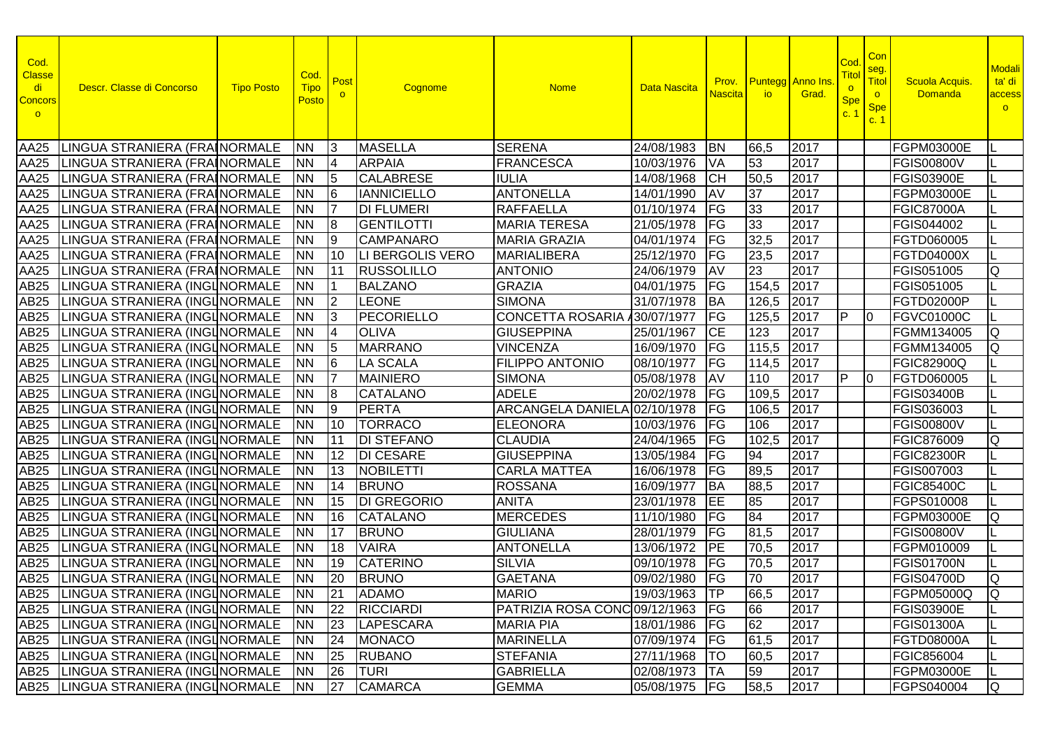| Cod.<br><b>Classe</b><br>di<br>Concors<br>$\circ$ | Descr. Classe di Concorso                 | <b>Tipo Posto</b> | Cod.<br><b>Tipo</b><br>Posto | Post<br>$\Omega$ | Cognome            | <b>Nome</b>                      | <b>Data Nascita</b> | Prov.<br><b>Nascita</b> | io.   | <b>Puntegg</b> Anno Ins<br>Grad. | Coc<br><u>Titol</u><br>$\circ$<br><b>Spe</b><br>c.1 | Con<br>seg.<br>Titol<br>$\circ$<br><b>Spe</b><br>c. 1 | <b>Scuola Acquis</b><br><b>Domanda</b> | <b>Modali</b><br>ta' di<br>access<br>$\circ$ |
|---------------------------------------------------|-------------------------------------------|-------------------|------------------------------|------------------|--------------------|----------------------------------|---------------------|-------------------------|-------|----------------------------------|-----------------------------------------------------|-------------------------------------------------------|----------------------------------------|----------------------------------------------|
| AA25                                              | LINGUA STRANIERA (FRAINORMALE             |                   | <b>INN</b>                   | 13               | <b>MASELLA</b>     | <b>SERENA</b>                    | 24/08/1983          | <b>BN</b>               | 66,5  | 2017                             |                                                     |                                                       | <b>FGPM03000E</b>                      |                                              |
| AA25                                              | LINGUA STRANIERA (FRAINORMALE             |                   | <b>NN</b>                    | 14               | <b>ARPAIA</b>      | <b>FRANCESCA</b>                 | 10/03/1976          | <b>VA</b>               | 53    | 2017                             |                                                     |                                                       | <b>FGIS00800V</b>                      |                                              |
| AA25                                              | LINGUA STRANIERA (FRAINORMALE             |                   | <b>NN</b>                    | 5                | <b>CALABRESE</b>   | <b>IULIA</b>                     | 14/08/1968          | <b>CH</b>               | 50,5  | 2017                             |                                                     |                                                       | <b>FGIS03900E</b>                      |                                              |
| AA25                                              | LINGUA STRANIERA (FRAINORMALE             |                   | <b>NN</b>                    | l6               | <b>IANNICIELLO</b> | <b>ANTONELLA</b>                 | 14/01/1990          | AV                      | 37    | 2017                             |                                                     |                                                       | <b>FGPM03000E</b>                      |                                              |
| AA25                                              | LINGUA STRANIERA (FRAINORMALE             |                   | <b>NN</b>                    |                  | <b>DI FLUMERI</b>  | <b>RAFFAELLA</b>                 | 01/10/1974          | FG                      | 33    | 2017                             |                                                     |                                                       | <b>FGIC87000A</b>                      |                                              |
| AA25                                              | LINGUA STRANIERA (FRAINORMALE             |                   | <b>NN</b>                    | 18               | <b>GENTILOTTI</b>  | <b>MARIA TERESA</b>              | 21/05/1978          | FG                      | 33    | 2017                             |                                                     |                                                       | FGIS044002                             |                                              |
| AA25                                              | LINGUA STRANIERA (FRAINORMALE             |                   | <b>NN</b>                    | 19               | <b>CAMPANARO</b>   | <b>MARIA GRAZIA</b>              | 04/01/1974          | FG                      | 32,5  | 2017                             |                                                     |                                                       | FGTD060005                             |                                              |
| AA25                                              | LINGUA STRANIERA (FRAINORMALE             |                   | <b>NN</b>                    | 10               | LI BERGOLIS VERO   | <b>MARIALIBERA</b>               | 25/12/1970          | FG                      | 23,5  | 2017                             |                                                     |                                                       | <b>FGTD04000X</b>                      |                                              |
| AA25                                              | LINGUA STRANIERA (FRAINORMALE             |                   | <b>NN</b>                    | 11               | <b>RUSSOLILLO</b>  | <b>ANTONIO</b>                   | 24/06/1979          | <b>AV</b>               | 23    | 2017                             |                                                     |                                                       | FGIS051005                             | Q                                            |
| AB25                                              | LINGUA STRANIERA (INGLNORMALE             |                   | <b>NN</b>                    |                  | <b>BALZANO</b>     | <b>GRAZIA</b>                    | 04/01/1975          | <b>IFG</b>              | 154,5 | 2017                             |                                                     |                                                       | FGIS051005                             |                                              |
| AB25                                              | LINGUA STRANIERA (INGLNORMALE             |                   | <b>NN</b>                    | $\vert$ 2        | <b>LEONE</b>       | <b>SIMONA</b>                    | 31/07/1978          | <b>BA</b>               | 126,5 | 2017                             |                                                     |                                                       | FGTD02000P                             |                                              |
| AB25                                              | LINGUA STRANIERA (INGLNORMALE             |                   | <b>NN</b>                    | 13               | PECORIELLO         | <b>CONCETTA ROSARIA</b>          | /30/07/1977         | <b>FG</b>               | 125,5 | 2017                             | IP.                                                 | $\overline{10}$                                       | <b>FGVC01000C</b>                      |                                              |
| AB25                                              | LINGUA STRANIERA (INGLNORMALE             |                   | <b>INN</b>                   | 4                | <b>OLIVA</b>       | <b>GIUSEPPINA</b>                | 25/01/1967          | <b>CE</b>               | 123   | 2017                             |                                                     |                                                       | FGMM134005                             | Q                                            |
| AB25                                              | LINGUA STRANIERA (INGLNORMALE             |                   | <b>NN</b>                    | 15               | <b>MARRANO</b>     | <b>VINCENZA</b>                  | 16/09/1970          | <b>IFG</b>              | 115,5 | 2017                             |                                                     |                                                       | FGMM134005                             | Q                                            |
| AB25                                              | LINGUA STRANIERA (INGLNORMALE             |                   | <b>NN</b>                    | 16               | <b>LA SCALA</b>    | <b>FILIPPO ANTONIO</b>           | 08/10/1977          | <b>IFG</b>              | 114,5 | 2017                             |                                                     |                                                       | <b>FGIC82900Q</b>                      |                                              |
| AB25                                              | LINGUA STRANIERA (INGLNORMALE             |                   | <b>NN</b>                    | 17               | <b>MAINIERO</b>    | <b>SIMONA</b>                    | 05/08/1978          | <b>AV</b>               | 110   | 2017                             | IP                                                  | $\overline{10}$                                       | <b>FGTD060005</b>                      |                                              |
| AB25                                              | LINGUA STRANIERA (INGLNORMALE             |                   | <b>NN</b>                    | 8                | <b>CATALANO</b>    | <b>ADELE</b>                     | 20/02/1978          | FG                      | 109,5 | 2017                             |                                                     |                                                       | <b>FGIS03400B</b>                      |                                              |
| AB25                                              | LINGUA STRANIERA (INGLNORMALE             |                   | <b>NN</b>                    | 19               | <b>PERTA</b>       | ARCANGELA DANIELA 02/10/1978     |                     | FG                      | 106,5 | 2017                             |                                                     |                                                       | FGIS036003                             |                                              |
| AB25                                              | LINGUA STRANIERA (INGLNORMALE             |                   | <b>NN</b>                    | 10               | <b>TORRACO</b>     | <b>ELEONORA</b>                  | 10/03/1976          | FG                      | 106   | 2017                             |                                                     |                                                       | <b>FGIS00800V</b>                      |                                              |
| AB25                                              | LINGUA STRANIERA (INGLNORMALE             |                   | <b>NN</b>                    | 11               | <b>DI STEFANO</b>  | <b>CLAUDIA</b>                   | 24/04/1965          | FG                      | 102,5 | 2017                             |                                                     |                                                       | FGIC876009                             | Q                                            |
| AB25                                              | LINGUA STRANIERA (INGLNORMALE             |                   | <b>NN</b>                    | 12               | <b>DI CESARE</b>   | <b>GIUSEPPINA</b>                | 13/05/1984          | FG                      | 94    | 2017                             |                                                     |                                                       | <b>FGIC82300R</b>                      |                                              |
| AB25                                              | LINGUA STRANIERA (INGLNORMALE             |                   | <b>NN</b>                    | 13               | NOBILETTI          | <b>CARLA MATTEA</b>              | 16/06/1978          | FG                      | 89,5  | 2017                             |                                                     |                                                       | FGIS007003                             |                                              |
| AB25                                              | LINGUA STRANIERA (INGLNORMALE             |                   | INN                          | 14               | <b>BRUNO</b>       | <b>ROSSANA</b>                   | 16/09/1977          | <b>BA</b>               | 88,5  | 2017                             |                                                     |                                                       | <b>FGIC85400C</b>                      |                                              |
| AB25                                              | LINGUA STRANIERA (INGLNORMALE             |                   | <b>NN</b>                    | 15               | <b>DI GREGORIO</b> | <b>ANITA</b>                     | 23/01/1978          | IEE                     | 85    | 2017                             |                                                     |                                                       | FGPS010008                             |                                              |
| AB25                                              | LINGUA STRANIERA (INGUNORMALE             |                   | INN                          | 16               | <b>CATALANO</b>    | <b>MERCEDES</b>                  | 11/10/1980          | FG                      | 84    | 2017                             |                                                     |                                                       | <b>FGPM03000E</b>                      | lQ                                           |
| AB25                                              | LINGUA STRANIERA (INGLNORMALE             |                   | <b>NN</b>                    | 17               | <b>BRUNO</b>       | <b>GIULIANA</b>                  | 28/01/1979          | $F$ G                   | 81,5  | 2017                             |                                                     |                                                       | <b>FGIS00800V</b>                      |                                              |
| AB25                                              | LINGUA STRANIERA (INGLNORMALE             |                   | INN                          | 18               | <b>VAIRA</b>       | <b>ANTONELLA</b>                 | 13/06/1972          | <b>IPE</b>              | 70,5  | 2017                             |                                                     |                                                       | FGPM010009                             |                                              |
| AB25                                              | LINGUA STRANIERA (INGUNORMALE             |                   | <b>NN</b>                    | 19               | <b>CATERINO</b>    | <b>SILVIA</b>                    | 09/10/1978          | $F$ G                   | 70,5  | 2017                             |                                                     |                                                       | <b>FGIS01700N</b>                      |                                              |
|                                                   | AB25 LINGUA STRANIERA (INGLNORMALE        |                   | <b>INN</b>                   | 20               | <b>BRUNO</b>       | <b>GAETANA</b>                   | 09/02/1980          | FG                      | 70    | 2017                             |                                                     |                                                       | <b>FGIS04700D</b>                      | Q                                            |
|                                                   | AB25   LINGUA STRANIERA (INGLNORMALE   NN |                   |                              | 21               | ADAMO              | <b>MARIO</b>                     | 19/03/1963 TP       |                         | 66,5  | 2017                             |                                                     |                                                       | <b>FGPM05000Q</b>                      | Q                                            |
|                                                   | AB25   LINGUA STRANIERA (INGLNORMALE      |                   | <b>INN</b>                   | 22               | RICCIARDI          | PATRIZIA ROSA CONC 09/12/1963 FG |                     |                         | 66    | 2017                             |                                                     |                                                       | <b>FGIS03900E</b>                      |                                              |
|                                                   | AB25   LINGUA STRANIERA (INGLNORMALE      |                   | INN.                         | 23               | <b>LAPESCARA</b>   | <b>MARIA PIA</b>                 | 18/01/1986   FG     |                         | 62    | 2017                             |                                                     |                                                       | <b>FGIS01300A</b>                      |                                              |
|                                                   | AB25 LINGUA STRANIERA (INGLNORMALE        |                   | <b>NN</b>                    | 24               | MONACO             | <b>MARINELLA</b>                 | 07/09/1974 FG       |                         | 61,5  | 2017                             |                                                     |                                                       | <b>FGTD08000A</b>                      |                                              |
|                                                   | AB25 LINGUA STRANIERA (INGLNORMALE        |                   | <b>NN</b>                    | 25               | <b>RUBANO</b>      | <b>STEFANIA</b>                  | 27/11/1968          | <b>TO</b>               | 60,5  | 2017                             |                                                     |                                                       | <b>FGIC856004</b>                      |                                              |
|                                                   | AB25 LINGUA STRANIERA (INGLNORMALE        |                   | <b>NN</b>                    | 26               | <b>TURI</b>        | <b>GABRIELLA</b>                 | 02/08/1973   TA     |                         | 59    | 2017                             |                                                     |                                                       | FGPM03000E                             |                                              |
|                                                   | AB25 LINGUA STRANIERA (INGLNORMALE        |                   | <b>NN</b>                    | 27               | <b>CAMARCA</b>     | <b>GEMMA</b>                     | 05/08/1975 FG       |                         | 58,5  | 2017                             |                                                     |                                                       | FGPS040004                             | IQ.                                          |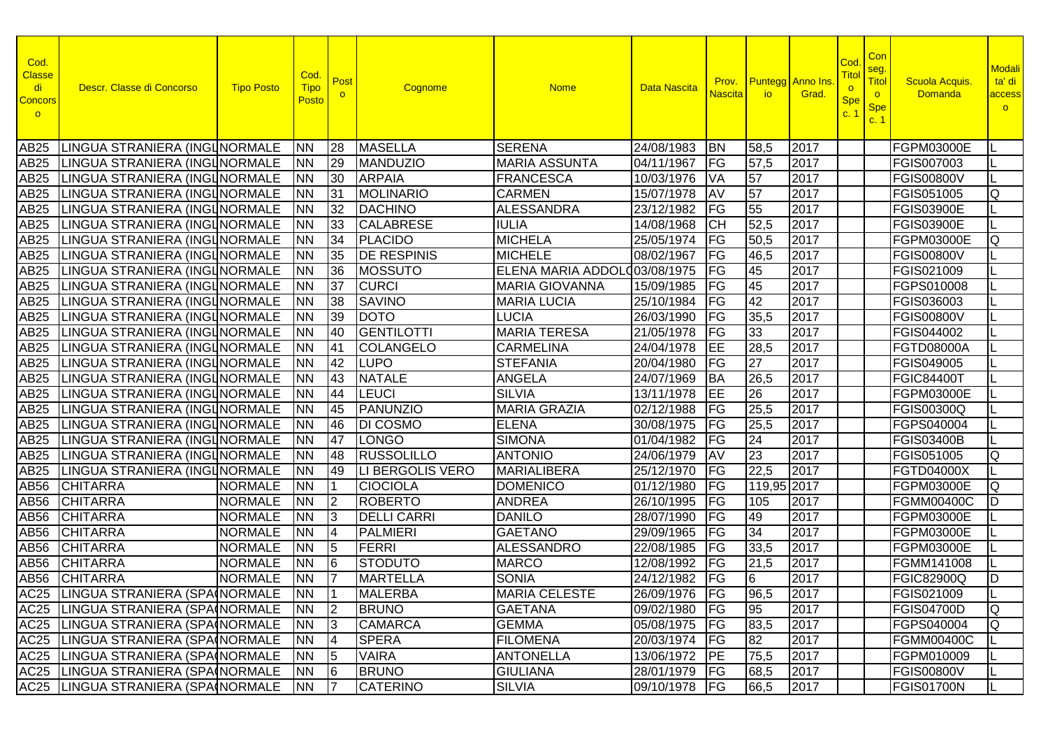| Cod.<br><b>Classe</b><br>di<br><b>Concors</b><br>$\circ$ | Descr. Classe di Concorso             | <b>Tipo Posto</b> | Cod.<br><b>Tipo</b><br><b>Posto</b> | Post<br>$\circ$ | Cognome            | <b>Nome</b>                   | Data Nascita    | Prov.<br><b>Nascita</b> | <b>Puntegg</b> Anno Ins<br><b>io</b> | Grad. | Cod<br><u>Titol</u><br>$\circ$<br><b>Spe</b><br>c.1 | Con<br>seg.<br>Titol<br>$\circ$<br><b>Spe</b><br>c. 1 | <b>Scuola Acquis</b><br><b>Domanda</b> | <b>Modali</b><br>ta' di<br>access<br>$\circ$ |
|----------------------------------------------------------|---------------------------------------|-------------------|-------------------------------------|-----------------|--------------------|-------------------------------|-----------------|-------------------------|--------------------------------------|-------|-----------------------------------------------------|-------------------------------------------------------|----------------------------------------|----------------------------------------------|
| AB25                                                     | LINGUA STRANIERA (INGLNORMALE         |                   | <b>NN</b>                           | 28              | <b>MASELLA</b>     | <b>SERENA</b>                 | 24/08/1983      | <b>BN</b>               | 58,5                                 | 2017  |                                                     |                                                       | <b>FGPM03000E</b>                      |                                              |
| AB25                                                     | LINGUA STRANIERA (INGLNORMALE         |                   | <b>NN</b>                           | 29              | <b>MANDUZIO</b>    | <b>MARIA ASSUNTA</b>          | 04/11/1967      | <b>IFG</b>              | 57,5                                 | 2017  |                                                     |                                                       | FGIS007003                             |                                              |
| AB25                                                     | LINGUA STRANIERA (INGLNORMALE         |                   | <b>NN</b>                           | 30              | <b>ARPAIA</b>      | <b>FRANCESCA</b>              | 10/03/1976      | VA                      | 57                                   | 2017  |                                                     |                                                       | <b>FGIS00800V</b>                      |                                              |
| AB25                                                     | LINGUA STRANIERA (INGLNORMALE         |                   | <b>NN</b>                           | 31              | <b>MOLINARIO</b>   | <b>CARMEN</b>                 | 15/07/1978      | AV                      | 57                                   | 2017  |                                                     |                                                       | FGIS051005                             | Q                                            |
| AB25                                                     | LINGUA STRANIERA (INGLNORMALE         |                   | <b>NN</b>                           | 32              | <b>DACHINO</b>     | <b>ALESSANDRA</b>             | 23/12/1982      | FG                      | 55                                   | 2017  |                                                     |                                                       | <b>FGIS03900E</b>                      |                                              |
| AB25                                                     | LINGUA STRANIERA (INGLNORMALE         |                   | <b>NN</b>                           | 33              | <b>CALABRESE</b>   | <b>IULIA</b>                  | 14/08/1968      | <b>CH</b>               | 52,5                                 | 2017  |                                                     |                                                       | <b>FGIS03900E</b>                      |                                              |
| AB25                                                     | LINGUA STRANIERA (INGUNORMALE         |                   | <b>NN</b>                           | 34              | <b>PLACIDO</b>     | <b>MICHELA</b>                | 25/05/1974      | FG                      | 50,5                                 | 2017  |                                                     |                                                       | FGPM03000E                             | Q                                            |
| AB25                                                     | LINGUA STRANIERA (INGLNORMALE         |                   | <b>NN</b>                           | 35              | <b>DE RESPINIS</b> | <b>MICHELE</b>                | 08/02/1967      | $\overline{FG}$         | 46,5                                 | 2017  |                                                     |                                                       | <b>FGIS00800V</b>                      |                                              |
| AB25                                                     | LINGUA STRANIERA (INGLNORMALE         |                   | <b>NN</b>                           | 36              | MOSSUTO            | ELENA MARIA ADDOLO 03/08/1975 |                 | FG                      | 45                                   | 2017  |                                                     |                                                       | FGIS021009                             |                                              |
| AB25                                                     | LINGUA STRANIERA (INGLNORMALE         |                   | <b>NN</b>                           | 37              | <b>CURCI</b>       | <b>MARIA GIOVANNA</b>         | 15/09/1985      | FG                      | 45                                   | 2017  |                                                     |                                                       | FGPS010008                             |                                              |
| AB25                                                     | LINGUA STRANIERA (INGLNORMALE         |                   | <b>NN</b>                           | 38              | <b>SAVINO</b>      | <b>MARIA LUCIA</b>            | 25/10/1984      | FG                      | 42                                   | 2017  |                                                     |                                                       | FGIS036003                             |                                              |
| AB25                                                     | LINGUA STRANIERA (INGLNORMALE         |                   | <b>NN</b>                           | 39              | <b>DOTO</b>        | <b>LUCIA</b>                  | 26/03/1990      | FG                      | 35,5                                 | 2017  |                                                     |                                                       | <b>FGIS00800V</b>                      |                                              |
| AB25                                                     | LINGUA STRANIERA (INGLNORMALE         |                   | <b>INN</b>                          | 40              | <b>GENTILOTTI</b>  | <b>MARIA TERESA</b>           | 21/05/1978      | FG                      | 33                                   | 2017  |                                                     |                                                       | FGIS044002                             |                                              |
| AB25                                                     | LINGUA STRANIERA (INGUNORMALE         |                   | <b>NN</b>                           | 41              | <b>COLANGELO</b>   | <b>CARMELINA</b>              | 24/04/1978      | EE                      | 28,5                                 | 2017  |                                                     |                                                       | FGTD08000A                             |                                              |
| AB25                                                     | LINGUA STRANIERA (INGLNORMALE         |                   | <b>NN</b>                           | 42              | <b>LUPO</b>        | <b>STEFANIA</b>               | 20/04/1980      | FG                      | 27                                   | 2017  |                                                     |                                                       | FGIS049005                             |                                              |
| AB25                                                     | LINGUA STRANIERA (INGLNORMALE         |                   | <b>NN</b>                           | 43              | <b>NATALE</b>      | <b>ANGELA</b>                 | 24/07/1969      | <b>BA</b>               | 26,5                                 | 2017  |                                                     |                                                       | <b>FGIC84400T</b>                      |                                              |
| AB25                                                     | LINGUA STRANIERA (INGLNORMALE         |                   | <b>NN</b>                           | 44              | LEUCI              | <b>SILVIA</b>                 | 13/11/1978      | EE                      | 26                                   | 2017  |                                                     |                                                       | <b>FGPM03000E</b>                      |                                              |
| AB25                                                     | LINGUA STRANIERA (INGLNORMALE         |                   | <b>NN</b>                           | 45              | PANUNZIO           | <b>MARIA GRAZIA</b>           | 02/12/1988      | FG                      | 25,5                                 | 2017  |                                                     |                                                       | <b>FGIS00300Q</b>                      |                                              |
| AB25                                                     | LINGUA STRANIERA (INGLNORMALE         |                   | <b>NN</b>                           | 46              | <b>DI COSMO</b>    | <b>ELENA</b>                  | 30/08/1975      | FG                      | 25,5                                 | 2017  |                                                     |                                                       | FGPS040004                             |                                              |
| AB25                                                     | LINGUA STRANIERA (INGLNORMALE         |                   | <b>NN</b>                           | 47              | <b>LONGO</b>       | <b>SIMONA</b>                 | 01/04/1982      | FG                      | 24                                   | 2017  |                                                     |                                                       | <b>FGIS03400B</b>                      |                                              |
| AB25                                                     | LINGUA STRANIERA (INGLNORMALE         |                   | <b>NN</b>                           | 48              | <b>RUSSOLILLO</b>  | <b>ANTONIO</b>                | 24/06/1979      | AV                      | 23                                   | 2017  |                                                     |                                                       | FGIS051005                             | Q                                            |
| AB25                                                     | LINGUA STRANIERA (INGLNORMALE         |                   | <b>NN</b>                           | 49              | LI BERGOLIS VERO   | <b>MARIALIBERA</b>            | 25/12/1970      | FG                      | 22.5                                 | 2017  |                                                     |                                                       | <b>FGTD04000X</b>                      |                                              |
| AB56                                                     | <b>CHITARRA</b>                       | <b>NORMALE</b>    | <b>NN</b>                           |                 | <b>CIOCIOLA</b>    | <b>DOMENICO</b>               | 01/12/1980      | FG                      | 119,95 2017                          |       |                                                     |                                                       | <b>FGPM03000E</b>                      | Q                                            |
| AB <sub>56</sub>                                         | <b>CHITARRA</b>                       | <b>NORMALE</b>    | <b>NN</b>                           | I2              | <b>ROBERTO</b>     | <b>ANDREA</b>                 | 26/10/1995      | FG                      | 105                                  | 2017  |                                                     |                                                       | <b>FGMM00400C</b>                      | ID                                           |
| AB56                                                     | <b>CHITARRA</b>                       | <b>NORMALE</b>    | <b>NN</b>                           | 13              | <b>DELLI CARRI</b> | <b>DANILO</b>                 | 28/07/1990      | FG                      | 49                                   | 2017  |                                                     |                                                       | FGPM03000E                             |                                              |
| AB56                                                     | <b>CHITARRA</b>                       | <b>NORMALE</b>    | <b>NN</b>                           | I4              | <b>PALMIERI</b>    | <b>GAETANO</b>                | 29/09/1965      | FG                      | 34                                   | 2017  |                                                     |                                                       | FGPM03000E                             |                                              |
| AB56                                                     | <b>CHITARRA</b>                       | <b>NORMALE</b>    | <b>NN</b>                           | 15              | FERRI              | <b>ALESSANDRO</b>             | 22/08/1985      | FG                      | 33,5                                 | 2017  |                                                     |                                                       | <b>FGPM03000E</b>                      |                                              |
| AB56                                                     | <b>CHITARRA</b>                       | <b>NORMALE</b>    | <b>NN</b>                           | 16              | <b>STODUTO</b>     | <b>MARCO</b>                  | 12/08/1992      | $F$ G                   | 21,5                                 | 2017  |                                                     |                                                       | <b>FGMM141008</b>                      |                                              |
|                                                          | AB56 CHITARRA                         | <b>NORMALE</b>    | <b>NN</b>                           | 17              | <b>MARTELLA</b>    | <b>SONIA</b>                  | 24/12/1982      | FG                      | 6                                    | 2017  |                                                     |                                                       | <b>FGIC82900Q</b>                      | ID                                           |
|                                                          | AC25 LINGUA STRANIERA (SPA NORMALE NN |                   |                                     | $\overline{11}$ | <b>MALERBA</b>     | <b>MARIA CELESTE</b>          | 26/09/1976 FG   |                         | 96,5                                 | 2017  |                                                     |                                                       | FGIS021009                             |                                              |
|                                                          | AC25 LINGUA STRANIERA (SPAINORMALE    |                   | <b>INN</b>                          | $\vert$ 2       | <b>BRUNO</b>       | <b>GAETANA</b>                | 09/02/1980 FG   |                         | 95                                   | 2017  |                                                     |                                                       | <b>FGIS04700D</b>                      | lQ                                           |
|                                                          | AC25 LINGUA STRANIERA (SPAINORMALE    |                   | INN.                                | 13              | <b>CAMARCA</b>     | <b>GEMMA</b>                  | 05/08/1975   FG |                         | 83,5                                 | 2017  |                                                     |                                                       | FGPS040004                             | Q                                            |
|                                                          | AC25 LINGUA STRANIERA (SPA NORMALE    |                   | <b>NN</b>                           | $\vert 4$       | <b>SPERA</b>       | <b>FILOMENA</b>               | 20/03/1974   FG |                         | 82                                   | 2017  |                                                     |                                                       | FGMM00400C                             |                                              |
|                                                          | AC25   LINGUA STRANIERA (SPA NORMALE  |                   | <b>NN</b>                           | $\sqrt{5}$      | <b>VAIRA</b>       | <b>ANTONELLA</b>              | 13/06/1972 PE   |                         | 75,5                                 | 2017  |                                                     |                                                       | FGPM010009                             |                                              |
|                                                          | AC25 LINGUA STRANIERA (SPAINORMALE    |                   | <b>NN</b>                           | 16              | <b>BRUNO</b>       | <b>GIULIANA</b>               | 28/01/1979   FG |                         | 68,5                                 | 2017  |                                                     |                                                       | <b>FGIS00800V</b>                      |                                              |
|                                                          | AC25 LINGUA STRANIERA (SPA NORMALE    |                   | <b>NN</b>                           | 17              | <b>CATERINO</b>    | <b>SILVIA</b>                 | 09/10/1978   FG |                         | 66,5                                 | 2017  |                                                     |                                                       | FGIS01700N                             | IL.                                          |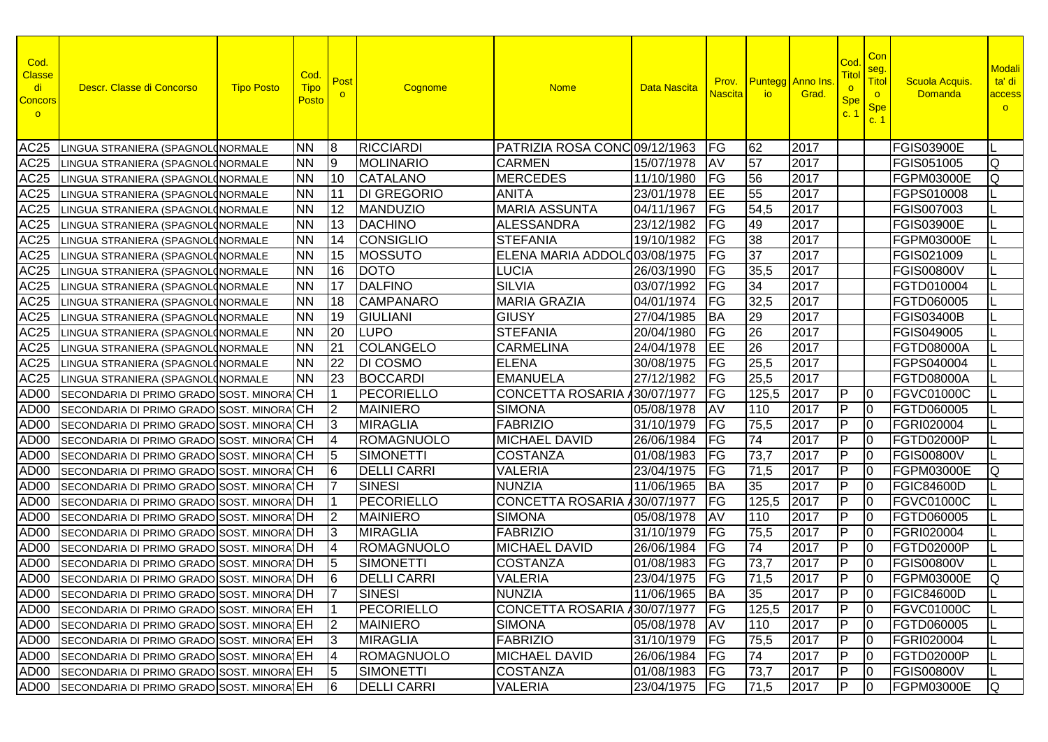| Cod.<br><b>Classe</b><br>di<br><b>Concors</b><br>$\circ$ | Descr. Classe di Concorso                          | <b>Tipo Posto</b> | Cod.<br><b>Tipo</b><br>Posto | Post<br>$\circ$ | Cognome            | <b>Nome</b>                    | Data Nascita    | Prov.<br><b>Nascita</b>  | io.        | <b>Puntegg</b> Anno Ins<br>Grad. | Coc<br>Tito<br>$\overline{\mathbf{o}}$<br><b>Spe</b><br>C <sup>2</sup> | Con<br>seg.<br>Titol<br>$\circ$<br><b>Spe</b><br>c. 1 | <b>Scuola Acquis</b><br><b>Domanda</b> | <b>Modali</b><br>ta' di<br>access<br>$\circ$ |
|----------------------------------------------------------|----------------------------------------------------|-------------------|------------------------------|-----------------|--------------------|--------------------------------|-----------------|--------------------------|------------|----------------------------------|------------------------------------------------------------------------|-------------------------------------------------------|----------------------------------------|----------------------------------------------|
| AC25                                                     | LINGUA STRANIERA (SPAGNOL(NORMALE                  |                   | <b>NN</b>                    | 18              | <b>RICCIARDI</b>   | PATRIZIA ROSA CONC 09/12/1963  |                 | <b>FG</b>                | 62         | 2017                             |                                                                        |                                                       | <b>FGIS03900E</b>                      |                                              |
| AC25                                                     | LINGUA STRANIERA (SPAGNOL(NORMALE                  |                   | <b>NN</b>                    | 19              | <b>MOLINARIO</b>   | <b>CARMEN</b>                  | 15/07/1978      | AV                       | 57         | 2017                             |                                                                        |                                                       | FGIS051005                             | Q                                            |
| <b>AC25</b>                                              | INGUA STRANIERA (SPAGNOL(NORMALE                   |                   | <b>NN</b>                    | 110             | <b>CATALANO</b>    | <b>MERCEDES</b>                | 11/10/1980      | FG                       | 56         | 2017                             |                                                                        |                                                       | FGPM03000E                             | Q                                            |
| AC25                                                     | INGUA STRANIERA (SPAGNOL(NORMALE                   |                   | <b>NN</b>                    | <u> 11</u>      | <b>DI GREGORIO</b> | <b>ANITA</b>                   | 23/01/1978      | EE                       | 55         | 2017                             |                                                                        |                                                       | FGPS010008                             |                                              |
| <b>AC25</b>                                              | INGUA STRANIERA (SPAGNOLONORMALE                   |                   | <b>NN</b>                    | $ 12\rangle$    | <b>MANDUZIO</b>    | <b>MARIA ASSUNTA</b>           | 04/11/1967      | FG                       | 54,5       | 2017                             |                                                                        |                                                       | FGIS007003                             |                                              |
| AC25                                                     | INGUA STRANIERA (SPAGNOLONORMALE                   |                   | <b>INN</b>                   | 13              | <b>DACHINO</b>     | <b>ALESSANDRA</b>              | 23/12/1982      | FG                       | 49         | 2017                             |                                                                        |                                                       | FGIS03900E                             |                                              |
| AC25                                                     | INGUA STRANIERA (SPAGNOL(NORMALE                   |                   | <b>INN</b>                   | 14              | <b>CONSIGLIO</b>   | <b>STEFANIA</b>                | 19/10/1982      | FG                       | 38         | 2017                             |                                                                        |                                                       | FGPM03000E                             |                                              |
| AC25                                                     | LINGUA STRANIERA (SPAGNOL(NORMALE                  |                   | <b>NN</b>                    | 15              | <b>MOSSUTO</b>     | ELENA MARIA ADDOLO 03/08/1975  |                 | FG                       | 37         | 2017                             |                                                                        |                                                       | FGIS021009                             |                                              |
| <b>AC25</b>                                              | LINGUA STRANIERA (SPAGNOLONORMALE                  |                   | <b>NN</b>                    | 16              | <b>DOTO</b>        | <b>LUCIA</b>                   | 26/03/1990      | FG                       | 35,5       | 2017                             |                                                                        |                                                       | <b>FGIS00800V</b>                      |                                              |
| <b>AC25</b>                                              | LINGUA STRANIERA (SPAGNOL(NORMALE                  |                   | <b>NN</b>                    | <u> 17</u>      | <b>DALFINO</b>     | <b>SILVIA</b>                  | 03/07/1992      | FG                       | 34         | 2017                             |                                                                        |                                                       | FGTD010004                             |                                              |
| <b>AC25</b>                                              | INGUA STRANIERA (SPAGNOL(NORMALE                   |                   | <b>NN</b>                    | 18              | <b>CAMPANARO</b>   | <b>MARIA GRAZIA</b>            | 04/01/1974      | FG                       | 32,5       | 2017                             |                                                                        |                                                       | FGTD060005                             |                                              |
| AC25                                                     | LINGUA STRANIERA (SPAGNOL(NORMALE                  |                   | <b>NN</b>                    | $ 19\rangle$    | <b>GIULIANI</b>    | <b>GIUSY</b>                   | 27/04/1985      | <b>BA</b>                | 29         | 2017                             |                                                                        |                                                       | <b>FGIS03400B</b>                      |                                              |
| <b>AC25</b>                                              | LINGUA STRANIERA (SPAGNOLONORMALE                  |                   | <b>NN</b>                    | 20              | <b>LUPO</b>        | <b>STEFANIA</b>                | 20/04/1980      | FG                       | 26         | 2017                             |                                                                        |                                                       | FGIS049005                             |                                              |
| <b>AC25</b>                                              | LINGUA STRANIERA (SPAGNOLONORMALE                  |                   | <b>INN</b>                   | 21              | <b>COLANGELO</b>   | <b>CARMELINA</b>               | 24/04/1978      | EE                       | 26         | 2017                             |                                                                        |                                                       | FGTD08000A                             |                                              |
| AC25                                                     | LINGUA STRANIERA (SPAGNOLONORMALE                  |                   | <b>NN</b>                    | 22              | <b>DI COSMO</b>    | <b>ELENA</b>                   | 30/08/1975      | FG                       | 25,5       | 2017                             |                                                                        |                                                       | FGPS040004                             |                                              |
| AC25                                                     | LINGUA STRANIERA (SPAGNOL(NORMALE                  |                   | <b>NN</b>                    | 23              | <b>BOCCARDI</b>    | <b>EMANUELA</b>                | 27/12/1982      | FG                       | 25,5       | 2017                             |                                                                        |                                                       | FGTD08000A                             |                                              |
| AD <sub>00</sub>                                         | SECONDARIA DI PRIMO GRADO SOST. MINORA CH          |                   |                              |                 | <b>PECORIELLO</b>  | <b>CONCETTA ROSARIA</b>        | 30/07/1977      | <b>IFG</b>               | 125,5      | 2017                             | <b>P</b>                                                               | 10                                                    | FGVC01000C                             |                                              |
| AD <sub>00</sub>                                         | SECONDARIA DI PRIMO GRADO SOST. MINORA CH          |                   |                              | I2              | <b>MAINIERO</b>    | <b>SIMONA</b>                  | 05/08/1978      | AV                       | 110        | 2017                             | P                                                                      | 10                                                    | FGTD060005                             |                                              |
| AD <sub>00</sub>                                         | SECONDARIA DI PRIMO GRADO SOST. MINORA CH          |                   |                              | I3              | <b>MIRAGLIA</b>    | <b>FABRIZIO</b>                | 31/10/1979      | FG                       | 75,5       | 2017                             | ΙP                                                                     | I0                                                    | FGRI020004                             |                                              |
| AD <sub>00</sub>                                         | SECONDARIA DI PRIMO GRADO SOST. MINORA CH          |                   |                              |                 | <b>ROMAGNUOLO</b>  | <b>MICHAEL DAVID</b>           | 26/06/1984      | FG                       | 74         | 2017                             | ΙP                                                                     | I0                                                    | FGTD02000P                             |                                              |
| AD <sub>00</sub>                                         | SECONDARIA DI PRIMO GRADO SOST. MINORA CH          |                   |                              | 15              | <b>SIMONETTI</b>   | <b>COSTANZA</b>                | 01/08/1983      | FG                       | 73,7       | 2017                             | ΙP                                                                     | I0                                                    | <b>FGIS00800V</b>                      |                                              |
| AD <sub>00</sub>                                         | SECONDARIA DI PRIMO GRADO SOST. MINORA CH          |                   |                              | l6              | <b>DELLI CARRI</b> | VALERIA                        | 23/04/1975      | FG                       | 71,5       | 2017                             | ΙP                                                                     | I0                                                    | <b>FGPM03000E</b>                      | IQ                                           |
| AD <sub>00</sub>                                         | SECONDARIA DI PRIMO GRADO SOST. MINORA CH          |                   |                              |                 | <b>SINESI</b>      | <b>NUNZIA</b>                  | 11/06/1965      | <b>BA</b>                | 35         | 2017                             | IP                                                                     | I0                                                    | <b>FGIC84600D</b>                      |                                              |
| AD <sub>00</sub>                                         | SECONDARIA DI PRIMO GRADO SOST. MINORA DH          |                   |                              |                 | <b>PECORIELLO</b>  | <b>CONCETTA ROSARIA</b>        | 30/07/1977      | FG                       | 125,5      | 2017                             | IP                                                                     | I0                                                    | <b>FGVC01000C</b>                      |                                              |
| AD <sub>00</sub>                                         | SECONDARIA DI PRIMO GRADO SOST. MINORA DH          |                   |                              | I2              | <b>MAINIERO</b>    | <b>SIMONA</b>                  | 05/08/1978      | AV                       | 110        | 2017                             | ΙP                                                                     | I0                                                    | <b>FGTD060005</b>                      |                                              |
| AD <sub>00</sub>                                         | SECONDARIA DI PRIMO GRADO SOST. MINORA DH          |                   |                              | I3              | <b>MIRAGLIA</b>    | <b>FABRIZIO</b>                | 31/10/1979      | FG                       | 75,5       | 2017                             | ΙP                                                                     | 10                                                    | <b>FGRI020004</b>                      |                                              |
| AD <sub>00</sub>                                         | SECONDARIA DI PRIMO GRADO SOST. MINORA DH          |                   |                              | 14              | <b>ROMAGNUOLO</b>  | <b>MICHAEL DAVID</b>           | 26/06/1984      | FG                       | 74         | 2017                             | IP                                                                     | I0                                                    | FGTD02000P                             |                                              |
| AD00                                                     | SECONDARIA DI PRIMO GRADO SOST. MINORA DH          |                   |                              | 15              | <b>SIMONETTI</b>   | <b>COSTANZA</b>                | 01/08/1983      | FG                       | 73,7       | 2017                             | ΙP                                                                     | 10                                                    | FGIS00800V                             |                                              |
| AD00                                                     | <b>ISECONDARIA DI PRIMO GRADO SOST. MINORA IDH</b> |                   |                              | 16              | <b>DELLI CARRI</b> | <b>VALERIA</b>                 | 23/04/1975      | $\overline{\mathsf{FG}}$ | 71,5       | 2017                             | $\overline{P}$                                                         | 10                                                    | <b>FGPM03000E</b>                      | lQ.                                          |
|                                                          | AD00 SECONDARIA DI PRIMO GRADO SOST. MINORA DH     |                   |                              | $\overline{17}$ | <b>SINESI</b>      | <b>NUNZIA</b>                  | 11/06/1965 BA   |                          | 35         | 2017                             | $\overline{P}$                                                         | $\overline{0}$                                        | <b>FGIC84600D</b>                      |                                              |
|                                                          | AD00 SECONDARIA DI PRIMO GRADO SOST. MINORA EH     |                   |                              | $\vert$ 1       | <b>PECORIELLO</b>  | CONCETTA ROSARIA 30/07/1977 FG |                 |                          | 125,5 2017 |                                  | IP.                                                                    | $\overline{0}$                                        | <b>FGVC01000C</b>                      |                                              |
|                                                          | AD00 SECONDARIA DI PRIMO GRADO SOST. MINORA EH     |                   |                              | 12              | <b>MAINIERO</b>    | <b>SIMONA</b>                  | 05/08/1978      | <b>JAV</b>               | 110        | 2017                             | ∣P                                                                     | 10                                                    | <b>FGTD060005</b>                      |                                              |
|                                                          | AD00 SECONDARIA DI PRIMO GRADO SOST. MINORA EH     |                   |                              | $\overline{3}$  | <b>MIRAGLIA</b>    | <b>FABRIZIO</b>                | 31/10/1979      | <b>IFG</b>               | 75,5       | 2017                             | ΙP                                                                     | 10                                                    | <b>FGRI020004</b>                      |                                              |
|                                                          | AD00 SECONDARIA DI PRIMO GRADO SOST. MINORA EH     |                   |                              | 14              | <b>ROMAGNUOLO</b>  | <b>MICHAEL DAVID</b>           | 26/06/1984      | <b>IFG</b>               | 74         | 2017                             | P                                                                      | $\overline{0}$                                        | FGTD02000P                             |                                              |
|                                                          | AD00 SECONDARIA DI PRIMO GRADO SOST. MINORA EH     |                   |                              | $\sqrt{5}$      | <b>SIMONETTI</b>   | <b>COSTANZA</b>                | 01/08/1983      | <b>FG</b>                | 73,7       | 2017                             | ΙP                                                                     | $\overline{0}$                                        | <b>FGIS00800V</b>                      |                                              |
|                                                          | AD00 SECONDARIA DI PRIMO GRADO SOST. MINORA EH     |                   |                              | 6               | <b>DELLI CARRI</b> | <b>VALERIA</b>                 | 23/04/1975   FG |                          | 71,5       | 2017                             | IP                                                                     | 10                                                    | FGPM03000E                             | Q                                            |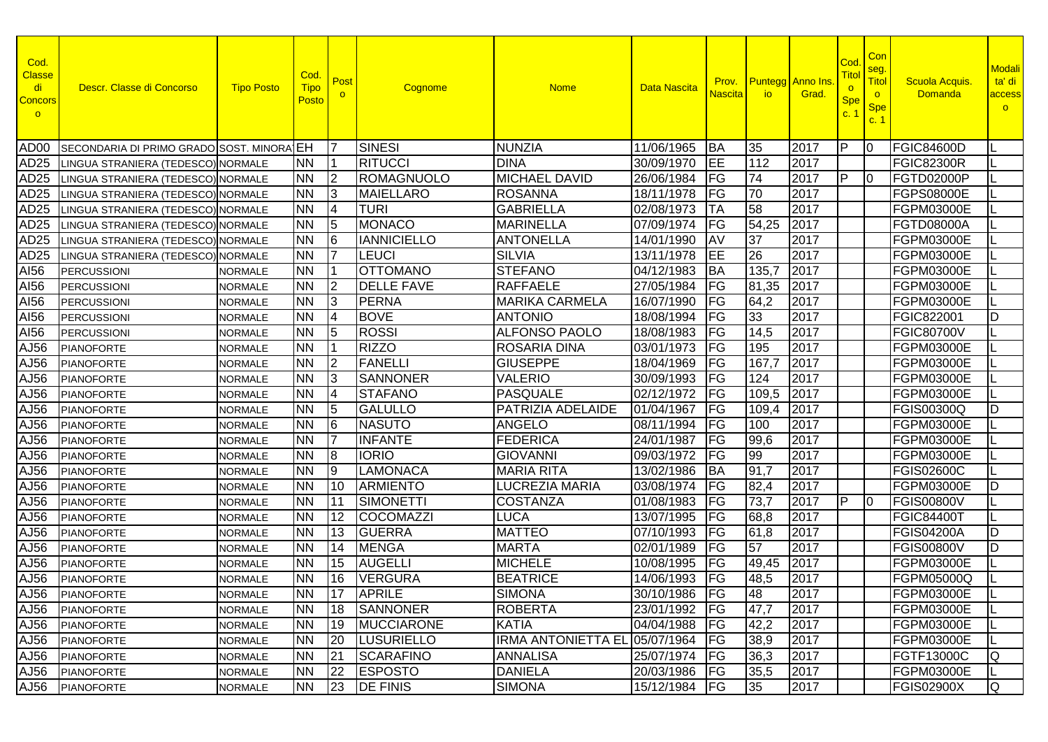| Cod.<br><b>Classe</b><br>di<br><b>Concors</b><br>$\circ$ | Descr. Classe di Concorso                 | <b>Tipo Posto</b> | Cod.<br><b>Tipo</b><br>Posto | Post            | Cognome            | <b>Nome</b>                   | Data Nascita    | Prov.<br><b>Nascita</b> | <b>Puntegg Anno Ins</b><br><b>io</b> | Grad. | Co <sub>0</sub><br>Tito<br>$\circ$<br><b>Spe</b><br>C <sub>1</sub> | Con<br>seg.<br>Titol<br>$\circ$<br><b>Spe</b><br>c.1 | <b>Scuola Acquis</b><br><b>Domanda</b> | Modali<br>ta' di<br>access<br>$\circ$ |
|----------------------------------------------------------|-------------------------------------------|-------------------|------------------------------|-----------------|--------------------|-------------------------------|-----------------|-------------------------|--------------------------------------|-------|--------------------------------------------------------------------|------------------------------------------------------|----------------------------------------|---------------------------------------|
| AD <sub>00</sub>                                         | SECONDARIA DI PRIMO GRADO SOST. MINORA EH |                   |                              | 17              | <b>SINESI</b>      | <b>NUNZIA</b>                 | 11/06/1965      | <b>BA</b>               | 35                                   | 2017  | IP                                                                 | 10                                                   | <b>FGIC84600D</b>                      |                                       |
| AD25                                                     | LINGUA STRANIERA (TEDESCO) NORMALE        |                   | INN.                         |                 | <b>RITUCCI</b>     | <b>DINA</b>                   | 30/09/1970      | EE                      | 112                                  | 2017  |                                                                    |                                                      | <b>FGIC82300R</b>                      |                                       |
| AD25                                                     | LINGUA STRANIERA (TEDESCO) NORMALE        |                   | <b>NN</b>                    | 12              | <b>ROMAGNUOLO</b>  | <b>MICHAEL DAVID</b>          | 26/06/1984      | FG                      | 74                                   | 2017  | IP                                                                 | 10                                                   | FGTD02000P                             |                                       |
| AD25                                                     | LINGUA STRANIERA (TEDESCO) NORMALE        |                   | <b>NN</b>                    | 13              | <b>MAIELLARO</b>   | <b>ROSANNA</b>                | 18/11/1978      | FG                      | 70                                   | 2017  |                                                                    |                                                      | FGPS08000E                             |                                       |
| AD <sub>25</sub>                                         | LINGUA STRANIERA (TEDESCO) NORMALE        |                   | INN                          | 14              | TURI               | <b>GABRIELLA</b>              | 02/08/1973      | TA                      | 58                                   | 2017  |                                                                    |                                                      | FGPM03000E                             |                                       |
| AD <sub>25</sub>                                         | LINGUA STRANIERA (TEDESCO) NORMALE        |                   | <b>NN</b>                    | 15              | <b>MONACO</b>      | <b>MARINELLA</b>              | 07/09/1974      | FG                      | 54,25                                | 2017  |                                                                    |                                                      | <b>FGTD08000A</b>                      |                                       |
| AD25                                                     | LINGUA STRANIERA (TEDESCO) NORMALE        |                   | <b>NN</b>                    | 16              | <b>IANNICIELLO</b> | <b>ANTONELLA</b>              | 14/01/1990      | AV                      | 37                                   | 2017  |                                                                    |                                                      | FGPM03000E                             |                                       |
| AD <sub>25</sub>                                         | LINGUA STRANIERA (TEDESCO) NORMALE        |                   | <b>NN</b>                    | 17              | LEUCI              | <b>SILVIA</b>                 | 13/11/1978      | EE                      | 26                                   | 2017  |                                                                    |                                                      | FGPM03000E                             |                                       |
| AI56                                                     | <b>PERCUSSIONI</b>                        | <b>NORMALE</b>    | <b>NN</b>                    | l 1             | <b>OTTOMANO</b>    | <b>STEFANO</b>                | 04/12/1983      | <b>BA</b>               | 135,7                                | 2017  |                                                                    |                                                      | FGPM03000E                             |                                       |
| AI56                                                     | <b>PERCUSSIONI</b>                        | <b>NORMALE</b>    | <b>NN</b>                    | l2              | <b>DELLE FAVE</b>  | <b>RAFFAELE</b>               | 27/05/1984      | FG                      | 81,35                                | 2017  |                                                                    |                                                      | FGPM03000E                             |                                       |
| AI56                                                     | <b>PERCUSSIONI</b>                        | <b>NORMALE</b>    | <b>NN</b>                    | 13              | <b>PERNA</b>       | <b>MARIKA CARMELA</b>         | 16/07/1990      | FG                      | 64,2                                 | 2017  |                                                                    |                                                      | FGPM03000E                             |                                       |
| AI56                                                     | <b>PERCUSSIONI</b>                        | <b>NORMALE</b>    | <b>NN</b>                    | 14              | <b>BOVE</b>        | <b>ANTONIO</b>                | 18/08/1994      | FG                      | 33                                   | 2017  |                                                                    |                                                      | FGIC822001                             | D                                     |
| AI56                                                     | <b>PERCUSSIONI</b>                        | <b>NORMALE</b>    | <b>NN</b>                    | 15              | <b>ROSSI</b>       | <b>ALFONSO PAOLO</b>          | 18/08/1983      | FG                      | 14,5                                 | 2017  |                                                                    |                                                      | <b>FGIC80700V</b>                      |                                       |
| AJ56                                                     | <b>PIANOFORTE</b>                         | <b>NORMALE</b>    | <b>NN</b>                    |                 | <b>RIZZO</b>       | <b>ROSARIA DINA</b>           | 03/01/1973      | FG                      | 195                                  | 2017  |                                                                    |                                                      | FGPM03000E                             |                                       |
| AJ56                                                     | <b>PIANOFORTE</b>                         | <b>NORMALE</b>    | <b>NN</b>                    | 12              | <b>FANELLI</b>     | <b>GIUSEPPE</b>               | 18/04/1969      | FG                      | 167,7                                | 2017  |                                                                    |                                                      | FGPM03000E                             |                                       |
| AJ56                                                     | <b>PIANOFORTE</b>                         | <b>NORMALE</b>    | <b>NN</b>                    | 13              | <b>SANNONER</b>    | <b>VALERIO</b>                | 30/09/1993      | FG                      | 124                                  | 2017  |                                                                    |                                                      | FGPM03000E                             |                                       |
| AJ56                                                     | <b>PIANOFORTE</b>                         | <b>NORMALE</b>    | <b>NN</b>                    | 14              | <b>STAFANO</b>     | <b>PASQUALE</b>               | 02/12/1972      | FG                      | 109,5                                | 2017  |                                                                    |                                                      | FGPM03000E                             |                                       |
| AJ56                                                     | <b>PIANOFORTE</b>                         | <b>NORMALE</b>    | <b>NN</b>                    | 15              | <b>GALULLO</b>     | PATRIZIA ADELAIDE             | 01/04/1967      | FG                      | 109,4                                | 2017  |                                                                    |                                                      | FGIS00300Q                             | D                                     |
| AJ56                                                     | <b>PIANOFORTE</b>                         | <b>NORMALE</b>    | <b>NN</b>                    | 6               | <b>NASUTO</b>      | <b>ANGELO</b>                 | 08/11/1994      | FG                      | 100                                  | 2017  |                                                                    |                                                      | FGPM03000E                             |                                       |
| AJ56                                                     | <b>PIANOFORTE</b>                         | <b>NORMALE</b>    | <b>NN</b>                    |                 | <b>INFANTE</b>     | <b>FEDERICA</b>               | 24/01/1987      | FG                      | 99,6                                 | 2017  |                                                                    |                                                      | FGPM03000E                             |                                       |
| AJ56                                                     | <b>PIANOFORTE</b>                         | <b>NORMALE</b>    | <b>NN</b>                    | 8               | <b>IORIO</b>       | <b>GIOVANNI</b>               | 09/03/1972      | FG                      | 99                                   | 2017  |                                                                    |                                                      | FGPM03000E                             |                                       |
| AJ56                                                     | <b>PIANOFORTE</b>                         | <b>NORMALE</b>    | <b>NN</b>                    | Ι9              | <b>LAMONACA</b>    | <b>MARIA RITA</b>             | 13/02/1986      | <b>BA</b>               | 91,7                                 | 2017  |                                                                    |                                                      | <b>FGIS02600C</b>                      |                                       |
| AJ56                                                     | <b>PIANOFORTE</b>                         | <b>NORMALE</b>    | <b>NN</b>                    | 10              | <b>ARMIENTO</b>    | <b>LUCREZIA MARIA</b>         | 03/08/1974      | FG                      | 82,4                                 | 2017  |                                                                    |                                                      | FGPM03000E                             | D                                     |
| AJ56                                                     | <b>PIANOFORTE</b>                         | <b>NORMALE</b>    | <b>NN</b>                    | <u> 11</u>      | <b>SIMONETTI</b>   | <b>COSTANZA</b>               | 01/08/1983      | FG                      | 73,7                                 | 2017  | IP                                                                 | $\overline{10}$                                      | <b>FGIS00800V</b>                      |                                       |
| AJ56                                                     | <b>PIANOFORTE</b>                         | <b>NORMALE</b>    | <b>NN</b>                    | 12              | <b>COCOMAZZI</b>   | <b>LUCA</b>                   | 13/07/1995      | FG                      | 68,8                                 | 2017  |                                                                    |                                                      | <b>FGIC84400T</b>                      |                                       |
| AJ56                                                     | <b>PIANOFORTE</b>                         | <b>NORMALE</b>    | <b>NN</b>                    | 13              | <b>GUERRA</b>      | <b>MATTEO</b>                 | 07/10/1993      | FG                      | 61,8                                 | 2017  |                                                                    |                                                      | <b>FGIS04200A</b>                      | D                                     |
| AJ56                                                     | <b>PIANOFORTE</b>                         | <b>NORMALE</b>    | <b>NN</b>                    | $\overline{1}4$ | <b>MENGA</b>       | <b>MARTA</b>                  | 02/01/1989      | FG                      | 57                                   | 2017  |                                                                    |                                                      | <b>FGIS00800V</b>                      | D                                     |
| AJ56                                                     | <b>PIANOFORTE</b>                         | <b>NORMALE</b>    | <b>NN</b>                    | 15              | <b>AUGELLI</b>     | <b>MICHELE</b>                | 10/08/1995      | FG                      | 49,45                                | 2017  |                                                                    |                                                      | FGPM03000E                             |                                       |
| AJ56                                                     | <b>PIANOFORTE</b>                         | <b>NORMALE</b>    | <b>NN</b>                    | 16              | <b>VERGURA</b>     | <b>BEATRICE</b>               | 14/06/1993      | FG                      | 48,5                                 | 2017  |                                                                    |                                                      | FGPM05000Q                             |                                       |
|                                                          | AJ56 PIANOFORTE                           | <b>NORMALE</b>    | <b>NN</b>                    |                 | 17 APRILE          | <b>SIMONA</b>                 | 30/10/1986 FG   |                         | 48                                   | 2017  |                                                                    |                                                      | <b>FGPM03000E</b>                      |                                       |
|                                                          | AJ56 PIANOFORTE                           | <b>NORMALE</b>    | <b>NN</b>                    | 18              | SANNONER           | <b>ROBERTA</b>                | 23/01/1992   FG |                         | 47,7                                 | 2017  |                                                                    |                                                      | FGPM03000E                             |                                       |
|                                                          | AJ56 PIANOFORTE                           | <b>NORMALE</b>    | <b>NN</b>                    | 19              | MUCCIARONE         | <b>KATIA</b>                  | 04/04/1988      | FG                      | 42,2                                 | 2017  |                                                                    |                                                      | FGPM03000E                             |                                       |
|                                                          | AJ56 PIANOFORTE                           | <b>NORMALE</b>    | <b>NN</b>                    | 20              | <b>LUSURIELLO</b>  | IRMA ANTONIETTA EL 05/07/1964 |                 | <b>IFG</b>              | 38,9                                 | 2017  |                                                                    |                                                      | FGPM03000E                             |                                       |
|                                                          | AJ56 PIANOFORTE                           | <b>NORMALE</b>    | <b>NN</b>                    | 21              | <b>SCARAFINO</b>   | <b>ANNALISA</b>               | 25/07/1974      | <b>FG</b>               | 36,3                                 | 2017  |                                                                    |                                                      | FGTF13000C                             | Q                                     |
|                                                          | AJ56 PIANOFORTE                           | <b>NORMALE</b>    | <b>NN</b>                    | 22              | <b>ESPOSTO</b>     | <b>DANIELA</b>                | 20/03/1986      | <b>FG</b>               | 35,5                                 | 2017  |                                                                    |                                                      | FGPM03000E                             |                                       |
|                                                          | AJ56 PIANOFORTE                           | <b>NORMALE</b>    | <b>NN</b>                    | 23              | <b>DE FINIS</b>    | <b>SIMONA</b>                 | 15/12/1984      | <b>FG</b>               | 35                                   | 2017  |                                                                    |                                                      | <b>FGIS02900X</b>                      | Q                                     |